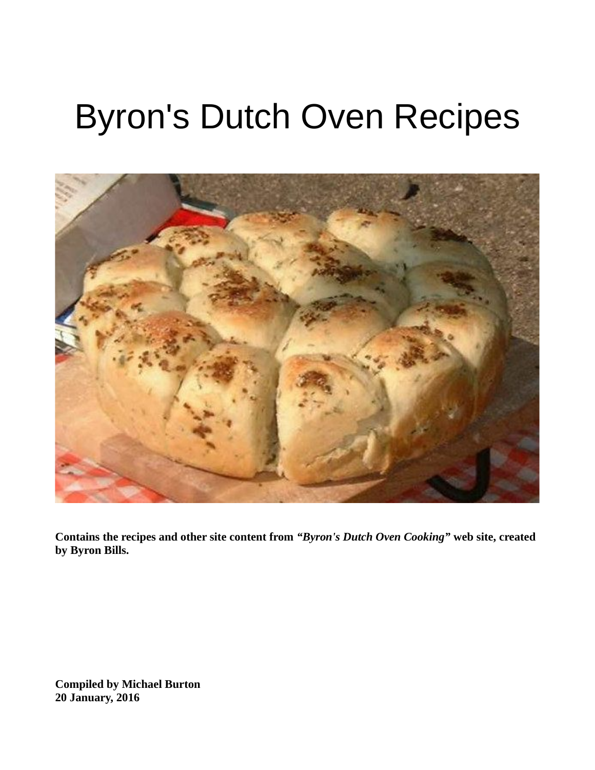# Byron's Dutch Oven Recipes



**Contains the recipes and other site content from** *"Byron's Dutch Oven Cooking"* **web site, created by Byron Bills.**

**Compiled by Michael Burton 20 January, 2016**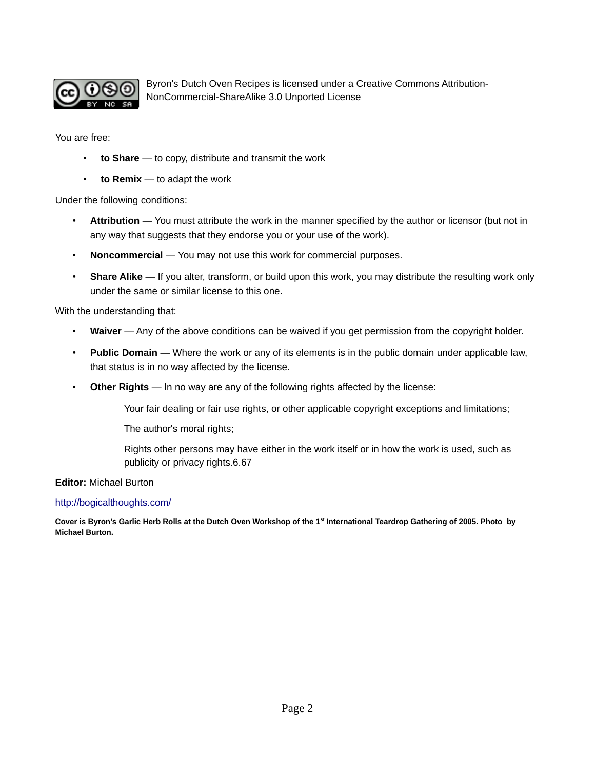

Byron's Dutch Oven Recipes is licensed under a Creative Commons Attribution-NonCommercial-ShareAlike 3.0 Unported License

You are free:

- **to Share** to copy, distribute and transmit the work
- **to Remix**  to adapt the work

Under the following conditions:

- **Attribution**  You must attribute the work in the manner specified by the author or licensor (but not in any way that suggests that they endorse you or your use of the work).
- Noncommercial You may not use this work for commercial purposes.
- **Share Alike**  If you alter, transform, or build upon this work, you may distribute the resulting work only under the same or similar license to this one.

With the understanding that:

- Waiver Any of the above conditions can be waived if you get permission from the copyright holder.
- **Public Domain**  Where the work or any of its elements is in the public domain under applicable law, that status is in no way affected by the license.
- **Other Rights**  In no way are any of the following rights affected by the license:

Your fair dealing or fair use rights, or other applicable copyright exceptions and limitations;

The author's moral rights;

Rights other persons may have either in the work itself or in how the work is used, such as publicity or privacy rights.6.67

**Editor:** Michael Burton

#### <http://bogicalthoughts.com/>

**Cover is Byron's Garlic Herb Rolls at the Dutch Oven Workshop of the 1st International Teardrop Gathering of 2005. Photo by Michael Burton.**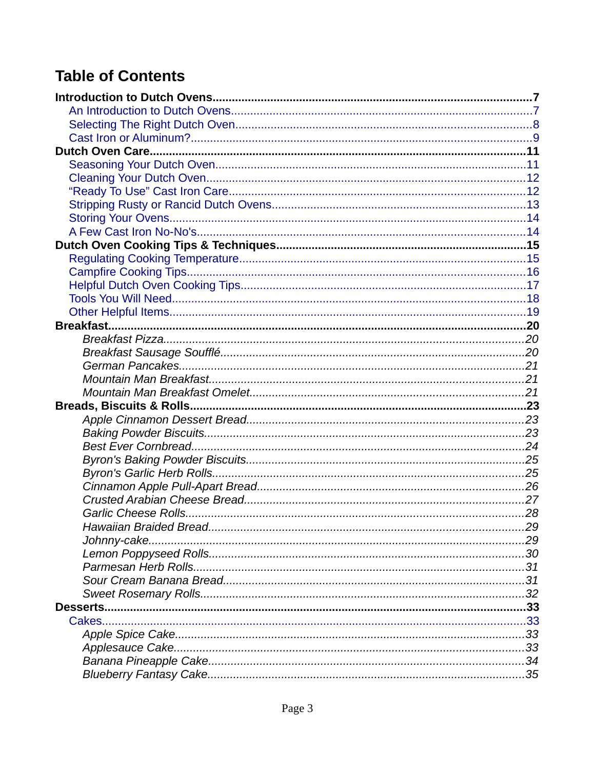# **Table of Contents**

| Cakes |  |
|-------|--|
|       |  |
|       |  |
|       |  |
|       |  |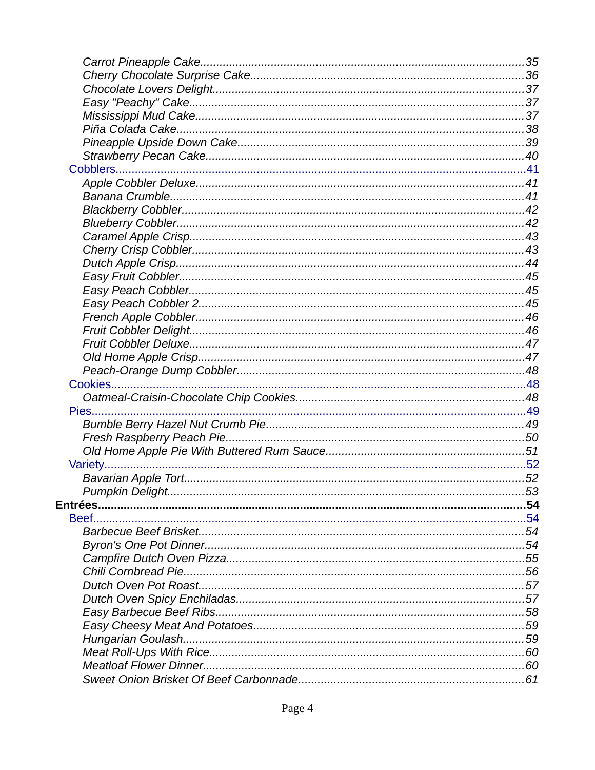| Entrées |  |
|---------|--|
|         |  |
|         |  |
|         |  |
|         |  |
|         |  |
|         |  |
|         |  |
|         |  |
|         |  |
|         |  |
|         |  |
|         |  |
|         |  |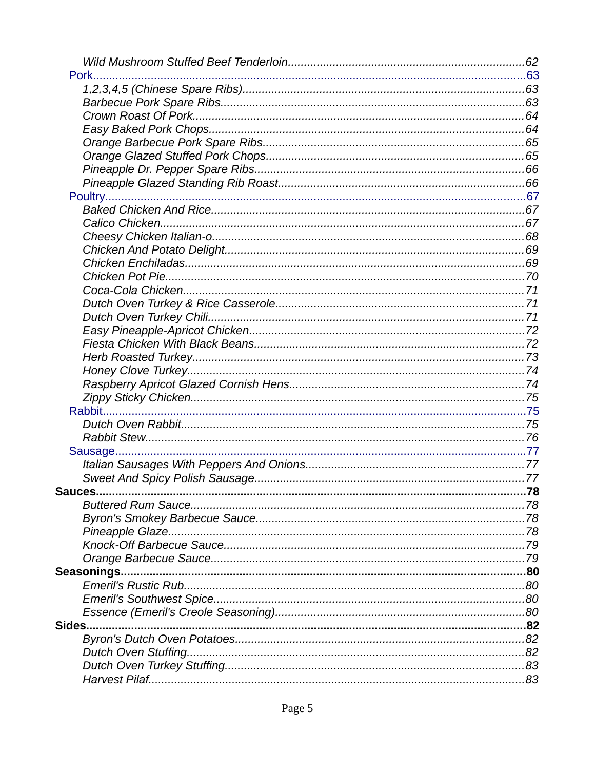| Pork.          |  |
|----------------|--|
|                |  |
|                |  |
|                |  |
|                |  |
|                |  |
|                |  |
|                |  |
|                |  |
|                |  |
|                |  |
|                |  |
|                |  |
|                |  |
|                |  |
|                |  |
|                |  |
|                |  |
|                |  |
|                |  |
|                |  |
|                |  |
|                |  |
|                |  |
|                |  |
|                |  |
|                |  |
|                |  |
|                |  |
|                |  |
| <b>Sauces.</b> |  |
|                |  |
|                |  |
|                |  |
|                |  |
|                |  |
|                |  |
|                |  |
|                |  |
|                |  |
| Sides          |  |
|                |  |
|                |  |
|                |  |
|                |  |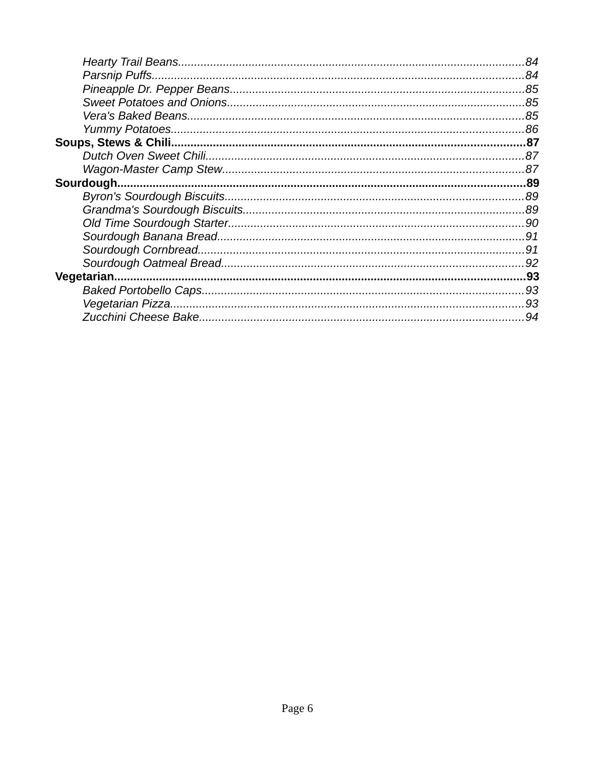| 84 |
|----|
|    |
|    |
|    |
|    |
|    |
|    |
|    |
|    |
|    |
|    |
|    |
|    |
|    |
|    |
|    |
|    |
|    |
|    |
| 94 |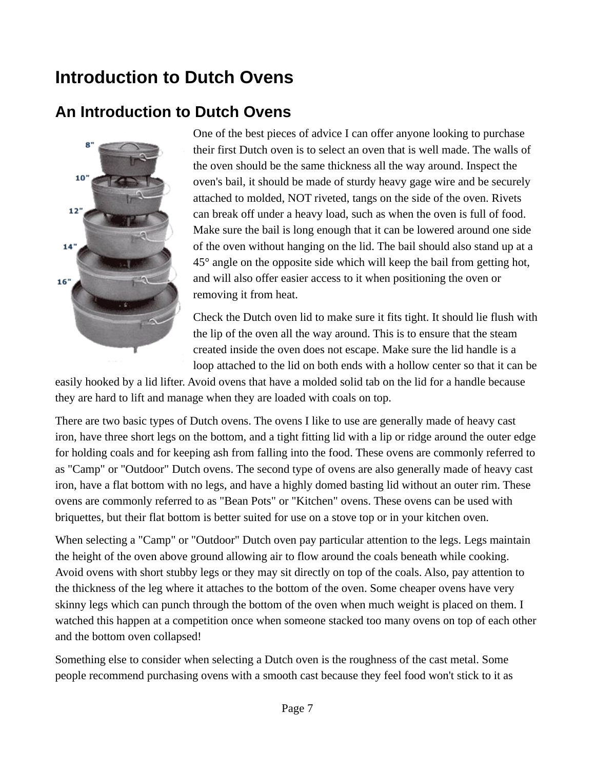# <span id="page-6-1"></span>**Introduction to Dutch Ovens**

### <span id="page-6-0"></span>**An Introduction to Dutch Ovens**



One of the best pieces of advice I can offer anyone looking to purchase their first Dutch oven is to select an oven that is well made. The walls of the oven should be the same thickness all the way around. Inspect the oven's bail, it should be made of sturdy heavy gage wire and be securely attached to molded, NOT riveted, tangs on the side of the oven. Rivets can break off under a heavy load, such as when the oven is full of food. Make sure the bail is long enough that it can be lowered around one side of the oven without hanging on the lid. The bail should also stand up at a 45° angle on the opposite side which will keep the bail from getting hot, and will also offer easier access to it when positioning the oven or removing it from heat.

Check the Dutch oven lid to make sure it fits tight. It should lie flush with the lip of the oven all the way around. This is to ensure that the steam created inside the oven does not escape. Make sure the lid handle is a loop attached to the lid on both ends with a hollow center so that it can be

easily hooked by a lid lifter. Avoid ovens that have a molded solid tab on the lid for a handle because they are hard to lift and manage when they are loaded with coals on top.

There are two basic types of Dutch ovens. The ovens I like to use are generally made of heavy cast iron, have three short legs on the bottom, and a tight fitting lid with a lip or ridge around the outer edge for holding coals and for keeping ash from falling into the food. These ovens are commonly referred to as "Camp" or "Outdoor" Dutch ovens. The second type of ovens are also generally made of heavy cast iron, have a flat bottom with no legs, and have a highly domed basting lid without an outer rim. These ovens are commonly referred to as "Bean Pots" or "Kitchen" ovens. These ovens can be used with briquettes, but their flat bottom is better suited for use on a stove top or in your kitchen oven.

When selecting a "Camp" or "Outdoor" Dutch oven pay particular attention to the legs. Legs maintain the height of the oven above ground allowing air to flow around the coals beneath while cooking. Avoid ovens with short stubby legs or they may sit directly on top of the coals. Also, pay attention to the thickness of the leg where it attaches to the bottom of the oven. Some cheaper ovens have very skinny legs which can punch through the bottom of the oven when much weight is placed on them. I watched this happen at a competition once when someone stacked too many ovens on top of each other and the bottom oven collapsed!

Something else to consider when selecting a Dutch oven is the roughness of the cast metal. Some people recommend purchasing ovens with a smooth cast because they feel food won't stick to it as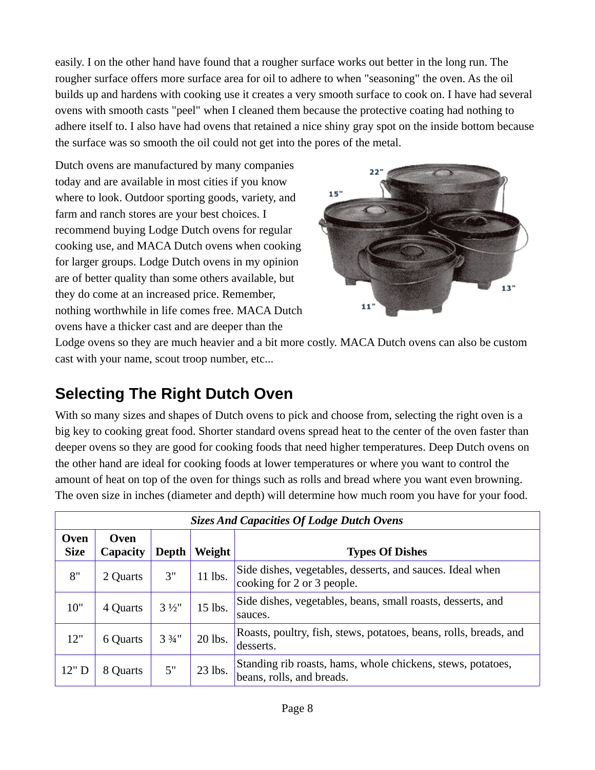easily. I on the other hand have found that a rougher surface works out better in the long run. The rougher surface offers more surface area for oil to adhere to when "seasoning" the oven. As the oil builds up and hardens with cooking use it creates a very smooth surface to cook on. I have had several ovens with smooth casts "peel" when I cleaned them because the protective coating had nothing to adhere itself to. I also have had ovens that retained a nice shiny gray spot on the inside bottom because the surface was so smooth the oil could not get into the pores of the metal.

Dutch ovens are manufactured by many companies today and are available in most cities if you know where to look. Outdoor sporting goods, variety, and farm and ranch stores are your best choices. I recommend buying Lodge Dutch ovens for regular cooking use, and MACA Dutch ovens when cooking for larger groups. Lodge Dutch ovens in my opinion are of better quality than some others available, but they do come at an increased price. Remember, nothing worthwhile in life comes free. MACA Dutch ovens have a thicker cast and are deeper than the



Lodge ovens so they are much heavier and a bit more costly. MACA Dutch ovens can also be custom cast with your name, scout troop number, etc...

# <span id="page-7-0"></span>**Selecting The Right Dutch Oven**

With so many sizes and shapes of Dutch ovens to pick and choose from, selecting the right oven is a big key to cooking great food. Shorter standard ovens spread heat to the center of the oven faster than deeper ovens so they are good for cooking foods that need higher temperatures. Deep Dutch ovens on the other hand are ideal for cooking foods at lower temperatures or where you want to control the amount of heat on top of the oven for things such as rolls and bread where you want even browning. The oven size in inches (diameter and depth) will determine how much room you have for your food.

| <b>Sizes And Capacities Of Lodge Dutch Ovens</b>                                                          |          |                  |           |                                                                                          |
|-----------------------------------------------------------------------------------------------------------|----------|------------------|-----------|------------------------------------------------------------------------------------------|
| <b>Oven</b><br><b>Oven</b><br><b>Size</b><br>Weight<br><b>Types Of Dishes</b><br>Depth<br><b>Capacity</b> |          |                  |           |                                                                                          |
| 8"                                                                                                        | 2 Quarts | 3"               | $11$ lbs. | Side dishes, vegetables, desserts, and sauces. Ideal when<br>cooking for 2 or 3 people.  |
| 10"                                                                                                       | 4 Quarts | $3\frac{1}{2}$ " | $15$ lbs. | Side dishes, vegetables, beans, small roasts, desserts, and<br>sauces.                   |
| 12"                                                                                                       | 6 Quarts | $3\frac{3}{4}$ " | 20 lbs.   | Roasts, poultry, fish, stews, potatoes, beans, rolls, breads, and<br>desserts.           |
| 12" D                                                                                                     | 8 Quarts | 5"               | $23$ lbs. | Standing rib roasts, hams, whole chickens, stews, potatoes,<br>beans, rolls, and breads. |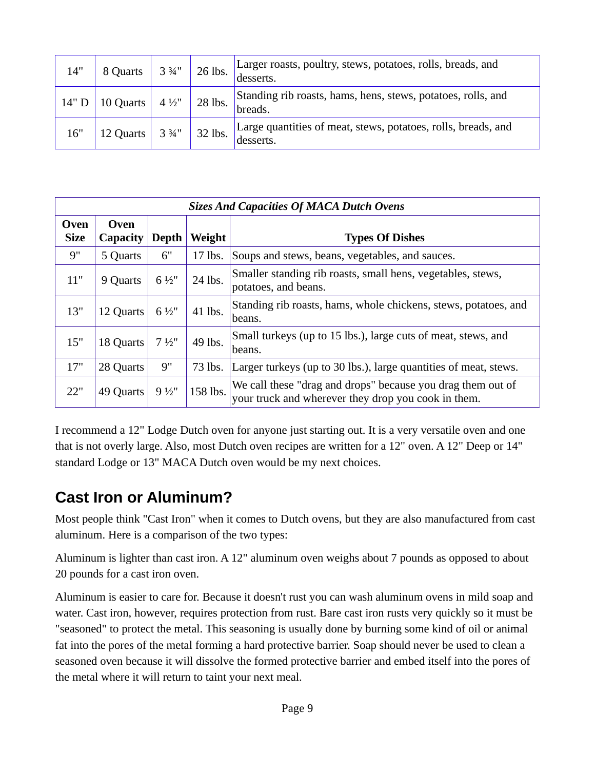| 14"   | 8 Quarts      | $3\frac{3}{4}$ " | 26 lbs. | Larger roasts, poultry, stews, potatoes, rolls, breads, and<br>desserts.   |
|-------|---------------|------------------|---------|----------------------------------------------------------------------------|
| 14" D | 10 Quarts $ $ | $4\frac{1}{2}$ " | 28 lbs. | Standing rib roasts, hams, hens, stews, potatoes, rolls, and<br>breads.    |
| 16"   | 12 Quarts     | 3 3⁄4"           | 32 lbs. | Large quantities of meat, stews, potatoes, rolls, breads, and<br>desserts. |

| <b>Sizes And Capacities Of MACA Dutch Ovens</b> |                                |                  |          |                                                                                                                    |
|-------------------------------------------------|--------------------------------|------------------|----------|--------------------------------------------------------------------------------------------------------------------|
| Oven<br><b>Size</b>                             | <b>Oven</b><br><b>Capacity</b> | Depth            | Weight   | <b>Types Of Dishes</b>                                                                                             |
| 9"                                              | 5 Quarts                       | 6"               | 17 lbs.  | Soups and stews, beans, vegetables, and sauces.                                                                    |
| 11"                                             | 9 Quarts                       | $6\frac{1}{2}$ " | 24 lbs.  | Smaller standing rib roasts, small hens, vegetables, stews,<br>potatoes, and beans.                                |
| 13"                                             | 12 Quarts                      | $6\frac{1}{2}$ " | 41 lbs.  | Standing rib roasts, hams, whole chickens, stews, potatoes, and<br>beans.                                          |
| 15"                                             | 18 Quarts                      | $7\frac{1}{2}$ " | 49 lbs.  | Small turkeys (up to 15 lbs.), large cuts of meat, stews, and<br>beans.                                            |
| 17"                                             | 28 Quarts                      | 9"               | 73 lbs.  | Larger turkeys (up to 30 lbs.), large quantities of meat, stews.                                                   |
| 22"                                             | 49 Quarts                      | 9 1/2"           | 158 lbs. | We call these "drag and drops" because you drag them out of<br>your truck and wherever they drop you cook in them. |

I recommend a 12" Lodge Dutch oven for anyone just starting out. It is a very versatile oven and one that is not overly large. Also, most Dutch oven recipes are written for a 12" oven. A 12" Deep or 14" standard Lodge or 13" MACA Dutch oven would be my next choices.

### <span id="page-8-0"></span>**Cast Iron or Aluminum?**

Most people think "Cast Iron" when it comes to Dutch ovens, but they are also manufactured from cast aluminum. Here is a comparison of the two types:

Aluminum is lighter than cast iron. A 12" aluminum oven weighs about 7 pounds as opposed to about 20 pounds for a cast iron oven.

Aluminum is easier to care for. Because it doesn't rust you can wash aluminum ovens in mild soap and water. Cast iron, however, requires protection from rust. Bare cast iron rusts very quickly so it must be "seasoned" to protect the metal. This seasoning is usually done by burning some kind of oil or animal fat into the pores of the metal forming a hard protective barrier. Soap should never be used to clean a seasoned oven because it will dissolve the formed protective barrier and embed itself into the pores of the metal where it will return to taint your next meal.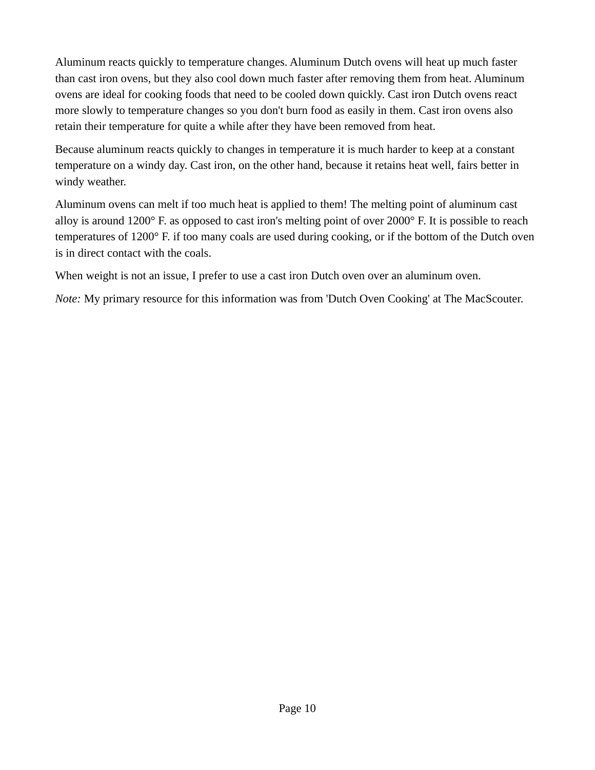Aluminum reacts quickly to temperature changes. Aluminum Dutch ovens will heat up much faster than cast iron ovens, but they also cool down much faster after removing them from heat. Aluminum ovens are ideal for cooking foods that need to be cooled down quickly. Cast iron Dutch ovens react more slowly to temperature changes so you don't burn food as easily in them. Cast iron ovens also retain their temperature for quite a while after they have been removed from heat.

Because aluminum reacts quickly to changes in temperature it is much harder to keep at a constant temperature on a windy day. Cast iron, on the other hand, because it retains heat well, fairs better in windy weather.

Aluminum ovens can melt if too much heat is applied to them! The melting point of aluminum cast alloy is around 1200° F. as opposed to cast iron's melting point of over 2000° F. It is possible to reach temperatures of 1200° F. if too many coals are used during cooking, or if the bottom of the Dutch oven is in direct contact with the coals.

When weight is not an issue, I prefer to use a cast iron Dutch oven over an aluminum oven.

*Note:* My primary resource for this information was from 'Dutch Oven Cooking' at The MacScouter.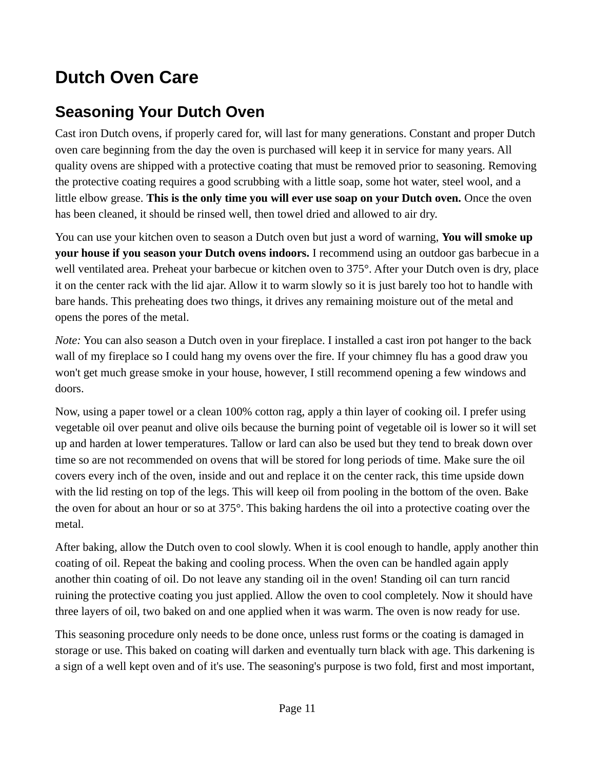# <span id="page-10-1"></span>**Dutch Oven Care**

# <span id="page-10-0"></span>**Seasoning Your Dutch Oven**

Cast iron Dutch ovens, if properly cared for, will last for many generations. Constant and proper Dutch oven care beginning from the day the oven is purchased will keep it in service for many years. All quality ovens are shipped with a protective coating that must be removed prior to seasoning. Removing the protective coating requires a good scrubbing with a little soap, some hot water, steel wool, and a little elbow grease. **This is the only time you will ever use soap on your Dutch oven.** Once the oven has been cleaned, it should be rinsed well, then towel dried and allowed to air dry.

You can use your kitchen oven to season a Dutch oven but just a word of warning, **You will smoke up your house if you season your Dutch ovens indoors.** I recommend using an outdoor gas barbecue in a well ventilated area. Preheat your barbecue or kitchen oven to 375°. After your Dutch oven is dry, place it on the center rack with the lid ajar. Allow it to warm slowly so it is just barely too hot to handle with bare hands. This preheating does two things, it drives any remaining moisture out of the metal and opens the pores of the metal.

*Note:* You can also season a Dutch oven in your fireplace. I installed a cast iron pot hanger to the back wall of my fireplace so I could hang my ovens over the fire. If your chimney flu has a good draw you won't get much grease smoke in your house, however, I still recommend opening a few windows and doors.

Now, using a paper towel or a clean 100% cotton rag, apply a thin layer of cooking oil. I prefer using vegetable oil over peanut and olive oils because the burning point of vegetable oil is lower so it will set up and harden at lower temperatures. Tallow or lard can also be used but they tend to break down over time so are not recommended on ovens that will be stored for long periods of time. Make sure the oil covers every inch of the oven, inside and out and replace it on the center rack, this time upside down with the lid resting on top of the legs. This will keep oil from pooling in the bottom of the oven. Bake the oven for about an hour or so at 375°. This baking hardens the oil into a protective coating over the metal.

After baking, allow the Dutch oven to cool slowly. When it is cool enough to handle, apply another thin coating of oil. Repeat the baking and cooling process. When the oven can be handled again apply another thin coating of oil. Do not leave any standing oil in the oven! Standing oil can turn rancid ruining the protective coating you just applied. Allow the oven to cool completely. Now it should have three layers of oil, two baked on and one applied when it was warm. The oven is now ready for use.

This seasoning procedure only needs to be done once, unless rust forms or the coating is damaged in storage or use. This baked on coating will darken and eventually turn black with age. This darkening is a sign of a well kept oven and of it's use. The seasoning's purpose is two fold, first and most important,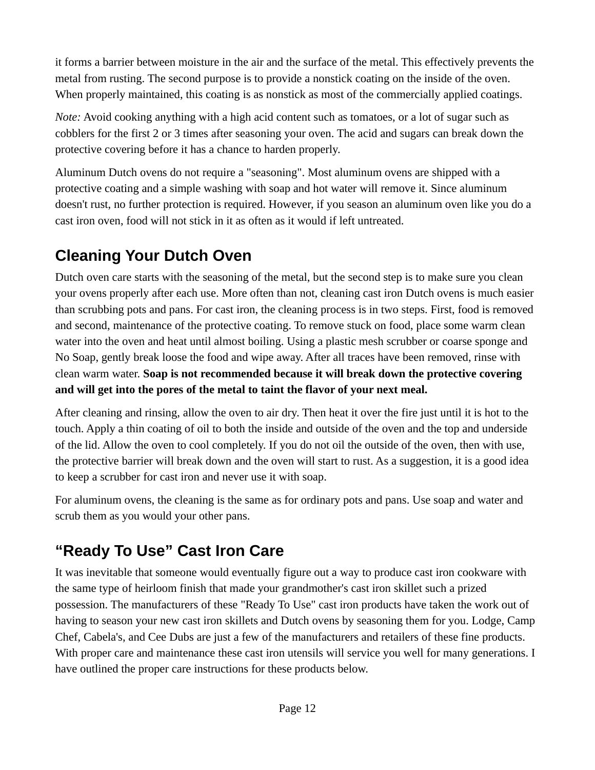it forms a barrier between moisture in the air and the surface of the metal. This effectively prevents the metal from rusting. The second purpose is to provide a nonstick coating on the inside of the oven. When properly maintained, this coating is as nonstick as most of the commercially applied coatings.

*Note:* Avoid cooking anything with a high acid content such as tomatoes, or a lot of sugar such as cobblers for the first 2 or 3 times after seasoning your oven. The acid and sugars can break down the protective covering before it has a chance to harden properly.

Aluminum Dutch ovens do not require a "seasoning". Most aluminum ovens are shipped with a protective coating and a simple washing with soap and hot water will remove it. Since aluminum doesn't rust, no further protection is required. However, if you season an aluminum oven like you do a cast iron oven, food will not stick in it as often as it would if left untreated.

# <span id="page-11-1"></span>**Cleaning Your Dutch Oven**

Dutch oven care starts with the seasoning of the metal, but the second step is to make sure you clean your ovens properly after each use. More often than not, cleaning cast iron Dutch ovens is much easier than scrubbing pots and pans. For cast iron, the cleaning process is in two steps. First, food is removed and second, maintenance of the protective coating. To remove stuck on food, place some warm clean water into the oven and heat until almost boiling. Using a plastic mesh scrubber or coarse sponge and No Soap, gently break loose the food and wipe away. After all traces have been removed, rinse with clean warm water. **Soap is not recommended because it will break down the protective covering and will get into the pores of the metal to taint the flavor of your next meal.**

After cleaning and rinsing, allow the oven to air dry. Then heat it over the fire just until it is hot to the touch. Apply a thin coating of oil to both the inside and outside of the oven and the top and underside of the lid. Allow the oven to cool completely. If you do not oil the outside of the oven, then with use, the protective barrier will break down and the oven will start to rust. As a suggestion, it is a good idea to keep a scrubber for cast iron and never use it with soap.

For aluminum ovens, the cleaning is the same as for ordinary pots and pans. Use soap and water and scrub them as you would your other pans.

# <span id="page-11-0"></span>**"Ready To Use" Cast Iron Care**

It was inevitable that someone would eventually figure out a way to produce cast iron cookware with the same type of heirloom finish that made your grandmother's cast iron skillet such a prized possession. The manufacturers of these "Ready To Use" cast iron products have taken the work out of having to season your new cast iron skillets and Dutch ovens by seasoning them for you. Lodge, Camp Chef, Cabela's, and Cee Dubs are just a few of the manufacturers and retailers of these fine products. With proper care and maintenance these cast iron utensils will service you well for many generations. I have outlined the proper care instructions for these products below.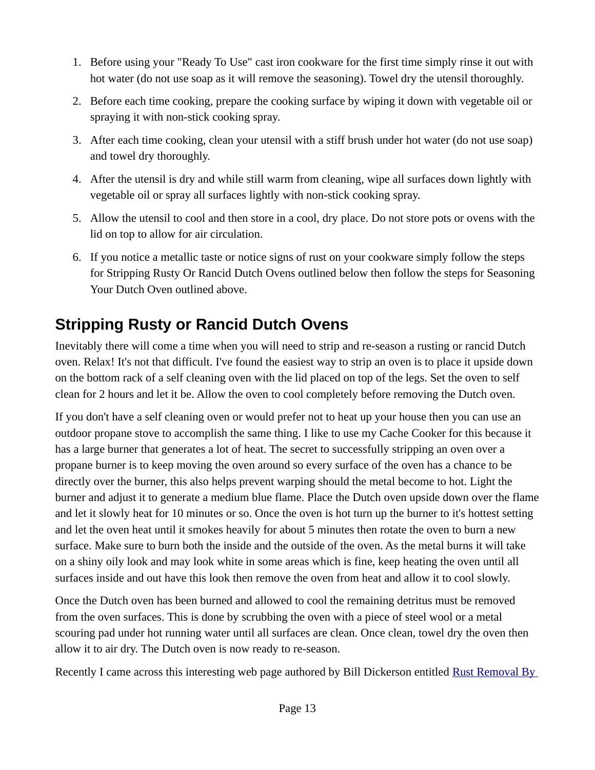- 1. Before using your "Ready To Use" cast iron cookware for the first time simply rinse it out with hot water (do not use soap as it will remove the seasoning). Towel dry the utensil thoroughly.
- 2. Before each time cooking, prepare the cooking surface by wiping it down with vegetable oil or spraying it with non-stick cooking spray.
- 3. After each time cooking, clean your utensil with a stiff brush under hot water (do not use soap) and towel dry thoroughly.
- 4. After the utensil is dry and while still warm from cleaning, wipe all surfaces down lightly with vegetable oil or spray all surfaces lightly with non-stick cooking spray.
- 5. Allow the utensil to cool and then store in a cool, dry place. Do not store pots or ovens with the lid on top to allow for air circulation.
- 6. If you notice a metallic taste or notice signs of rust on your cookware simply follow the steps for Stripping Rusty Or Rancid Dutch Ovens outlined below then follow the steps for Seasoning Your Dutch Oven outlined above.

# <span id="page-12-0"></span>**Stripping Rusty or Rancid Dutch Ovens**

Inevitably there will come a time when you will need to strip and re-season a rusting or rancid Dutch oven. Relax! It's not that difficult. I've found the easiest way to strip an oven is to place it upside down on the bottom rack of a self cleaning oven with the lid placed on top of the legs. Set the oven to self clean for 2 hours and let it be. Allow the oven to cool completely before removing the Dutch oven.

If you don't have a self cleaning oven or would prefer not to heat up your house then you can use an outdoor propane stove to accomplish the same thing. I like to use my Cache Cooker for this because it has a large burner that generates a lot of heat. The secret to successfully stripping an oven over a propane burner is to keep moving the oven around so every surface of the oven has a chance to be directly over the burner, this also helps prevent warping should the metal become to hot. Light the burner and adjust it to generate a medium blue flame. Place the Dutch oven upside down over the flame and let it slowly heat for 10 minutes or so. Once the oven is hot turn up the burner to it's hottest setting and let the oven heat until it smokes heavily for about 5 minutes then rotate the oven to burn a new surface. Make sure to burn both the inside and the outside of the oven. As the metal burns it will take on a shiny oily look and may look white in some areas which is fine, keep heating the oven until all surfaces inside and out have this look then remove the oven from heat and allow it to cool slowly.

Once the Dutch oven has been burned and allowed to cool the remaining detritus must be removed from the oven surfaces. This is done by scrubbing the oven with a piece of steel wool or a metal scouring pad under hot running water until all surfaces are clean. Once clean, towel dry the oven then allow it to air dry. The Dutch oven is now ready to re-season.

Recently I came across this interesting web page authored by Bill Dickerson entitled Rust Removal By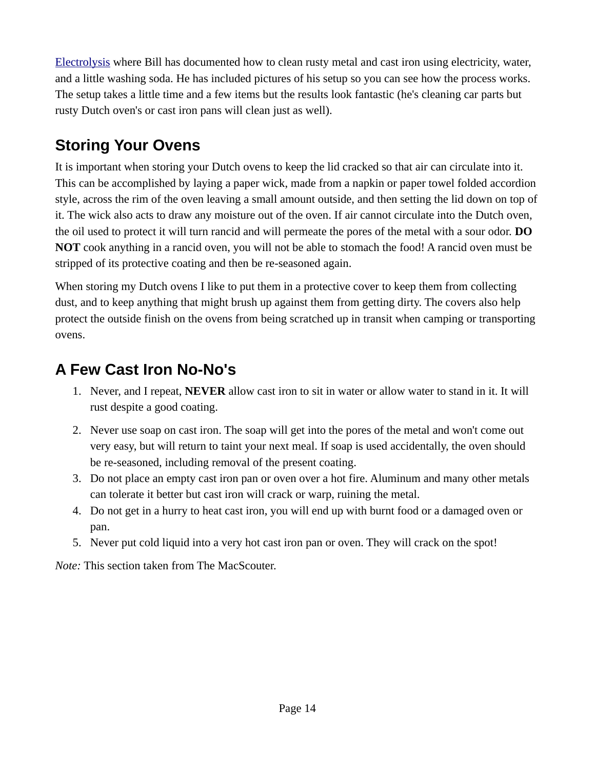[Electrolysis](http://antique-engines.com/electrol.asp) where Bill has documented how to clean rusty metal and cast iron using electricity, water, and a little washing soda. He has included pictures of his setup so you can see how the process works. The setup takes a little time and a few items but the results look fantastic (he's cleaning car parts but rusty Dutch oven's or cast iron pans will clean just as well).

# <span id="page-13-1"></span>**Storing Your Ovens**

It is important when storing your Dutch ovens to keep the lid cracked so that air can circulate into it. This can be accomplished by laying a paper wick, made from a napkin or paper towel folded accordion style, across the rim of the oven leaving a small amount outside, and then setting the lid down on top of it. The wick also acts to draw any moisture out of the oven. If air cannot circulate into the Dutch oven, the oil used to protect it will turn rancid and will permeate the pores of the metal with a sour odor. **DO NOT** cook anything in a rancid oven, you will not be able to stomach the food! A rancid oven must be stripped of its protective coating and then be re-seasoned again.

When storing my Dutch ovens I like to put them in a protective cover to keep them from collecting dust, and to keep anything that might brush up against them from getting dirty. The covers also help protect the outside finish on the ovens from being scratched up in transit when camping or transporting ovens.

# <span id="page-13-0"></span>**A Few Cast Iron No-No's**

- 1. Never, and I repeat, **NEVER** allow cast iron to sit in water or allow water to stand in it. It will rust despite a good coating.
- 2. Never use soap on cast iron. The soap will get into the pores of the metal and won't come out very easy, but will return to taint your next meal. If soap is used accidentally, the oven should be re-seasoned, including removal of the present coating.
- 3. Do not place an empty cast iron pan or oven over a hot fire. Aluminum and many other metals can tolerate it better but cast iron will crack or warp, ruining the metal.
- 4. Do not get in a hurry to heat cast iron, you will end up with burnt food or a damaged oven or pan.
- 5. Never put cold liquid into a very hot cast iron pan or oven. They will crack on the spot!

*Note:* This section taken from The MacScouter.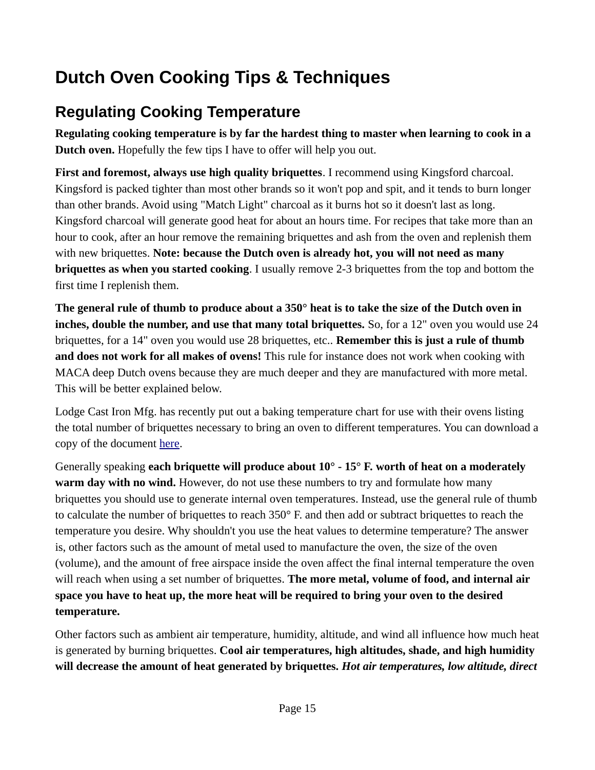# <span id="page-14-1"></span>**Dutch Oven Cooking Tips & Techniques**

# <span id="page-14-0"></span>**Regulating Cooking Temperature**

**Regulating cooking temperature is by far the hardest thing to master when learning to cook in a Dutch oven.** Hopefully the few tips I have to offer will help you out.

**First and foremost, always use high quality briquettes**. I recommend using Kingsford charcoal. Kingsford is packed tighter than most other brands so it won't pop and spit, and it tends to burn longer than other brands. Avoid using "Match Light" charcoal as it burns hot so it doesn't last as long. Kingsford charcoal will generate good heat for about an hours time. For recipes that take more than an hour to cook, after an hour remove the remaining briquettes and ash from the oven and replenish them with new briquettes. **Note: because the Dutch oven is already hot, you will not need as many briquettes as when you started cooking**. I usually remove 2-3 briquettes from the top and bottom the first time I replenish them.

**The general rule of thumb to produce about a 350° heat is to take the size of the Dutch oven in inches, double the number, and use that many total briquettes.** So, for a 12" oven you would use 24 briquettes, for a 14" oven you would use 28 briquettes, etc.. **Remember this is just a rule of thumb and does not work for all makes of ovens!** This rule for instance does not work when cooking with MACA deep Dutch ovens because they are much deeper and they are manufactured with more metal. This will be better explained below.

Lodge Cast Iron Mfg. has recently put out a baking temperature chart for use with their ovens listing the total number of briquettes necessary to bring an oven to different temperatures. You can download a copy of the document [here.](http://scouts.lamb-thielen.com/data/papadutch.home.comcast.net/LodgeBakingTempChart.doc)

Generally speaking **each briquette will produce about 10° - 15° F. worth of heat on a moderately warm day with no wind.** However, do not use these numbers to try and formulate how many briquettes you should use to generate internal oven temperatures. Instead, use the general rule of thumb to calculate the number of briquettes to reach 350° F. and then add or subtract briquettes to reach the temperature you desire. Why shouldn't you use the heat values to determine temperature? The answer is, other factors such as the amount of metal used to manufacture the oven, the size of the oven (volume), and the amount of free airspace inside the oven affect the final internal temperature the oven will reach when using a set number of briquettes. **The more metal, volume of food, and internal air space you have to heat up, the more heat will be required to bring your oven to the desired temperature.**

Other factors such as ambient air temperature, humidity, altitude, and wind all influence how much heat is generated by burning briquettes. **Cool air temperatures, high altitudes, shade, and high humidity will decrease the amount of heat generated by briquettes.** *Hot air temperatures, low altitude, direct*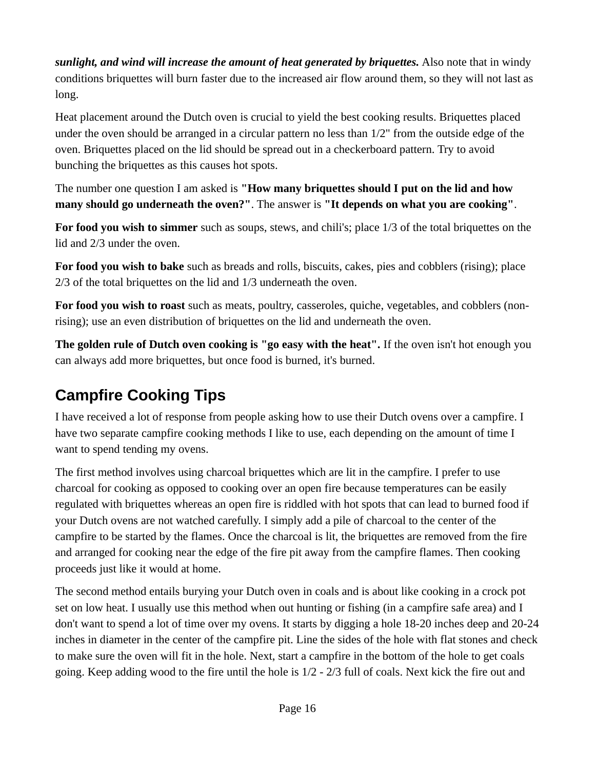*sunlight, and wind will increase the amount of heat generated by briquettes.* Also note that in windy conditions briquettes will burn faster due to the increased air flow around them, so they will not last as long.

Heat placement around the Dutch oven is crucial to yield the best cooking results. Briquettes placed under the oven should be arranged in a circular pattern no less than 1/2" from the outside edge of the oven. Briquettes placed on the lid should be spread out in a checkerboard pattern. Try to avoid bunching the briquettes as this causes hot spots.

The number one question I am asked is **"How many briquettes should I put on the lid and how many should go underneath the oven?"**. The answer is **"It depends on what you are cooking"**.

**For food you wish to simmer** such as soups, stews, and chili's; place 1/3 of the total briquettes on the lid and 2/3 under the oven.

**For food you wish to bake** such as breads and rolls, biscuits, cakes, pies and cobblers (rising); place 2/3 of the total briquettes on the lid and 1/3 underneath the oven.

**For food you wish to roast** such as meats, poultry, casseroles, quiche, vegetables, and cobblers (nonrising); use an even distribution of briquettes on the lid and underneath the oven.

**The golden rule of Dutch oven cooking is "go easy with the heat".** If the oven isn't hot enough you can always add more briquettes, but once food is burned, it's burned.

# <span id="page-15-0"></span>**Campfire Cooking Tips**

I have received a lot of response from people asking how to use their Dutch ovens over a campfire. I have two separate campfire cooking methods I like to use, each depending on the amount of time I want to spend tending my ovens.

The first method involves using charcoal briquettes which are lit in the campfire. I prefer to use charcoal for cooking as opposed to cooking over an open fire because temperatures can be easily regulated with briquettes whereas an open fire is riddled with hot spots that can lead to burned food if your Dutch ovens are not watched carefully. I simply add a pile of charcoal to the center of the campfire to be started by the flames. Once the charcoal is lit, the briquettes are removed from the fire and arranged for cooking near the edge of the fire pit away from the campfire flames. Then cooking proceeds just like it would at home.

The second method entails burying your Dutch oven in coals and is about like cooking in a crock pot set on low heat. I usually use this method when out hunting or fishing (in a campfire safe area) and I don't want to spend a lot of time over my ovens. It starts by digging a hole 18-20 inches deep and 20-24 inches in diameter in the center of the campfire pit. Line the sides of the hole with flat stones and check to make sure the oven will fit in the hole. Next, start a campfire in the bottom of the hole to get coals going. Keep adding wood to the fire until the hole is 1/2 - 2/3 full of coals. Next kick the fire out and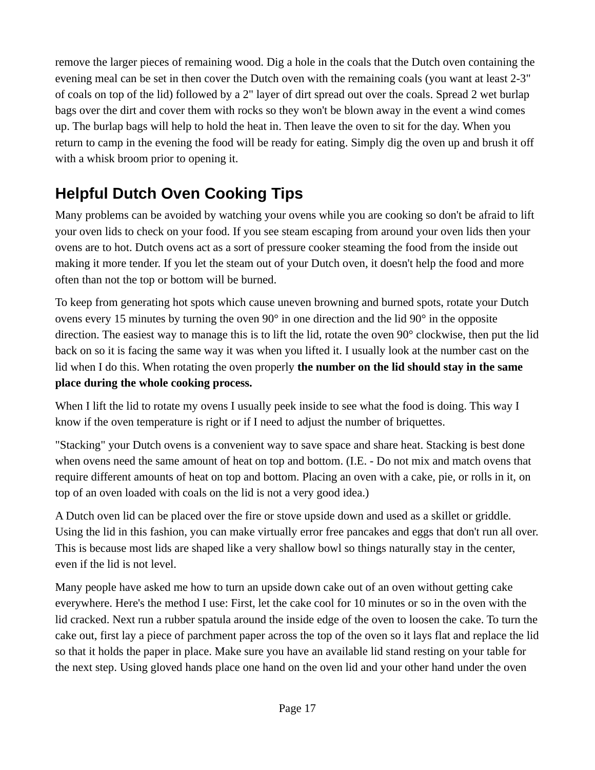remove the larger pieces of remaining wood. Dig a hole in the coals that the Dutch oven containing the evening meal can be set in then cover the Dutch oven with the remaining coals (you want at least 2-3" of coals on top of the lid) followed by a 2" layer of dirt spread out over the coals. Spread 2 wet burlap bags over the dirt and cover them with rocks so they won't be blown away in the event a wind comes up. The burlap bags will help to hold the heat in. Then leave the oven to sit for the day. When you return to camp in the evening the food will be ready for eating. Simply dig the oven up and brush it off with a whisk broom prior to opening it.

# <span id="page-16-0"></span>**Helpful Dutch Oven Cooking Tips**

Many problems can be avoided by watching your ovens while you are cooking so don't be afraid to lift your oven lids to check on your food. If you see steam escaping from around your oven lids then your ovens are to hot. Dutch ovens act as a sort of pressure cooker steaming the food from the inside out making it more tender. If you let the steam out of your Dutch oven, it doesn't help the food and more often than not the top or bottom will be burned.

To keep from generating hot spots which cause uneven browning and burned spots, rotate your Dutch ovens every 15 minutes by turning the oven 90° in one direction and the lid 90° in the opposite direction. The easiest way to manage this is to lift the lid, rotate the oven 90° clockwise, then put the lid back on so it is facing the same way it was when you lifted it. I usually look at the number cast on the lid when I do this. When rotating the oven properly **the number on the lid should stay in the same place during the whole cooking process.**

When I lift the lid to rotate my ovens I usually peek inside to see what the food is doing. This way I know if the oven temperature is right or if I need to adjust the number of briquettes.

"Stacking" your Dutch ovens is a convenient way to save space and share heat. Stacking is best done when ovens need the same amount of heat on top and bottom. (I.E. - Do not mix and match ovens that require different amounts of heat on top and bottom. Placing an oven with a cake, pie, or rolls in it, on top of an oven loaded with coals on the lid is not a very good idea.)

A Dutch oven lid can be placed over the fire or stove upside down and used as a skillet or griddle. Using the lid in this fashion, you can make virtually error free pancakes and eggs that don't run all over. This is because most lids are shaped like a very shallow bowl so things naturally stay in the center, even if the lid is not level.

Many people have asked me how to turn an upside down cake out of an oven without getting cake everywhere. Here's the method I use: First, let the cake cool for 10 minutes or so in the oven with the lid cracked. Next run a rubber spatula around the inside edge of the oven to loosen the cake. To turn the cake out, first lay a piece of parchment paper across the top of the oven so it lays flat and replace the lid so that it holds the paper in place. Make sure you have an available lid stand resting on your table for the next step. Using gloved hands place one hand on the oven lid and your other hand under the oven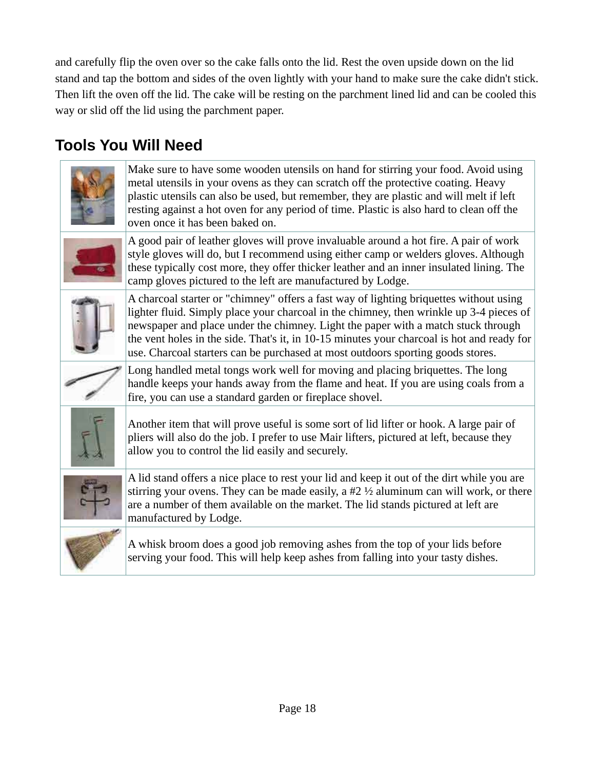and carefully flip the oven over so the cake falls onto the lid. Rest the oven upside down on the lid stand and tap the bottom and sides of the oven lightly with your hand to make sure the cake didn't stick. Then lift the oven off the lid. The cake will be resting on the parchment lined lid and can be cooled this way or slid off the lid using the parchment paper.

# <span id="page-17-0"></span>**Tools You Will Need**



Make sure to have some wooden utensils on hand for stirring your food. Avoid using metal utensils in your ovens as they can scratch off the protective coating. Heavy plastic utensils can also be used, but remember, they are plastic and will melt if left resting against a hot oven for any period of time. Plastic is also hard to clean off the oven once it has been baked on.



A good pair of leather gloves will prove invaluable around a hot fire. A pair of work style gloves will do, but I recommend using either camp or welders gloves. Although these typically cost more, they offer thicker leather and an inner insulated lining. The camp gloves pictured to the left are manufactured by Lodge.



A charcoal starter or "chimney" offers a fast way of lighting briquettes without using lighter fluid. Simply place your charcoal in the chimney, then wrinkle up 3-4 pieces of newspaper and place under the chimney. Light the paper with a match stuck through the vent holes in the side. That's it, in 10-15 minutes your charcoal is hot and ready for use. Charcoal starters can be purchased at most outdoors sporting goods stores.

Long handled metal tongs work well for moving and placing briquettes. The long handle keeps your hands away from the flame and heat. If you are using coals from a fire, you can use a standard garden or fireplace shovel.



Another item that will prove useful is some sort of lid lifter or hook. A large pair of pliers will also do the job. I prefer to use Mair lifters, pictured at left, because they allow you to control the lid easily and securely.



A lid stand offers a nice place to rest your lid and keep it out of the dirt while you are stirring your ovens. They can be made easily, a  $#2 \frac{1}{2}$  aluminum can will work, or there are a number of them available on the market. The lid stands pictured at left are manufactured by Lodge.



A whisk broom does a good job removing ashes from the top of your lids before serving your food. This will help keep ashes from falling into your tasty dishes.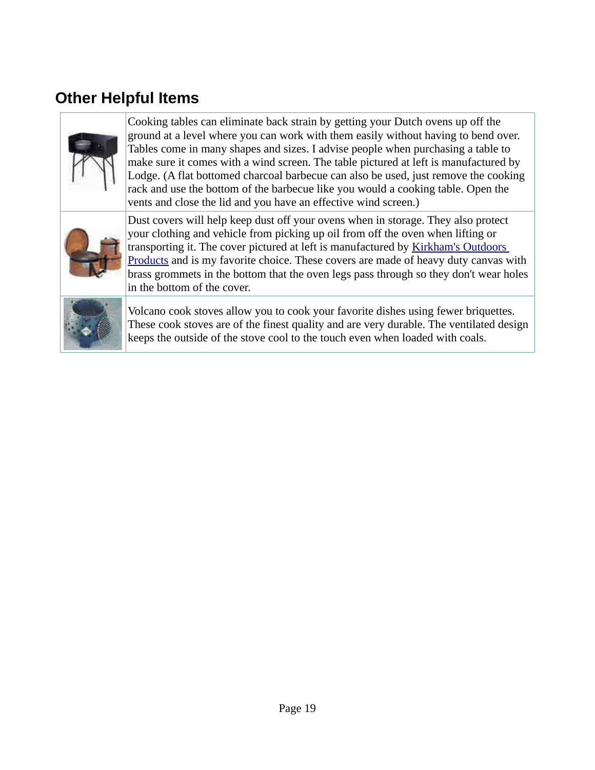### <span id="page-18-0"></span>**Other Helpful Items**



Cooking tables can eliminate back strain by getting your Dutch ovens up off the ground at a level where you can work with them easily without having to bend over. Tables come in many shapes and sizes. I advise people when purchasing a table to make sure it comes with a wind screen. The table pictured at left is manufactured by Lodge. (A flat bottomed charcoal barbecue can also be used, just remove the cooking rack and use the bottom of the barbecue like you would a cooking table. Open the vents and close the lid and you have an effective wind screen.)



Dust covers will help keep dust off your ovens when in storage. They also protect your clothing and vehicle from picking up oil from off the oven when lifting or transporting it. The cover pictured at left is manufactured by Kirkham's Outdoors [Products](http://www.kirkhams.com/tabs/specialty/dutchoven_access.html) and is my favorite choice. These covers are made of heavy duty canvas with brass grommets in the bottom that the oven legs pass through so they don't wear holes in the bottom of the cover.



Volcano cook stoves allow you to cook your favorite dishes using fewer briquettes. These cook stoves are of the finest quality and are very durable. The ventilated design keeps the outside of the stove cool to the touch even when loaded with coals.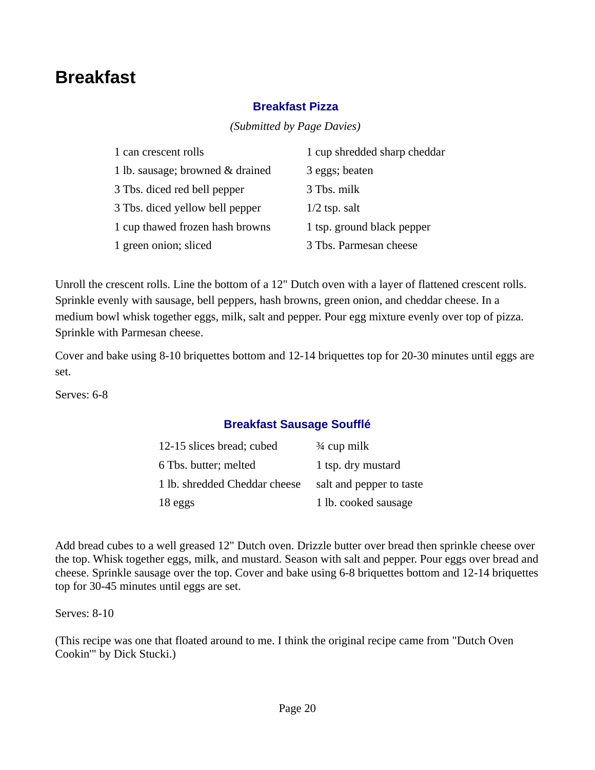# <span id="page-19-2"></span>**Breakfast**

### <span id="page-19-1"></span>**Breakfast Pizza**

*(Submitted by Page Davies)* 

| 1 can crescent rolls             | 1 cup shredded sharp cheddar |
|----------------------------------|------------------------------|
| 1 lb. sausage; browned & drained | 3 eggs; beaten               |
| 3 Tbs. diced red bell pepper     | 3 Tbs. milk                  |
| 3 Tbs. diced yellow bell pepper  | $1/2$ tsp. salt              |
| 1 cup thawed frozen hash browns  | 1 tsp. ground black pepper   |
| 1 green onion; sliced            | 3 Tbs. Parmesan cheese       |

Unroll the crescent rolls. Line the bottom of a 12" Dutch oven with a layer of flattened crescent rolls. Sprinkle evenly with sausage, bell peppers, hash browns, green onion, and cheddar cheese. In a medium bowl whisk together eggs, milk, salt and pepper. Pour egg mixture evenly over top of pizza. Sprinkle with Parmesan cheese.

Cover and bake using 8-10 briquettes bottom and 12-14 briquettes top for 20-30 minutes until eggs are set.

Serves: 6-8

### <span id="page-19-0"></span>**Breakfast Sausage Soufflé**

| 12-15 slices bread; cubed     | $\frac{3}{4}$ cup milk   |
|-------------------------------|--------------------------|
| 6 Tbs. butter; melted         | 1 tsp. dry mustard       |
| 1 lb. shredded Cheddar cheese | salt and pepper to taste |
| 18 eggs                       | 1 lb. cooked sausage     |

Add bread cubes to a well greased 12" Dutch oven. Drizzle butter over bread then sprinkle cheese over the top. Whisk together eggs, milk, and mustard. Season with salt and pepper. Pour eggs over bread and cheese. Sprinkle sausage over the top. Cover and bake using 6-8 briquettes bottom and 12-14 briquettes top for 30-45 minutes until eggs are set.

Serves: 8-10

(This recipe was one that floated around to me. I think the original recipe came from "Dutch Oven Cookin'" by Dick Stucki.)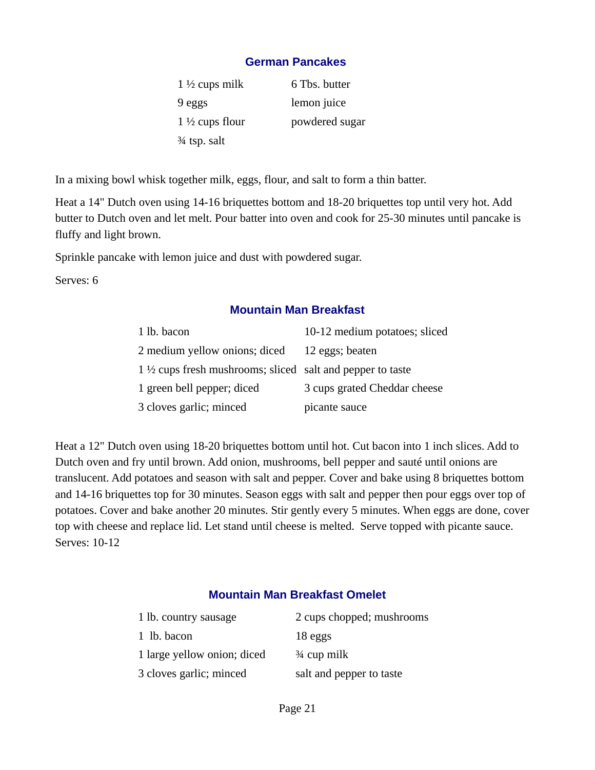#### <span id="page-20-2"></span>**German Pancakes**

1  $\frac{1}{2}$  cups milk 6 Tbs. butter 9 eggs lemon juice  $1\frac{1}{2}$  cups flour powdered sugar ¾ tsp. salt

In a mixing bowl whisk together milk, eggs, flour, and salt to form a thin batter.

Heat a 14" Dutch oven using 14-16 briquettes bottom and 18-20 briquettes top until very hot. Add butter to Dutch oven and let melt. Pour batter into oven and cook for 25-30 minutes until pancake is fluffy and light brown.

Sprinkle pancake with lemon juice and dust with powdered sugar.

Serves: 6

#### <span id="page-20-1"></span>**Mountain Man Breakfast**

| 1 lb. bacon                                                          | 10-12 medium potatoes; sliced |
|----------------------------------------------------------------------|-------------------------------|
| 2 medium yellow onions; diced                                        | 12 eggs; beaten               |
| $1\frac{1}{2}$ cups fresh mushrooms; sliced salt and pepper to taste |                               |
| 1 green bell pepper; diced                                           | 3 cups grated Cheddar cheese  |
| 3 cloves garlic; minced                                              | picante sauce                 |

Heat a 12" Dutch oven using 18-20 briquettes bottom until hot. Cut bacon into 1 inch slices. Add to Dutch oven and fry until brown. Add onion, mushrooms, bell pepper and sauté until onions are translucent. Add potatoes and season with salt and pepper. Cover and bake using 8 briquettes bottom and 14-16 briquettes top for 30 minutes. Season eggs with salt and pepper then pour eggs over top of potatoes. Cover and bake another 20 minutes. Stir gently every 5 minutes. When eggs are done, cover top with cheese and replace lid. Let stand until cheese is melted. Serve topped with picante sauce. Serves: 10-12

#### <span id="page-20-0"></span>**Mountain Man Breakfast Omelet**

| 1 lb. country sausage       | 2 cups chopped; mushrooms |
|-----------------------------|---------------------------|
| 1 lb. bacon                 | 18 eggs                   |
| 1 large yellow onion; diced | $\frac{3}{4}$ cup milk    |
| 3 cloves garlic; minced     | salt and pepper to taste  |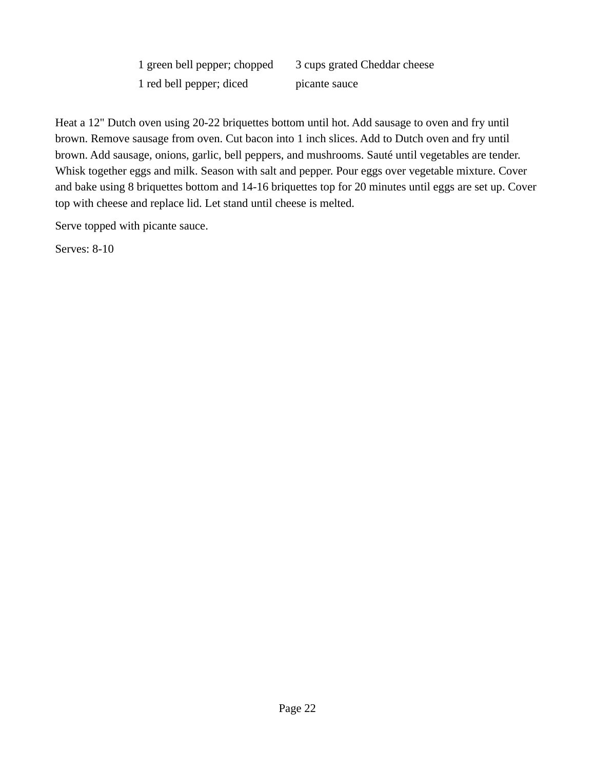1 green bell pepper; chopped 3 cups grated Cheddar cheese 1 red bell pepper; diced picante sauce

Heat a 12" Dutch oven using 20-22 briquettes bottom until hot. Add sausage to oven and fry until brown. Remove sausage from oven. Cut bacon into 1 inch slices. Add to Dutch oven and fry until brown. Add sausage, onions, garlic, bell peppers, and mushrooms. Sauté until vegetables are tender. Whisk together eggs and milk. Season with salt and pepper. Pour eggs over vegetable mixture. Cover and bake using 8 briquettes bottom and 14-16 briquettes top for 20 minutes until eggs are set up. Cover top with cheese and replace lid. Let stand until cheese is melted.

Serve topped with picante sauce.

Serves: 8-10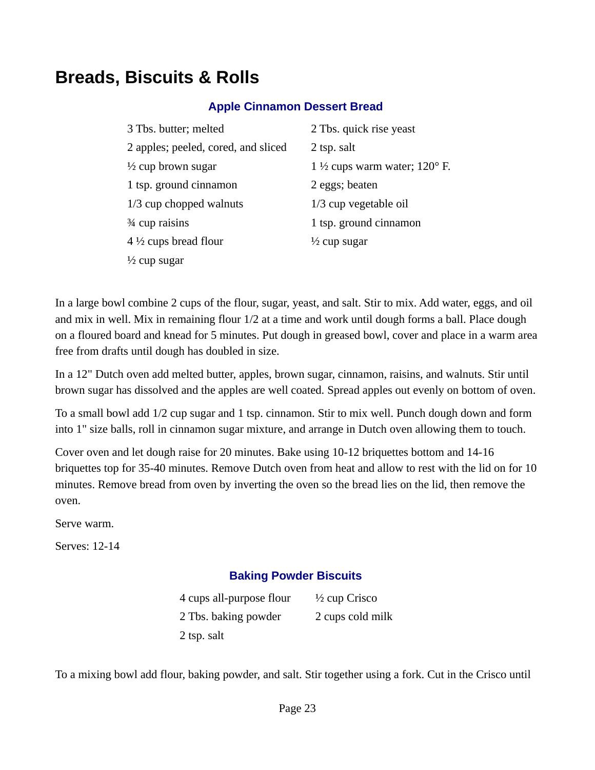# <span id="page-22-2"></span>**Breads, Biscuits & Rolls**

#### <span id="page-22-1"></span>**Apple Cinnamon Dessert Bread**

| 3 Tbs. butter; melted               | 2 Tbs. quick rise yeast                           |
|-------------------------------------|---------------------------------------------------|
| 2 apples; peeled, cored, and sliced | 2 tsp. salt                                       |
| $\frac{1}{2}$ cup brown sugar       | 1 $\frac{1}{2}$ cups warm water; 120 $\degree$ F. |
| 1 tsp. ground cinnamon              | 2 eggs; beaten                                    |
| 1/3 cup chopped walnuts             | 1/3 cup vegetable oil                             |
| 3⁄4 cup raisins                     | 1 tsp. ground cinnamon                            |
| $4\frac{1}{2}$ cups bread flour     | $\frac{1}{2}$ cup sugar                           |
| $\frac{1}{2}$ cup sugar             |                                                   |

In a large bowl combine 2 cups of the flour, sugar, yeast, and salt. Stir to mix. Add water, eggs, and oil and mix in well. Mix in remaining flour 1/2 at a time and work until dough forms a ball. Place dough on a floured board and knead for 5 minutes. Put dough in greased bowl, cover and place in a warm area free from drafts until dough has doubled in size.

In a 12" Dutch oven add melted butter, apples, brown sugar, cinnamon, raisins, and walnuts. Stir until brown sugar has dissolved and the apples are well coated. Spread apples out evenly on bottom of oven.

To a small bowl add 1/2 cup sugar and 1 tsp. cinnamon. Stir to mix well. Punch dough down and form into 1" size balls, roll in cinnamon sugar mixture, and arrange in Dutch oven allowing them to touch.

Cover oven and let dough raise for 20 minutes. Bake using 10-12 briquettes bottom and 14-16 briquettes top for 35-40 minutes. Remove Dutch oven from heat and allow to rest with the lid on for 10 minutes. Remove bread from oven by inverting the oven so the bread lies on the lid, then remove the oven.

Serve warm.

Serves: 12-14

#### <span id="page-22-0"></span>**Baking Powder Biscuits**

4 cups all-purpose flour  $\frac{1}{2}$  cup Crisco 2 Tbs. baking powder 2 cups cold milk 2 tsp. salt

To a mixing bowl add flour, baking powder, and salt. Stir together using a fork. Cut in the Crisco until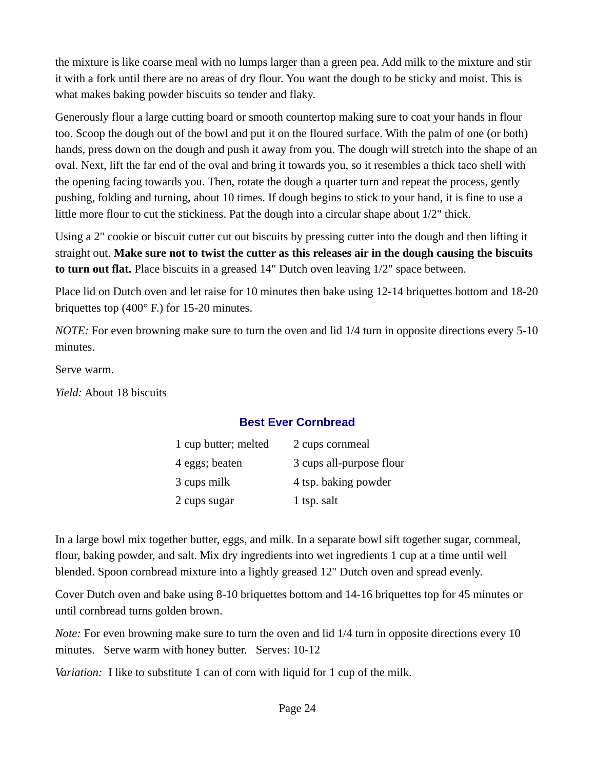the mixture is like coarse meal with no lumps larger than a green pea. Add milk to the mixture and stir it with a fork until there are no areas of dry flour. You want the dough to be sticky and moist. This is what makes baking powder biscuits so tender and flaky.

Generously flour a large cutting board or smooth countertop making sure to coat your hands in flour too. Scoop the dough out of the bowl and put it on the floured surface. With the palm of one (or both) hands, press down on the dough and push it away from you. The dough will stretch into the shape of an oval. Next, lift the far end of the oval and bring it towards you, so it resembles a thick taco shell with the opening facing towards you. Then, rotate the dough a quarter turn and repeat the process, gently pushing, folding and turning, about 10 times. If dough begins to stick to your hand, it is fine to use a little more flour to cut the stickiness. Pat the dough into a circular shape about 1/2" thick.

Using a 2" cookie or biscuit cutter cut out biscuits by pressing cutter into the dough and then lifting it straight out. **Make sure not to twist the cutter as this releases air in the dough causing the biscuits to turn out flat.** Place biscuits in a greased 14" Dutch oven leaving 1/2" space between.

Place lid on Dutch oven and let raise for 10 minutes then bake using 12-14 briquettes bottom and 18-20 briquettes top (400° F.) for 15-20 minutes.

*NOTE:* For even browning make sure to turn the oven and lid 1/4 turn in opposite directions every 5-10 minutes.

Serve warm.

*Yield:* About 18 biscuits

### <span id="page-23-0"></span>**Best Ever Cornbread**

| 1 cup butter; melted | 2 cups cornmeal          |
|----------------------|--------------------------|
| 4 eggs; beaten       | 3 cups all-purpose flour |
| 3 cups milk          | 4 tsp. baking powder     |
| 2 cups sugar         | 1 tsp. salt              |

In a large bowl mix together butter, eggs, and milk. In a separate bowl sift together sugar, cornmeal, flour, baking powder, and salt. Mix dry ingredients into wet ingredients 1 cup at a time until well blended. Spoon cornbread mixture into a lightly greased 12" Dutch oven and spread evenly.

Cover Dutch oven and bake using 8-10 briquettes bottom and 14-16 briquettes top for 45 minutes or until cornbread turns golden brown.

*Note:* For even browning make sure to turn the oven and lid 1/4 turn in opposite directions every 10 minutes. Serve warm with honey butter. Serves: 10-12

*Variation:* I like to substitute 1 can of corn with liquid for 1 cup of the milk.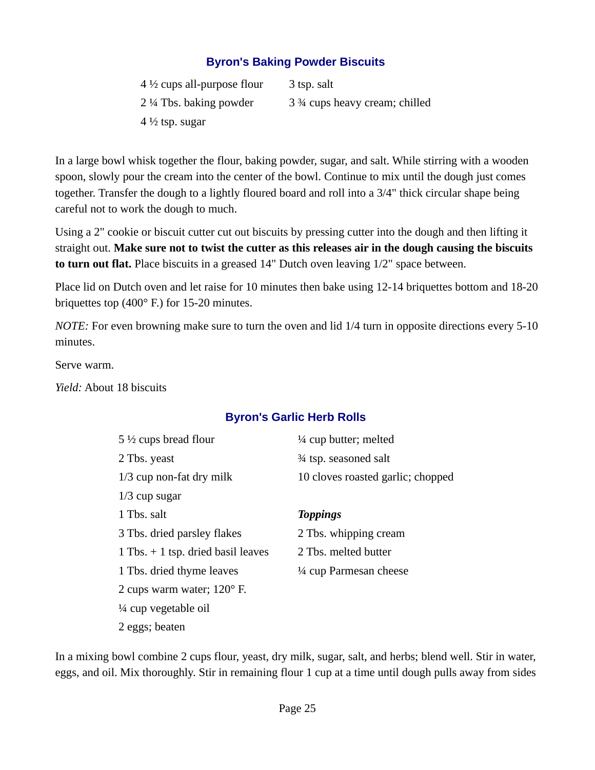### <span id="page-24-1"></span>**Byron's Baking Powder Biscuits**

| $4\frac{1}{2}$ cups all-purpose flour | 3 tsp. salt                   |
|---------------------------------------|-------------------------------|
| $2\frac{1}{4}$ Tbs. baking powder     | 3 % cups heavy cream; chilled |
| $4\frac{1}{2}$ tsp. sugar             |                               |

In a large bowl whisk together the flour, baking powder, sugar, and salt. While stirring with a wooden spoon, slowly pour the cream into the center of the bowl. Continue to mix until the dough just comes together. Transfer the dough to a lightly floured board and roll into a 3/4" thick circular shape being careful not to work the dough to much.

Using a 2" cookie or biscuit cutter cut out biscuits by pressing cutter into the dough and then lifting it straight out. **Make sure not to twist the cutter as this releases air in the dough causing the biscuits to turn out flat.** Place biscuits in a greased 14" Dutch oven leaving 1/2" space between.

Place lid on Dutch oven and let raise for 10 minutes then bake using 12-14 briquettes bottom and 18-20 briquettes top (400° F.) for 15-20 minutes.

*NOTE:* For even browning make sure to turn the oven and lid 1/4 turn in opposite directions every 5-10 minutes.

Serve warm.

*Yield:* About 18 biscuits

#### <span id="page-24-0"></span>**Byron's Garlic Herb Rolls**

| $5\frac{1}{2}$ cups bread flour        | 1/4 cup butter; melted            |
|----------------------------------------|-----------------------------------|
| 2 Tbs. yeast                           | 3⁄4 tsp. seasoned salt            |
| $1/3$ cup non-fat dry milk             | 10 cloves roasted garlic; chopped |
| $1/3$ cup sugar                        |                                   |
| 1 Tbs. salt                            | <b>Toppings</b>                   |
| 3 Tbs. dried parsley flakes            | 2 Tbs. whipping cream             |
| $1$ Tbs. $+$ 1 tsp. dried basil leaves | 2 Tbs. melted butter              |
| 1 Tbs. dried thyme leaves              | 1/4 cup Parmesan cheese           |
| 2 cups warm water; $120^{\circ}$ F.    |                                   |
| $\frac{1}{4}$ cup vegetable oil        |                                   |
| 2 eggs; beaten                         |                                   |

In a mixing bowl combine 2 cups flour, yeast, dry milk, sugar, salt, and herbs; blend well. Stir in water, eggs, and oil. Mix thoroughly. Stir in remaining flour 1 cup at a time until dough pulls away from sides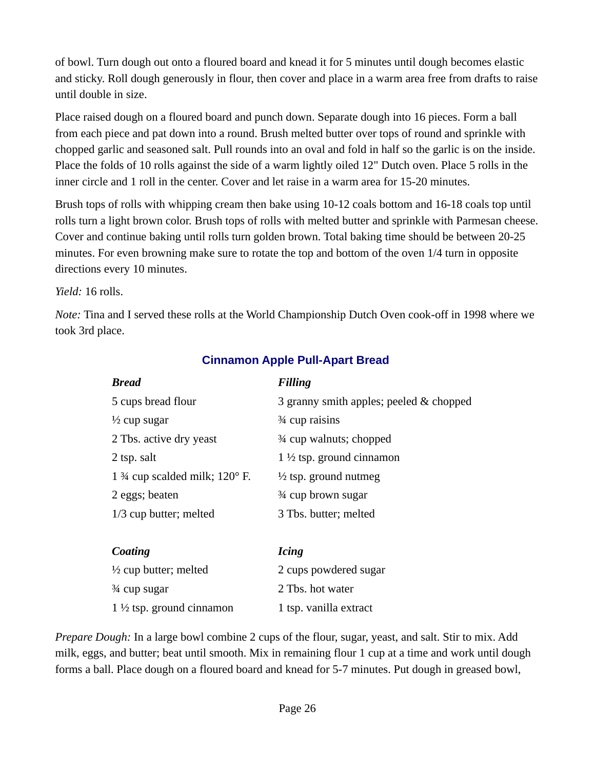of bowl. Turn dough out onto a floured board and knead it for 5 minutes until dough becomes elastic and sticky. Roll dough generously in flour, then cover and place in a warm area free from drafts to raise until double in size.

Place raised dough on a floured board and punch down. Separate dough into 16 pieces. Form a ball from each piece and pat down into a round. Brush melted butter over tops of round and sprinkle with chopped garlic and seasoned salt. Pull rounds into an oval and fold in half so the garlic is on the inside. Place the folds of 10 rolls against the side of a warm lightly oiled 12" Dutch oven. Place 5 rolls in the inner circle and 1 roll in the center. Cover and let raise in a warm area for 15-20 minutes.

Brush tops of rolls with whipping cream then bake using 10-12 coals bottom and 16-18 coals top until rolls turn a light brown color. Brush tops of rolls with melted butter and sprinkle with Parmesan cheese. Cover and continue baking until rolls turn golden brown. Total baking time should be between 20-25 minutes. For even browning make sure to rotate the top and bottom of the oven 1/4 turn in opposite directions every 10 minutes.

### *Yield:* 16 rolls.

*Note:* Tina and I served these rolls at the World Championship Dutch Oven cook-off in 1998 where we took 3rd place.

| <b>Bread</b>                                       | <b>Filling</b>                          |
|----------------------------------------------------|-----------------------------------------|
| 5 cups bread flour                                 | 3 granny smith apples; peeled & chopped |
| $\frac{1}{2}$ cup sugar                            | $\frac{3}{4}$ cup raisins               |
| 2 Tbs. active dry yeast                            | 3⁄4 cup walnuts; chopped                |
| 2 tsp. salt                                        | $1\frac{1}{2}$ tsp. ground cinnamon     |
| 1 $\frac{3}{4}$ cup scalded milk; 120 $\degree$ F. | $\frac{1}{2}$ tsp. ground nutmeg        |
| 2 eggs; beaten                                     | 3⁄4 cup brown sugar                     |
| 1/3 cup butter; melted                             | 3 Tbs. butter; melted                   |
|                                                    |                                         |
| Coating                                            | <b>Icing</b>                            |
| $\frac{1}{2}$ cup butter; melted                   | 2 cups powdered sugar                   |
| 3⁄4 cup sugar                                      | 2 Tbs. hot water                        |
| $1\frac{1}{2}$ tsp. ground cinnamon                | 1 tsp. vanilla extract                  |

### <span id="page-25-0"></span>**Cinnamon Apple Pull-Apart Bread**

*Prepare Dough:* In a large bowl combine 2 cups of the flour, sugar, yeast, and salt. Stir to mix. Add milk, eggs, and butter; beat until smooth. Mix in remaining flour 1 cup at a time and work until dough forms a ball. Place dough on a floured board and knead for 5-7 minutes. Put dough in greased bowl,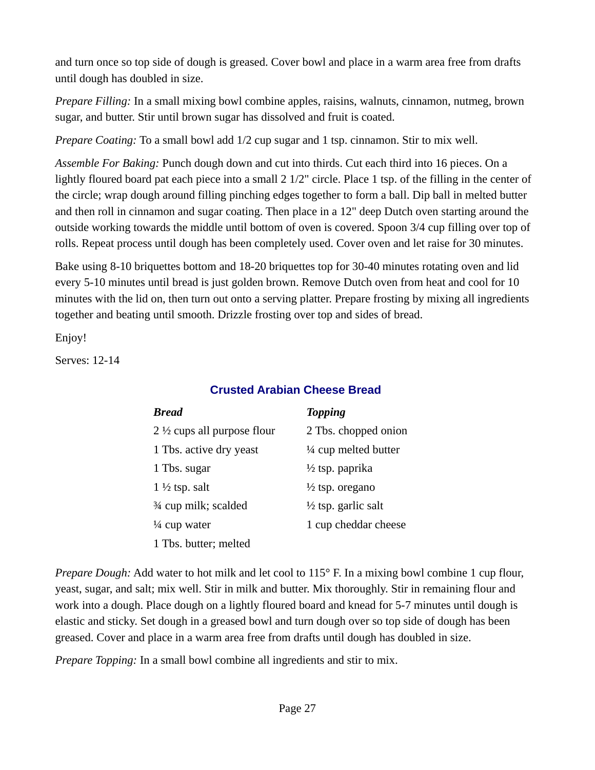and turn once so top side of dough is greased. Cover bowl and place in a warm area free from drafts until dough has doubled in size.

*Prepare Filling:* In a small mixing bowl combine apples, raisins, walnuts, cinnamon, nutmeg, brown sugar, and butter. Stir until brown sugar has dissolved and fruit is coated.

*Prepare Coating:* To a small bowl add 1/2 cup sugar and 1 tsp. cinnamon. Stir to mix well.

Assemble For Baking: Punch dough down and cut into thirds. Cut each third into 16 pieces. On a lightly floured board pat each piece into a small 2 1/2" circle. Place 1 tsp. of the filling in the center of the circle; wrap dough around filling pinching edges together to form a ball. Dip ball in melted butter and then roll in cinnamon and sugar coating. Then place in a 12" deep Dutch oven starting around the outside working towards the middle until bottom of oven is covered. Spoon 3/4 cup filling over top of rolls. Repeat process until dough has been completely used. Cover oven and let raise for 30 minutes.

Bake using 8-10 briquettes bottom and 18-20 briquettes top for 30-40 minutes rotating oven and lid every 5-10 minutes until bread is just golden brown. Remove Dutch oven from heat and cool for 10 minutes with the lid on, then turn out onto a serving platter. Prepare frosting by mixing all ingredients together and beating until smooth. Drizzle frosting over top and sides of bread.

Enjoy!

Serves: 12-14

### <span id="page-26-0"></span>**Crusted Arabian Cheese Bread**

| <b>Bread</b>                           | <b>Topping</b>                  |
|----------------------------------------|---------------------------------|
| 2 $\frac{1}{2}$ cups all purpose flour | 2 Tbs. chopped onion            |
| 1 Tbs. active dry yeast                | $\frac{1}{4}$ cup melted butter |
| 1 Tbs. sugar                           | $\frac{1}{2}$ tsp. paprika      |
| $1\frac{1}{2}$ tsp. salt               | $\frac{1}{2}$ tsp. oregano      |
| 3⁄4 cup milk; scalded                  | $\frac{1}{2}$ tsp. garlic salt  |
| $\frac{1}{4}$ cup water                | 1 cup cheddar cheese            |
| 1 Tbs. butter; melted                  |                                 |

*Prepare Dough:* Add water to hot milk and let cool to 115° F. In a mixing bowl combine 1 cup flour, yeast, sugar, and salt; mix well. Stir in milk and butter. Mix thoroughly. Stir in remaining flour and work into a dough. Place dough on a lightly floured board and knead for 5-7 minutes until dough is elastic and sticky. Set dough in a greased bowl and turn dough over so top side of dough has been greased. Cover and place in a warm area free from drafts until dough has doubled in size.

*Prepare Topping:* In a small bowl combine all ingredients and stir to mix.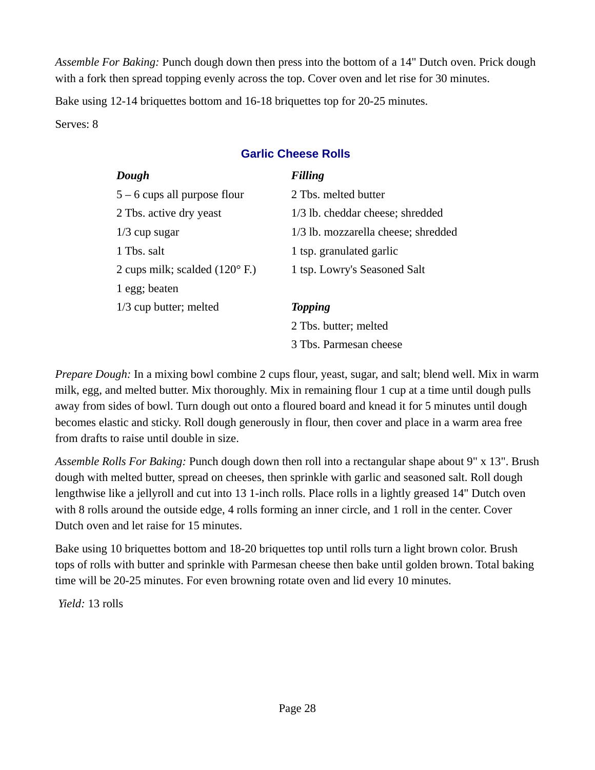*Assemble For Baking:* Punch dough down then press into the bottom of a 14" Dutch oven. Prick dough with a fork then spread topping evenly across the top. Cover oven and let rise for 30 minutes.

Bake using 12-14 briquettes bottom and 16-18 briquettes top for 20-25 minutes.

Serves: 8

### <span id="page-27-0"></span>**Garlic Cheese Rolls**

| Dough                                           | <b>Filling</b>                      |
|-------------------------------------------------|-------------------------------------|
| $5-6$ cups all purpose flour                    | 2 Tbs. melted butter                |
| 2 Tbs. active dry yeast                         | 1/3 lb. cheddar cheese; shredded    |
| $1/3$ cup sugar                                 | 1/3 lb. mozzarella cheese; shredded |
| 1 Tbs. salt                                     | 1 tsp. granulated garlic            |
| 2 cups milk; scalded $(120^{\circ} \text{ F.})$ | 1 tsp. Lowry's Seasoned Salt        |
| 1 egg; beaten                                   |                                     |
| 1/3 cup butter; melted                          | <b>Topping</b>                      |
|                                                 | 2 Tbs. butter; melted               |
|                                                 | 3 Tbs. Parmesan cheese              |

*Prepare Dough:* In a mixing bowl combine 2 cups flour, yeast, sugar, and salt; blend well. Mix in warm milk, egg, and melted butter. Mix thoroughly. Mix in remaining flour 1 cup at a time until dough pulls away from sides of bowl. Turn dough out onto a floured board and knead it for 5 minutes until dough becomes elastic and sticky. Roll dough generously in flour, then cover and place in a warm area free from drafts to raise until double in size.

*Assemble Rolls For Baking:* Punch dough down then roll into a rectangular shape about 9" x 13". Brush dough with melted butter, spread on cheeses, then sprinkle with garlic and seasoned salt. Roll dough lengthwise like a jellyroll and cut into 13 1-inch rolls. Place rolls in a lightly greased 14" Dutch oven with 8 rolls around the outside edge, 4 rolls forming an inner circle, and 1 roll in the center. Cover Dutch oven and let raise for 15 minutes.

Bake using 10 briquettes bottom and 18-20 briquettes top until rolls turn a light brown color. Brush tops of rolls with butter and sprinkle with Parmesan cheese then bake until golden brown. Total baking time will be 20-25 minutes. For even browning rotate oven and lid every 10 minutes.

*Yield:* 13 rolls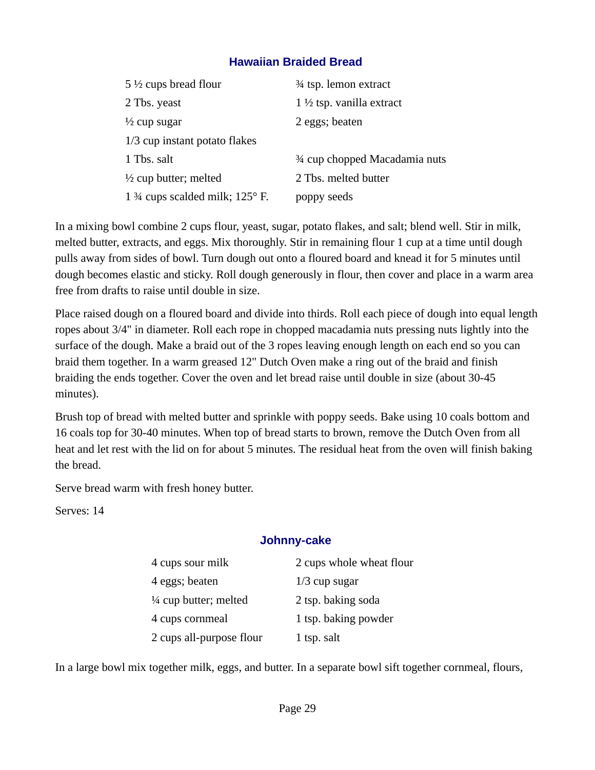### <span id="page-28-1"></span>**Hawaiian Braided Bread**

| 5 $\frac{1}{2}$ cups bread flour                    | 3⁄4 tsp. lemon extract              |
|-----------------------------------------------------|-------------------------------------|
| 2 Tbs. yeast                                        | $1\frac{1}{2}$ tsp. vanilla extract |
| $\frac{1}{2}$ cup sugar                             | 2 eggs; beaten                      |
| 1/3 cup instant potato flakes                       |                                     |
| 1 Tbs. salt                                         | 3⁄4 cup chopped Macadamia nuts      |
| $\frac{1}{2}$ cup butter; melted                    | 2 Tbs. melted butter                |
| 1 $\frac{3}{4}$ cups scalded milk; 125 $\degree$ F. | poppy seeds                         |

In a mixing bowl combine 2 cups flour, yeast, sugar, potato flakes, and salt; blend well. Stir in milk, melted butter, extracts, and eggs. Mix thoroughly. Stir in remaining flour 1 cup at a time until dough pulls away from sides of bowl. Turn dough out onto a floured board and knead it for 5 minutes until dough becomes elastic and sticky. Roll dough generously in flour, then cover and place in a warm area free from drafts to raise until double in size.

Place raised dough on a floured board and divide into thirds. Roll each piece of dough into equal length ropes about 3/4" in diameter. Roll each rope in chopped macadamia nuts pressing nuts lightly into the surface of the dough. Make a braid out of the 3 ropes leaving enough length on each end so you can braid them together. In a warm greased 12" Dutch Oven make a ring out of the braid and finish braiding the ends together. Cover the oven and let bread raise until double in size (about 30-45 minutes).

Brush top of bread with melted butter and sprinkle with poppy seeds. Bake using 10 coals bottom and 16 coals top for 30-40 minutes. When top of bread starts to brown, remove the Dutch Oven from all heat and let rest with the lid on for about 5 minutes. The residual heat from the oven will finish baking the bread.

Serve bread warm with fresh honey butter.

Serves: 14

### <span id="page-28-0"></span>**Johnny-cake**

| 4 cups sour milk         | 2 cups whole wheat flour |
|--------------------------|--------------------------|
| 4 eggs; beaten           | $1/3$ cup sugar          |
| 1/4 cup butter; melted   | 2 tsp. baking soda       |
| 4 cups cornmeal          | 1 tsp. baking powder     |
| 2 cups all-purpose flour | 1 tsp. salt              |

In a large bowl mix together milk, eggs, and butter. In a separate bowl sift together cornmeal, flours,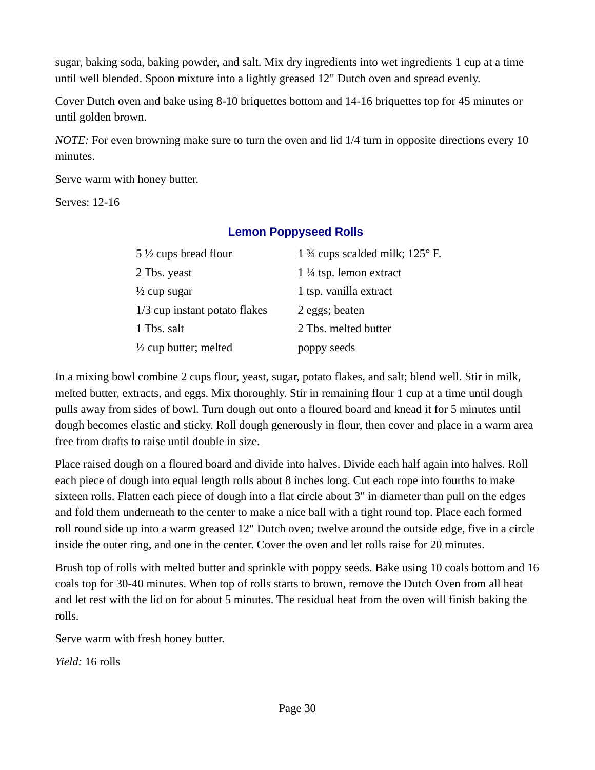sugar, baking soda, baking powder, and salt. Mix dry ingredients into wet ingredients 1 cup at a time until well blended. Spoon mixture into a lightly greased 12" Dutch oven and spread evenly.

Cover Dutch oven and bake using 8-10 briquettes bottom and 14-16 briquettes top for 45 minutes or until golden brown.

*NOTE:* For even browning make sure to turn the oven and lid 1/4 turn in opposite directions every 10 minutes.

Serve warm with honey butter.

Serves: 12-16

### <span id="page-29-0"></span>**Lemon Poppyseed Rolls**

| 5 $\frac{1}{2}$ cups bread flour | 1 $\frac{3}{4}$ cups scalded milk; 125 $\degree$ F. |
|----------------------------------|-----------------------------------------------------|
| 2 Tbs. yeast                     | $1\frac{1}{4}$ tsp. lemon extract                   |
| $\frac{1}{2}$ cup sugar          | 1 tsp. vanilla extract                              |
| 1/3 cup instant potato flakes    | 2 eggs; beaten                                      |
| 1 Tbs. salt                      | 2 Tbs. melted butter                                |
| $\frac{1}{2}$ cup butter; melted | poppy seeds                                         |

In a mixing bowl combine 2 cups flour, yeast, sugar, potato flakes, and salt; blend well. Stir in milk, melted butter, extracts, and eggs. Mix thoroughly. Stir in remaining flour 1 cup at a time until dough pulls away from sides of bowl. Turn dough out onto a floured board and knead it for 5 minutes until dough becomes elastic and sticky. Roll dough generously in flour, then cover and place in a warm area free from drafts to raise until double in size.

Place raised dough on a floured board and divide into halves. Divide each half again into halves. Roll each piece of dough into equal length rolls about 8 inches long. Cut each rope into fourths to make sixteen rolls. Flatten each piece of dough into a flat circle about 3" in diameter than pull on the edges and fold them underneath to the center to make a nice ball with a tight round top. Place each formed roll round side up into a warm greased 12" Dutch oven; twelve around the outside edge, five in a circle inside the outer ring, and one in the center. Cover the oven and let rolls raise for 20 minutes.

Brush top of rolls with melted butter and sprinkle with poppy seeds. Bake using 10 coals bottom and 16 coals top for 30-40 minutes. When top of rolls starts to brown, remove the Dutch Oven from all heat and let rest with the lid on for about 5 minutes. The residual heat from the oven will finish baking the rolls.

Serve warm with fresh honey butter.

*Yield:* 16 rolls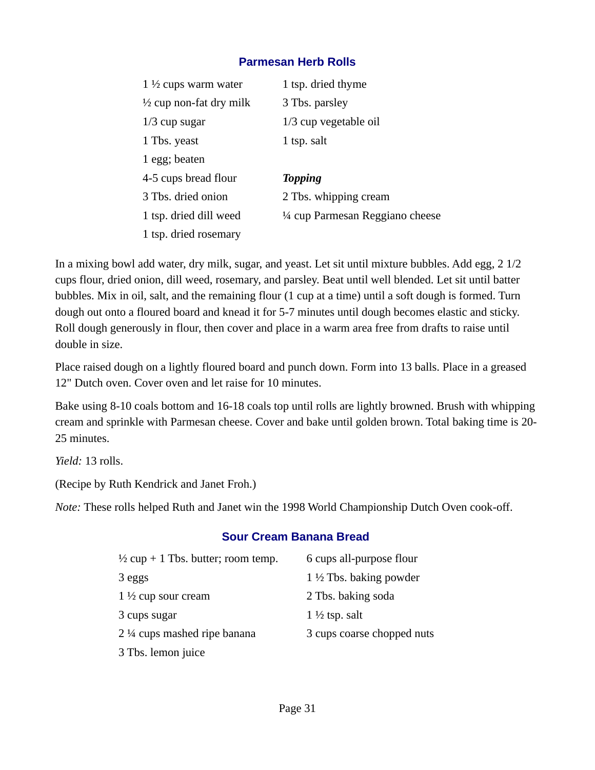### <span id="page-30-1"></span>**Parmesan Herb Rolls**

| 1 $\frac{1}{2}$ cups warm water    | 1 tsp. dried thyme               |
|------------------------------------|----------------------------------|
| $\frac{1}{2}$ cup non-fat dry milk | 3 Tbs. parsley                   |
| $1/3$ cup sugar                    | 1/3 cup vegetable oil            |
| 1 Tbs. yeast                       | 1 tsp. salt                      |
| 1 egg; beaten                      |                                  |
| 4-5 cups bread flour               | <b>Topping</b>                   |
| 3 Tbs. dried onion                 | 2 Tbs. whipping cream            |
| 1 tsp. dried dill weed             | 1/4 cup Parmesan Reggiano cheese |
| 1 tsp. dried rosemary              |                                  |

In a mixing bowl add water, dry milk, sugar, and yeast. Let sit until mixture bubbles. Add egg, 2 1/2 cups flour, dried onion, dill weed, rosemary, and parsley. Beat until well blended. Let sit until batter bubbles. Mix in oil, salt, and the remaining flour (1 cup at a time) until a soft dough is formed. Turn dough out onto a floured board and knead it for 5-7 minutes until dough becomes elastic and sticky. Roll dough generously in flour, then cover and place in a warm area free from drafts to raise until double in size.

Place raised dough on a lightly floured board and punch down. Form into 13 balls. Place in a greased 12" Dutch oven. Cover oven and let raise for 10 minutes.

Bake using 8-10 coals bottom and 16-18 coals top until rolls are lightly browned. Brush with whipping cream and sprinkle with Parmesan cheese. Cover and bake until golden brown. Total baking time is 20- 25 minutes.

*Yield:* 13 rolls.

(Recipe by Ruth Kendrick and Janet Froh.)

*Note:* These rolls helped Ruth and Janet win the 1998 World Championship Dutch Oven cook-off.

#### <span id="page-30-0"></span>**Sour Cream Banana Bread**

| $\frac{1}{2}$ cup + 1 Tbs. butter; room temp. | 6 cups all-purpose flour          |
|-----------------------------------------------|-----------------------------------|
| 3 eggs                                        | $1\frac{1}{2}$ Tbs. baking powder |
| $1\frac{1}{2}$ cup sour cream                 | 2 Tbs. baking soda                |
| 3 cups sugar                                  | $1\frac{1}{2}$ tsp. salt          |
| 2 1/4 cups mashed ripe banana                 | 3 cups coarse chopped nuts        |
| 3 Tbs. lemon juice                            |                                   |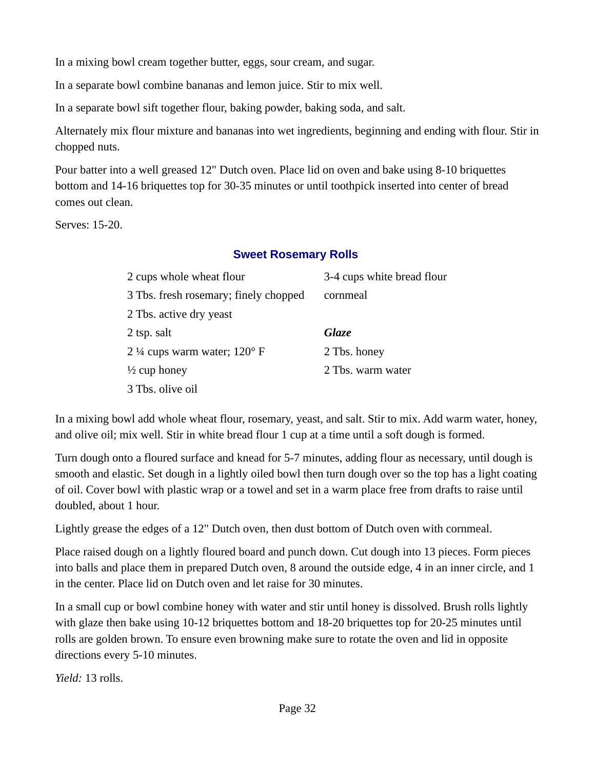In a mixing bowl cream together butter, eggs, sour cream, and sugar.

In a separate bowl combine bananas and lemon juice. Stir to mix well.

In a separate bowl sift together flour, baking powder, baking soda, and salt.

Alternately mix flour mixture and bananas into wet ingredients, beginning and ending with flour. Stir in chopped nuts.

Pour batter into a well greased 12" Dutch oven. Place lid on oven and bake using 8-10 briquettes bottom and 14-16 briquettes top for 30-35 minutes or until toothpick inserted into center of bread comes out clean.

Serves: 15-20.

### <span id="page-31-0"></span>**Sweet Rosemary Rolls**

| 2 cups whole wheat flour                | 3-4 cups white bread flour |
|-----------------------------------------|----------------------------|
| 3 Tbs. fresh rosemary; finely chopped   | cornmeal                   |
| 2 Tbs. active dry yeast                 |                            |
| 2 tsp. salt                             | Glaze                      |
| 2 $\frac{1}{4}$ cups warm water; 120° F | 2 Tbs. honey               |
| $\frac{1}{2}$ cup honey                 | 2 Tbs. warm water          |
| 3 Tbs. olive oil                        |                            |

In a mixing bowl add whole wheat flour, rosemary, yeast, and salt. Stir to mix. Add warm water, honey, and olive oil; mix well. Stir in white bread flour 1 cup at a time until a soft dough is formed.

Turn dough onto a floured surface and knead for 5-7 minutes, adding flour as necessary, until dough is smooth and elastic. Set dough in a lightly oiled bowl then turn dough over so the top has a light coating of oil. Cover bowl with plastic wrap or a towel and set in a warm place free from drafts to raise until doubled, about 1 hour.

Lightly grease the edges of a 12" Dutch oven, then dust bottom of Dutch oven with cornmeal.

Place raised dough on a lightly floured board and punch down. Cut dough into 13 pieces. Form pieces into balls and place them in prepared Dutch oven, 8 around the outside edge, 4 in an inner circle, and 1 in the center. Place lid on Dutch oven and let raise for 30 minutes.

In a small cup or bowl combine honey with water and stir until honey is dissolved. Brush rolls lightly with glaze then bake using 10-12 briquettes bottom and 18-20 briquettes top for 20-25 minutes until rolls are golden brown. To ensure even browning make sure to rotate the oven and lid in opposite directions every 5-10 minutes.

*Yield:* 13 rolls.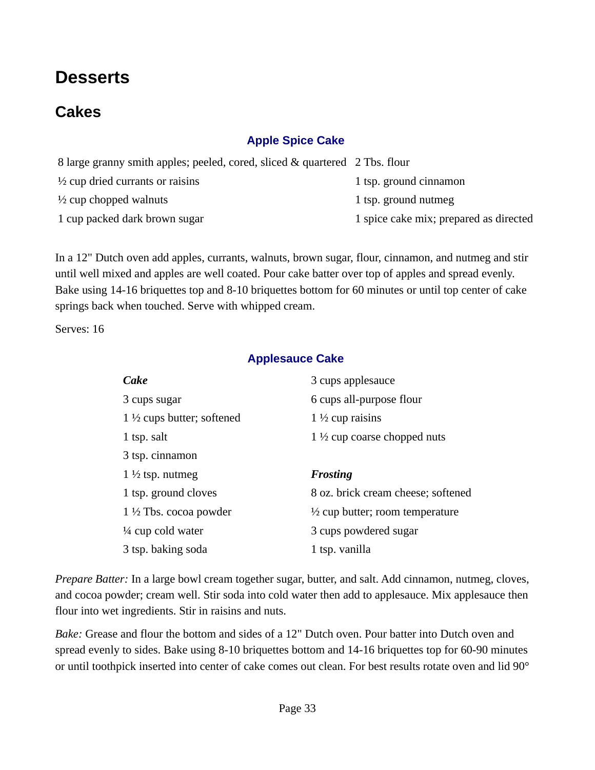# <span id="page-32-3"></span>**Desserts**

### <span id="page-32-2"></span>**Cakes**

### <span id="page-32-1"></span>**Apple Spice Cake**

| 8 large granny smith apples; peeled, cored, sliced & quartered 2 Tbs. flour |                                        |
|-----------------------------------------------------------------------------|----------------------------------------|
| $\frac{1}{2}$ cup dried currants or raisins                                 | 1 tsp. ground cinnamon                 |
| $\frac{1}{2}$ cup chopped walnuts                                           | 1 tsp. ground nutmeg                   |
| 1 cup packed dark brown sugar                                               | 1 spice cake mix; prepared as directed |
|                                                                             |                                        |

In a 12" Dutch oven add apples, currants, walnuts, brown sugar, flour, cinnamon, and nutmeg and stir until well mixed and apples are well coated. Pour cake batter over top of apples and spread evenly. Bake using 14-16 briquettes top and 8-10 briquettes bottom for 60 minutes or until top center of cake springs back when touched. Serve with whipped cream.

Serves: 16

#### <span id="page-32-0"></span>**Applesauce Cake**

| Cake                                  | 3 cups applesauce                          |
|---------------------------------------|--------------------------------------------|
| 3 cups sugar                          | 6 cups all-purpose flour                   |
| 1 $\frac{1}{2}$ cups butter; softened | $1\frac{1}{2}$ cup raisins                 |
| 1 tsp. salt                           | 1 $\frac{1}{2}$ cup coarse chopped nuts    |
| 3 tsp. cinnamon                       |                                            |
| $1\frac{1}{2}$ tsp. nutmeg            | <b>Frosting</b>                            |
| 1 tsp. ground cloves                  | 8 oz. brick cream cheese; softened         |
| $1\frac{1}{2}$ Tbs. cocoa powder      | $\frac{1}{2}$ cup butter; room temperature |
| $\frac{1}{4}$ cup cold water          | 3 cups powdered sugar                      |
| 3 tsp. baking soda                    | 1 tsp. vanilla                             |

*Prepare Batter:* In a large bowl cream together sugar, butter, and salt. Add cinnamon, nutmeg, cloves, and cocoa powder; cream well. Stir soda into cold water then add to applesauce. Mix applesauce then flour into wet ingredients. Stir in raisins and nuts.

*Bake:* Grease and flour the bottom and sides of a 12" Dutch oven. Pour batter into Dutch oven and spread evenly to sides. Bake using 8-10 briquettes bottom and 14-16 briquettes top for 60-90 minutes or until toothpick inserted into center of cake comes out clean. For best results rotate oven and lid 90°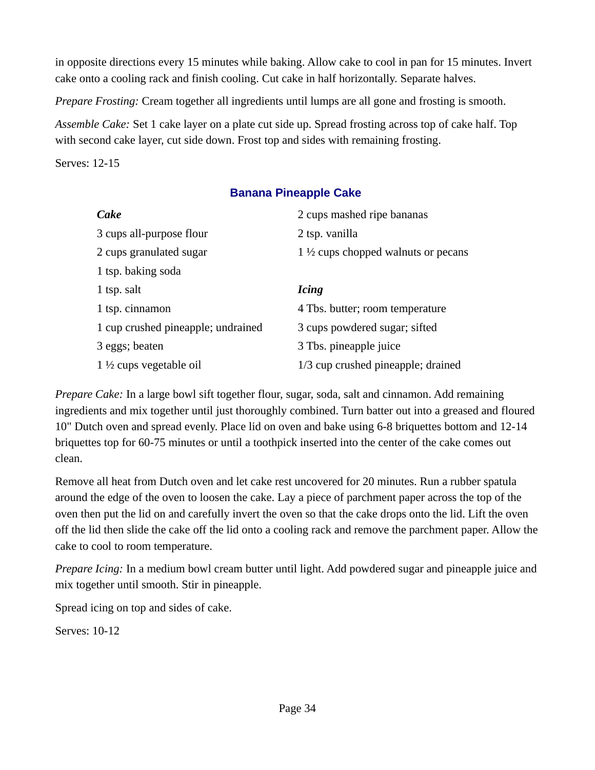in opposite directions every 15 minutes while baking. Allow cake to cool in pan for 15 minutes. Invert cake onto a cooling rack and finish cooling. Cut cake in half horizontally. Separate halves.

*Prepare Frosting:* Cream together all ingredients until lumps are all gone and frosting is smooth.

*Assemble Cake:* Set 1 cake layer on a plate cut side up. Spread frosting across top of cake half. Top with second cake layer, cut side down. Frost top and sides with remaining frosting.

Serves: 12-15

### <span id="page-33-0"></span>**Banana Pineapple Cake**

| Cake                               | 2 cups mashed ripe bananas                     |
|------------------------------------|------------------------------------------------|
| 3 cups all-purpose flour           | 2 tsp. vanilla                                 |
| 2 cups granulated sugar            | 1 $\frac{1}{2}$ cups chopped walnuts or pecans |
| 1 tsp. baking soda                 |                                                |
| 1 tsp. salt                        | <b>Icing</b>                                   |
| 1 tsp. cinnamon                    | 4 Tbs. butter; room temperature                |
| 1 cup crushed pineapple; undrained | 3 cups powdered sugar; sifted                  |
| 3 eggs; beaten                     | 3 Tbs. pineapple juice                         |
| $1\frac{1}{2}$ cups vegetable oil  | 1/3 cup crushed pineapple; drained             |

*Prepare Cake:* In a large bowl sift together flour, sugar, soda, salt and cinnamon. Add remaining ingredients and mix together until just thoroughly combined. Turn batter out into a greased and floured 10" Dutch oven and spread evenly. Place lid on oven and bake using 6-8 briquettes bottom and 12-14 briquettes top for 60-75 minutes or until a toothpick inserted into the center of the cake comes out clean.

Remove all heat from Dutch oven and let cake rest uncovered for 20 minutes. Run a rubber spatula around the edge of the oven to loosen the cake. Lay a piece of parchment paper across the top of the oven then put the lid on and carefully invert the oven so that the cake drops onto the lid. Lift the oven off the lid then slide the cake off the lid onto a cooling rack and remove the parchment paper. Allow the cake to cool to room temperature.

*Prepare Icing:* In a medium bowl cream butter until light. Add powdered sugar and pineapple juice and mix together until smooth. Stir in pineapple.

Spread icing on top and sides of cake.

Serves: 10-12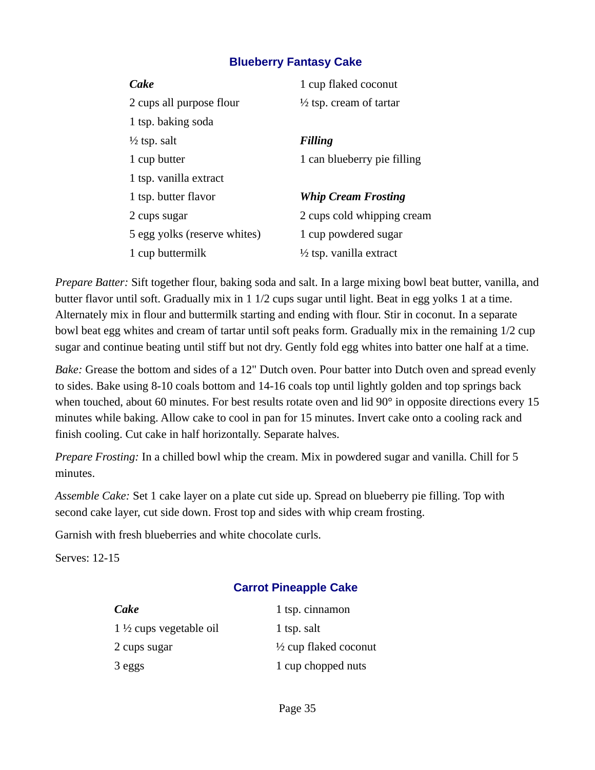### <span id="page-34-0"></span>**Blueberry Fantasy Cake**

| Cake                         | 1 cup flaked coconut               |
|------------------------------|------------------------------------|
| 2 cups all purpose flour     | $\frac{1}{2}$ tsp. cream of tartar |
| 1 tsp. baking soda           |                                    |
| $\frac{1}{2}$ tsp. salt      | <b>Filling</b>                     |
| 1 cup butter                 | 1 can blueberry pie filling        |
| 1 tsp. vanilla extract       |                                    |
| 1 tsp. butter flavor         | <b>Whip Cream Frosting</b>         |
| 2 cups sugar                 | 2 cups cold whipping cream         |
| 5 egg yolks (reserve whites) | 1 cup powdered sugar               |
| 1 cup buttermilk             | $\frac{1}{2}$ tsp. vanilla extract |

*Prepare Batter:* Sift together flour, baking soda and salt. In a large mixing bowl beat butter, vanilla, and butter flavor until soft. Gradually mix in 1 1/2 cups sugar until light. Beat in egg yolks 1 at a time. Alternately mix in flour and buttermilk starting and ending with flour. Stir in coconut. In a separate bowl beat egg whites and cream of tartar until soft peaks form. Gradually mix in the remaining 1/2 cup sugar and continue beating until stiff but not dry. Gently fold egg whites into batter one half at a time.

*Bake:* Grease the bottom and sides of a 12" Dutch oven. Pour batter into Dutch oven and spread evenly to sides. Bake using 8-10 coals bottom and 14-16 coals top until lightly golden and top springs back when touched, about 60 minutes. For best results rotate oven and lid 90° in opposite directions every 15 minutes while baking. Allow cake to cool in pan for 15 minutes. Invert cake onto a cooling rack and finish cooling. Cut cake in half horizontally. Separate halves.

*Prepare Frosting:* In a chilled bowl whip the cream. Mix in powdered sugar and vanilla. Chill for 5 minutes.

*Assemble Cake:* Set 1 cake layer on a plate cut side up. Spread on blueberry pie filling. Top with second cake layer, cut side down. Frost top and sides with whip cream frosting.

Garnish with fresh blueberries and white chocolate curls.

Serves: 12-15

### <span id="page-34-1"></span>**Carrot Pineapple Cake**

| Cake                              | 1 tsp. cinnamon                  |
|-----------------------------------|----------------------------------|
| $1\frac{1}{2}$ cups vegetable oil | 1 tsp. salt                      |
| 2 cups sugar                      | $\frac{1}{2}$ cup flaked coconut |
| 3 eggs                            | 1 cup chopped nuts               |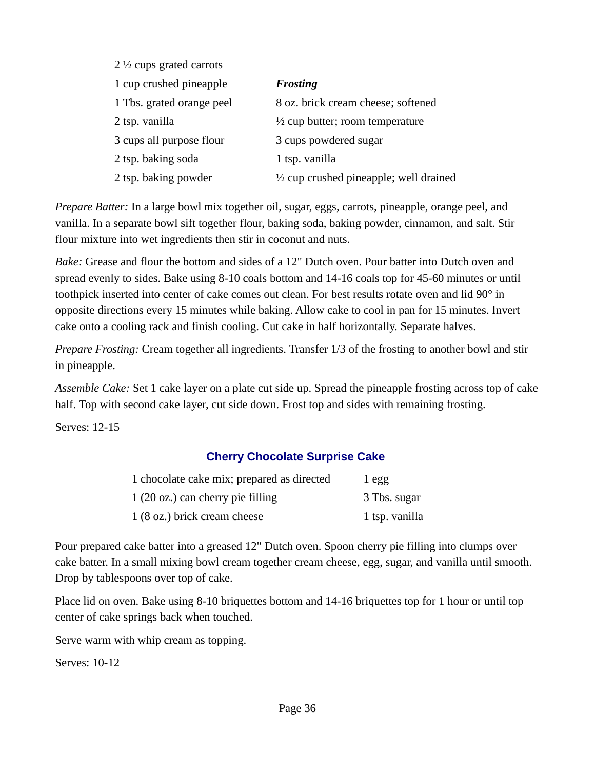| 2 $\frac{1}{2}$ cups grated carrots |                                                   |
|-------------------------------------|---------------------------------------------------|
| 1 cup crushed pineapple             | <b>Frosting</b>                                   |
| 1 Tbs. grated orange peel           | 8 oz. brick cream cheese; softened                |
| 2 tsp. vanilla                      | $\frac{1}{2}$ cup butter; room temperature        |
| 3 cups all purpose flour            | 3 cups powdered sugar                             |
| 2 tsp. baking soda                  | 1 tsp. vanilla                                    |
| 2 tsp. baking powder                | $\frac{1}{2}$ cup crushed pineapple; well drained |

*Prepare Batter:* In a large bowl mix together oil, sugar, eggs, carrots, pineapple, orange peel, and vanilla. In a separate bowl sift together flour, baking soda, baking powder, cinnamon, and salt. Stir flour mixture into wet ingredients then stir in coconut and nuts.

*Bake:* Grease and flour the bottom and sides of a 12" Dutch oven. Pour batter into Dutch oven and spread evenly to sides. Bake using 8-10 coals bottom and 14-16 coals top for 45-60 minutes or until toothpick inserted into center of cake comes out clean. For best results rotate oven and lid 90° in opposite directions every 15 minutes while baking. Allow cake to cool in pan for 15 minutes. Invert cake onto a cooling rack and finish cooling. Cut cake in half horizontally. Separate halves.

*Prepare Frosting:* Cream together all ingredients. Transfer 1/3 of the frosting to another bowl and stir in pineapple.

*Assemble Cake:* Set 1 cake layer on a plate cut side up. Spread the pineapple frosting across top of cake half. Top with second cake layer, cut side down. Frost top and sides with remaining frosting.

Serves: 12-15

### <span id="page-35-0"></span>**Cherry Chocolate Surprise Cake**

| 1 chocolate cake mix; prepared as directed | 1 egg          |
|--------------------------------------------|----------------|
| 1 (20 oz.) can cherry pie filling          | 3 Tbs. sugar   |
| 1 (8 oz.) brick cream cheese               | 1 tsp. vanilla |

Pour prepared cake batter into a greased 12" Dutch oven. Spoon cherry pie filling into clumps over cake batter. In a small mixing bowl cream together cream cheese, egg, sugar, and vanilla until smooth. Drop by tablespoons over top of cake.

Place lid on oven. Bake using 8-10 briquettes bottom and 14-16 briquettes top for 1 hour or until top center of cake springs back when touched.

Serve warm with whip cream as topping.

Serves: 10-12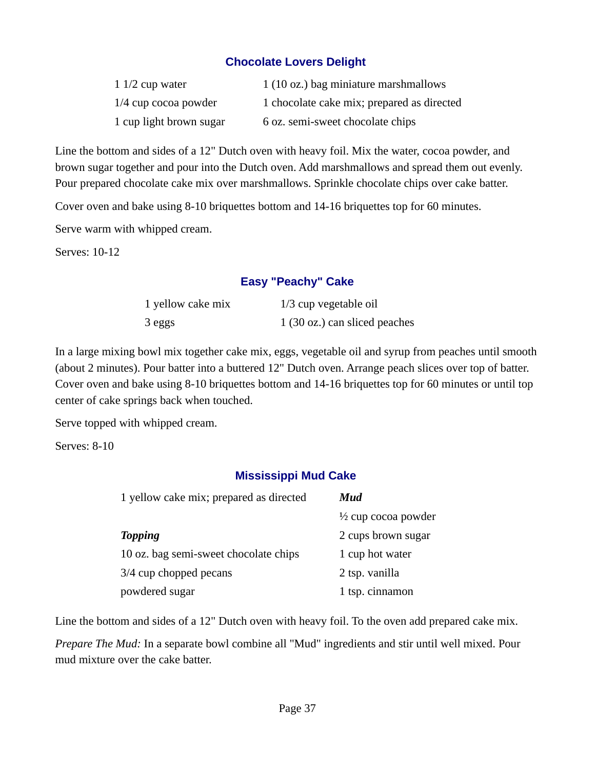### **Chocolate Lovers Delight**

| 1 $1/2$ cup water       | 1 (10 oz.) bag miniature marshmallows      |
|-------------------------|--------------------------------------------|
| $1/4$ cup cocoa powder  | 1 chocolate cake mix; prepared as directed |
| 1 cup light brown sugar | 6 oz. semi-sweet chocolate chips           |

Line the bottom and sides of a 12" Dutch oven with heavy foil. Mix the water, cocoa powder, and brown sugar together and pour into the Dutch oven. Add marshmallows and spread them out evenly. Pour prepared chocolate cake mix over marshmallows. Sprinkle chocolate chips over cake batter.

Cover oven and bake using 8-10 briquettes bottom and 14-16 briquettes top for 60 minutes.

Serve warm with whipped cream.

Serves: 10-12

#### **Easy "Peachy" Cake**

| 1 yellow cake mix | 1/3 cup vegetable oil         |
|-------------------|-------------------------------|
| 3 eggs            | 1 (30 oz.) can sliced peaches |

In a large mixing bowl mix together cake mix, eggs, vegetable oil and syrup from peaches until smooth (about 2 minutes). Pour batter into a buttered 12" Dutch oven. Arrange peach slices over top of batter. Cover oven and bake using 8-10 briquettes bottom and 14-16 briquettes top for 60 minutes or until top center of cake springs back when touched.

Serve topped with whipped cream.

Serves: 8-10

### **Mississippi Mud Cake**

| 1 yellow cake mix; prepared as directed | Mud                            |
|-----------------------------------------|--------------------------------|
|                                         | $\frac{1}{2}$ cup cocoa powder |
| <b>Topping</b>                          | 2 cups brown sugar             |
| 10 oz. bag semi-sweet chocolate chips   | 1 cup hot water                |
| 3/4 cup chopped pecans                  | 2 tsp. vanilla                 |
| powdered sugar                          | 1 tsp. cinnamon                |

Line the bottom and sides of a 12" Dutch oven with heavy foil. To the oven add prepared cake mix.

*Prepare The Mud:* In a separate bowl combine all "Mud" ingredients and stir until well mixed. Pour mud mixture over the cake batter.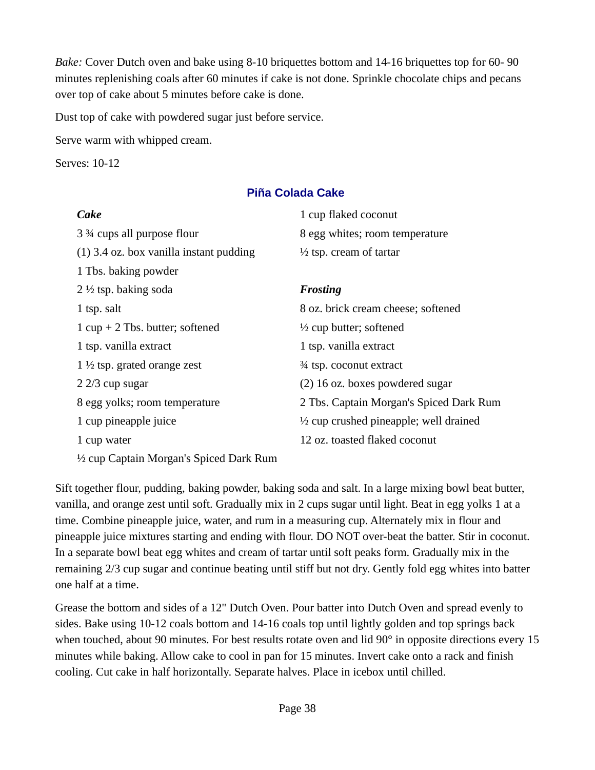*Bake:* Cover Dutch oven and bake using 8-10 briquettes bottom and 14-16 briquettes top for 60- 90 minutes replenishing coals after 60 minutes if cake is not done. Sprinkle chocolate chips and pecans over top of cake about 5 minutes before cake is done.

Dust top of cake with powdered sugar just before service.

Serve warm with whipped cream.

Serves: 10-12

### **Piña Colada Cake**

| Cake                                      | 1 cup flaked coconut                              |
|-------------------------------------------|---------------------------------------------------|
| 3 <sup>3</sup> ⁄4 cups all purpose flour  | 8 egg whites; room temperature                    |
| $(1)$ 3.4 oz. box vanilla instant pudding | $\frac{1}{2}$ tsp. cream of tartar                |
| 1 Tbs. baking powder                      |                                                   |
| $2\frac{1}{2}$ tsp. baking soda           | <b>Frosting</b>                                   |
| 1 tsp. salt                               | 8 oz. brick cream cheese; softened                |
| 1 cup $+$ 2 Tbs. butter; softened         | $\frac{1}{2}$ cup butter; softened                |
| 1 tsp. vanilla extract                    | 1 tsp. vanilla extract                            |
| 1 $\frac{1}{2}$ tsp. grated orange zest   | 3⁄4 tsp. coconut extract                          |
| 2 2/3 cup sugar                           | (2) 16 oz. boxes powdered sugar                   |
| 8 egg yolks; room temperature             | 2 Tbs. Captain Morgan's Spiced Dark Rum           |
| 1 cup pineapple juice                     | $\frac{1}{2}$ cup crushed pineapple; well drained |
| 1 cup water                               | 12 oz. toasted flaked coconut                     |
| 1/2 cup Captain Morgan's Spiced Dark Rum  |                                                   |

Sift together flour, pudding, baking powder, baking soda and salt. In a large mixing bowl beat butter, vanilla, and orange zest until soft. Gradually mix in 2 cups sugar until light. Beat in egg yolks 1 at a time. Combine pineapple juice, water, and rum in a measuring cup. Alternately mix in flour and pineapple juice mixtures starting and ending with flour. DO NOT over-beat the batter. Stir in coconut. In a separate bowl beat egg whites and cream of tartar until soft peaks form. Gradually mix in the remaining 2/3 cup sugar and continue beating until stiff but not dry. Gently fold egg whites into batter one half at a time.

Grease the bottom and sides of a 12" Dutch Oven. Pour batter into Dutch Oven and spread evenly to sides. Bake using 10-12 coals bottom and 14-16 coals top until lightly golden and top springs back when touched, about 90 minutes. For best results rotate oven and lid 90° in opposite directions every 15 minutes while baking. Allow cake to cool in pan for 15 minutes. Invert cake onto a rack and finish cooling. Cut cake in half horizontally. Separate halves. Place in icebox until chilled.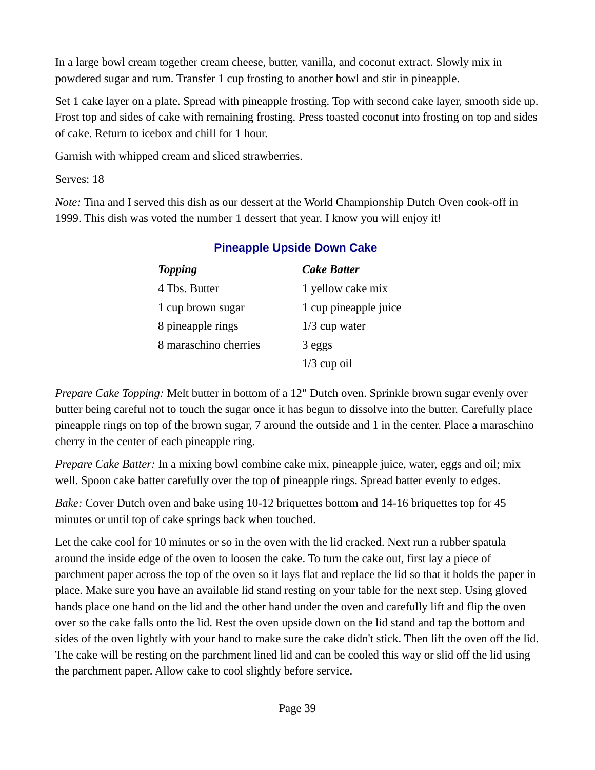In a large bowl cream together cream cheese, butter, vanilla, and coconut extract. Slowly mix in powdered sugar and rum. Transfer 1 cup frosting to another bowl and stir in pineapple.

Set 1 cake layer on a plate. Spread with pineapple frosting. Top with second cake layer, smooth side up. Frost top and sides of cake with remaining frosting. Press toasted coconut into frosting on top and sides of cake. Return to icebox and chill for 1 hour.

Garnish with whipped cream and sliced strawberries.

Serves: 18

*Note:* Tina and I served this dish as our dessert at the World Championship Dutch Oven cook-off in 1999. This dish was voted the number 1 dessert that year. I know you will enjoy it!

| <b>Topping</b>        | <b>Cake Batter</b>    |
|-----------------------|-----------------------|
| 4 Tbs. Butter         | 1 yellow cake mix     |
| 1 cup brown sugar     | 1 cup pineapple juice |
| 8 pineapple rings     | $1/3$ cup water       |
| 8 maraschino cherries | 3 eggs                |
|                       | $1/3$ cup oil         |

### **Pineapple Upside Down Cake**

*Prepare Cake Topping:* Melt butter in bottom of a 12" Dutch oven. Sprinkle brown sugar evenly over butter being careful not to touch the sugar once it has begun to dissolve into the butter. Carefully place pineapple rings on top of the brown sugar, 7 around the outside and 1 in the center. Place a maraschino cherry in the center of each pineapple ring.

*Prepare Cake Batter:* In a mixing bowl combine cake mix, pineapple juice, water, eggs and oil; mix well. Spoon cake batter carefully over the top of pineapple rings. Spread batter evenly to edges.

*Bake:* Cover Dutch oven and bake using 10-12 briquettes bottom and 14-16 briquettes top for 45 minutes or until top of cake springs back when touched.

Let the cake cool for 10 minutes or so in the oven with the lid cracked. Next run a rubber spatula around the inside edge of the oven to loosen the cake. To turn the cake out, first lay a piece of parchment paper across the top of the oven so it lays flat and replace the lid so that it holds the paper in place. Make sure you have an available lid stand resting on your table for the next step. Using gloved hands place one hand on the lid and the other hand under the oven and carefully lift and flip the oven over so the cake falls onto the lid. Rest the oven upside down on the lid stand and tap the bottom and sides of the oven lightly with your hand to make sure the cake didn't stick. Then lift the oven off the lid. The cake will be resting on the parchment lined lid and can be cooled this way or slid off the lid using the parchment paper. Allow cake to cool slightly before service.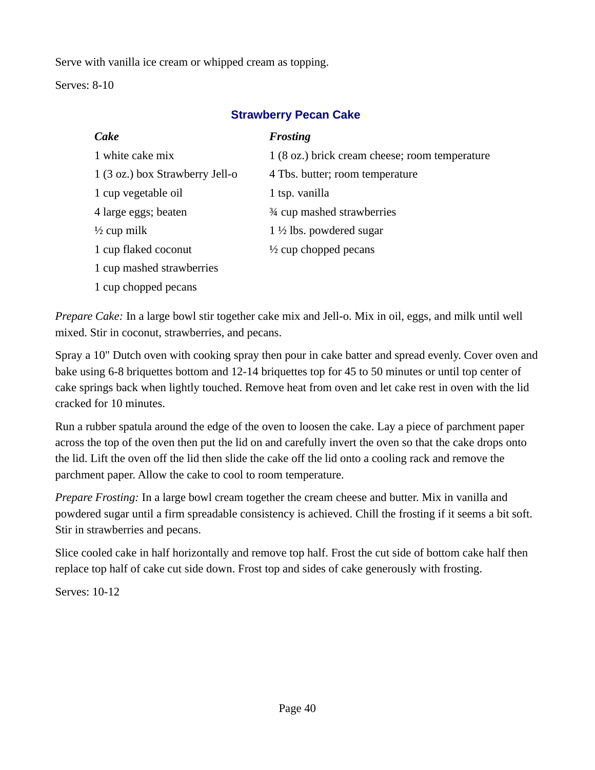Serve with vanilla ice cream or whipped cream as topping.

Serves: 8-10

| Cake                            | <b>Frosting</b>                                |
|---------------------------------|------------------------------------------------|
| 1 white cake mix                | 1 (8 oz.) brick cream cheese; room temperature |
| 1 (3 oz.) box Strawberry Jell-o | 4 Tbs. butter; room temperature                |
| 1 cup vegetable oil             | 1 tsp. vanilla                                 |
| 4 large eggs; beaten            | 3⁄4 cup mashed strawberries                    |
| ½ cup milk                      | $1\frac{1}{2}$ lbs. powdered sugar             |
| 1 cup flaked coconut            | $\frac{1}{2}$ cup chopped pecans               |
| 1 cup mashed strawberries       |                                                |
| 1 cup chopped pecans            |                                                |

### **Strawberry Pecan Cake**

*Prepare Cake:* In a large bowl stir together cake mix and Jell-o. Mix in oil, eggs, and milk until well mixed. Stir in coconut, strawberries, and pecans.

Spray a 10" Dutch oven with cooking spray then pour in cake batter and spread evenly. Cover oven and bake using 6-8 briquettes bottom and 12-14 briquettes top for 45 to 50 minutes or until top center of cake springs back when lightly touched. Remove heat from oven and let cake rest in oven with the lid cracked for 10 minutes.

Run a rubber spatula around the edge of the oven to loosen the cake. Lay a piece of parchment paper across the top of the oven then put the lid on and carefully invert the oven so that the cake drops onto the lid. Lift the oven off the lid then slide the cake off the lid onto a cooling rack and remove the parchment paper. Allow the cake to cool to room temperature.

*Prepare Frosting:* In a large bowl cream together the cream cheese and butter. Mix in vanilla and powdered sugar until a firm spreadable consistency is achieved. Chill the frosting if it seems a bit soft. Stir in strawberries and pecans.

Slice cooled cake in half horizontally and remove top half. Frost the cut side of bottom cake half then replace top half of cake cut side down. Frost top and sides of cake generously with frosting.

Serves: 10-12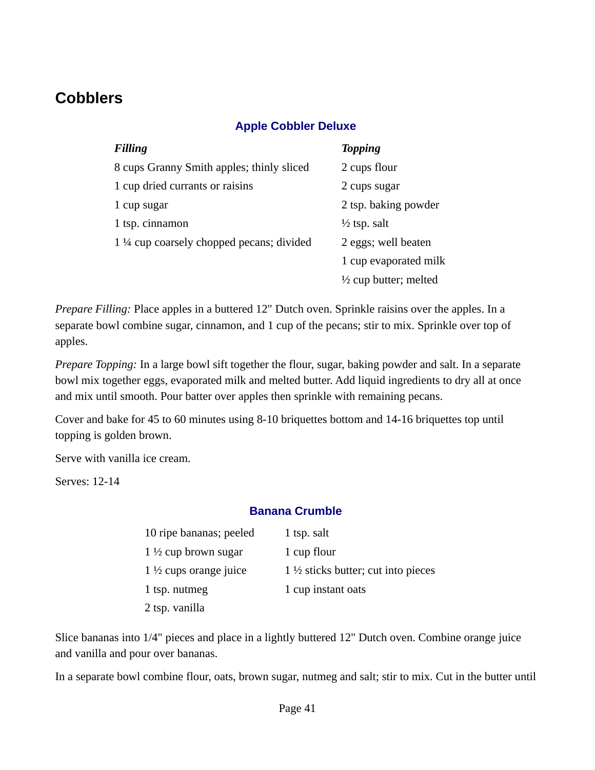# **Cobblers**

### **Apple Cobbler Deluxe**

| <b>Filling</b>                                      | <b>Topping</b>                   |
|-----------------------------------------------------|----------------------------------|
| 8 cups Granny Smith apples; thinly sliced           | 2 cups flour                     |
| 1 cup dried currants or raisins                     | 2 cups sugar                     |
| 1 cup sugar                                         | 2 tsp. baking powder             |
| 1 tsp. cinnamon                                     | $\frac{1}{2}$ tsp. salt          |
| $1\frac{1}{4}$ cup coarsely chopped pecans; divided | 2 eggs; well beaten              |
|                                                     | 1 cup evaporated milk            |
|                                                     | $\frac{1}{2}$ cup butter; melted |

*Prepare Filling:* Place apples in a buttered 12" Dutch oven. Sprinkle raisins over the apples. In a separate bowl combine sugar, cinnamon, and 1 cup of the pecans; stir to mix. Sprinkle over top of apples.

*Prepare Topping:* In a large bowl sift together the flour, sugar, baking powder and salt. In a separate bowl mix together eggs, evaporated milk and melted butter. Add liquid ingredients to dry all at once and mix until smooth. Pour batter over apples then sprinkle with remaining pecans.

Cover and bake for 45 to 60 minutes using 8-10 briquettes bottom and 14-16 briquettes top until topping is golden brown.

Serve with vanilla ice cream.

Serves: 12-14

### **Banana Crumble**

| 10 ripe bananas; peeled          | 1 tsp. salt                                   |
|----------------------------------|-----------------------------------------------|
| 1 $\frac{1}{2}$ cup brown sugar  | 1 cup flour                                   |
| $1\frac{1}{2}$ cups orange juice | $1\frac{1}{2}$ sticks butter; cut into pieces |
| 1 tsp. nutmeg                    | 1 cup instant oats                            |
| 2 tsp. vanilla                   |                                               |

Slice bananas into 1/4" pieces and place in a lightly buttered 12" Dutch oven. Combine orange juice and vanilla and pour over bananas.

In a separate bowl combine flour, oats, brown sugar, nutmeg and salt; stir to mix. Cut in the butter until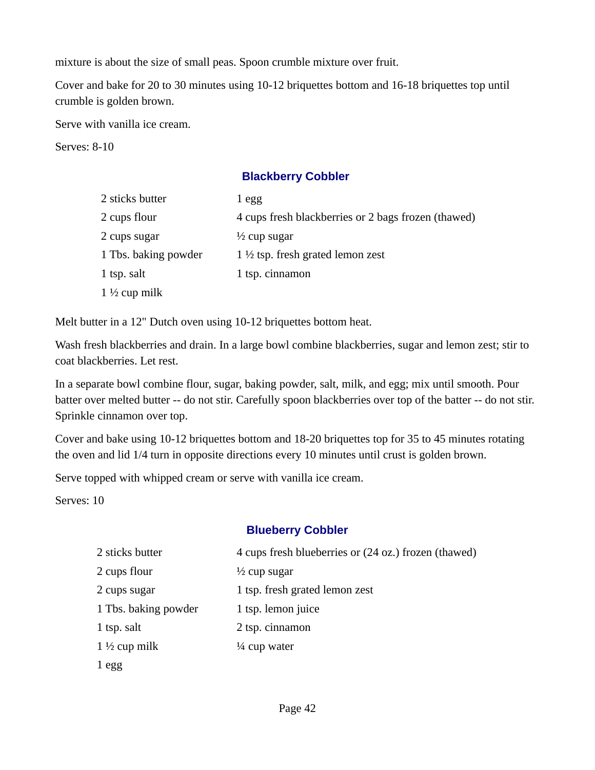mixture is about the size of small peas. Spoon crumble mixture over fruit.

Cover and bake for 20 to 30 minutes using 10-12 briquettes bottom and 16-18 briquettes top until crumble is golden brown.

Serve with vanilla ice cream.

Serves: 8-10

### **Blackberry Cobbler**

| 2 sticks butter          | 1 egg                                               |
|--------------------------|-----------------------------------------------------|
| 2 cups flour             | 4 cups fresh blackberries or 2 bags frozen (thawed) |
| 2 cups sugar             | $\frac{1}{2}$ cup sugar                             |
| 1 Tbs. baking powder     | $1\frac{1}{2}$ tsp. fresh grated lemon zest         |
| 1 tsp. salt              | 1 tsp. cinnamon                                     |
| 1 $\frac{1}{2}$ cup milk |                                                     |

Melt butter in a 12" Dutch oven using 10-12 briquettes bottom heat.

Wash fresh blackberries and drain. In a large bowl combine blackberries, sugar and lemon zest; stir to coat blackberries. Let rest.

In a separate bowl combine flour, sugar, baking powder, salt, milk, and egg; mix until smooth. Pour batter over melted butter -- do not stir. Carefully spoon blackberries over top of the batter -- do not stir. Sprinkle cinnamon over top.

Cover and bake using 10-12 briquettes bottom and 18-20 briquettes top for 35 to 45 minutes rotating the oven and lid 1/4 turn in opposite directions every 10 minutes until crust is golden brown.

Serve topped with whipped cream or serve with vanilla ice cream.

Serves: 10

### **Blueberry Cobbler**

| 2 sticks butter         | 4 cups fresh blueberries or (24 oz.) frozen (thawed) |
|-------------------------|------------------------------------------------------|
| 2 cups flour            | $\frac{1}{2}$ cup sugar                              |
| 2 cups sugar            | 1 tsp. fresh grated lemon zest                       |
| 1 Tbs. baking powder    | 1 tsp. lemon juice                                   |
| 1 tsp. salt             | 2 tsp. cinnamon                                      |
| $1\frac{1}{2}$ cup milk | $\frac{1}{4}$ cup water                              |
| 1 egg                   |                                                      |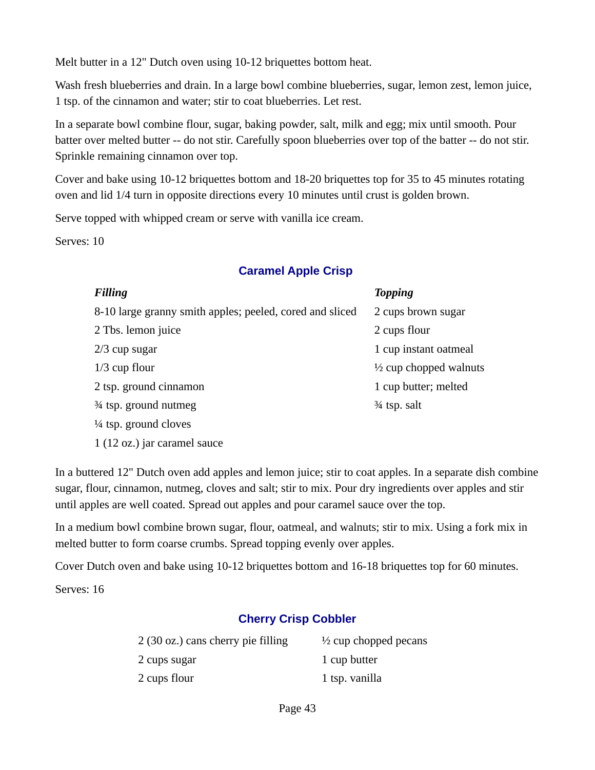Melt butter in a 12" Dutch oven using 10-12 briquettes bottom heat.

Wash fresh blueberries and drain. In a large bowl combine blueberries, sugar, lemon zest, lemon juice, 1 tsp. of the cinnamon and water; stir to coat blueberries. Let rest.

In a separate bowl combine flour, sugar, baking powder, salt, milk and egg; mix until smooth. Pour batter over melted butter -- do not stir. Carefully spoon blueberries over top of the batter -- do not stir. Sprinkle remaining cinnamon over top.

Cover and bake using 10-12 briquettes bottom and 18-20 briquettes top for 35 to 45 minutes rotating oven and lid 1/4 turn in opposite directions every 10 minutes until crust is golden brown.

Serve topped with whipped cream or serve with vanilla ice cream.

Serves: 10

### **Caramel Apple Crisp**

| <b>Filling</b>                                           | <b>Topping</b>                    |
|----------------------------------------------------------|-----------------------------------|
| 8-10 large granny smith apples; peeled, cored and sliced | 2 cups brown sugar                |
| 2 Tbs. lemon juice                                       | 2 cups flour                      |
| $2/3$ cup sugar                                          | 1 cup instant oatmeal             |
| $1/3$ cup flour                                          | $\frac{1}{2}$ cup chopped walnuts |
| 2 tsp. ground cinnamon                                   | 1 cup butter; melted              |
| 3⁄4 tsp. ground nutmeg                                   | 3⁄4 tsp. salt                     |
| 1/4 tsp. ground cloves                                   |                                   |

1 (12 oz.) jar caramel sauce

In a buttered 12" Dutch oven add apples and lemon juice; stir to coat apples. In a separate dish combine sugar, flour, cinnamon, nutmeg, cloves and salt; stir to mix. Pour dry ingredients over apples and stir until apples are well coated. Spread out apples and pour caramel sauce over the top.

In a medium bowl combine brown sugar, flour, oatmeal, and walnuts; stir to mix. Using a fork mix in melted butter to form coarse crumbs. Spread topping evenly over apples.

Cover Dutch oven and bake using 10-12 briquettes bottom and 16-18 briquettes top for 60 minutes.

Serves: 16

### **Cherry Crisp Cobbler**

| 2 (30 oz.) cans cherry pie filling | $\frac{1}{2}$ cup chopped pecans |
|------------------------------------|----------------------------------|
| 2 cups sugar                       | 1 cup butter                     |
| 2 cups flour                       | 1 tsp. vanilla                   |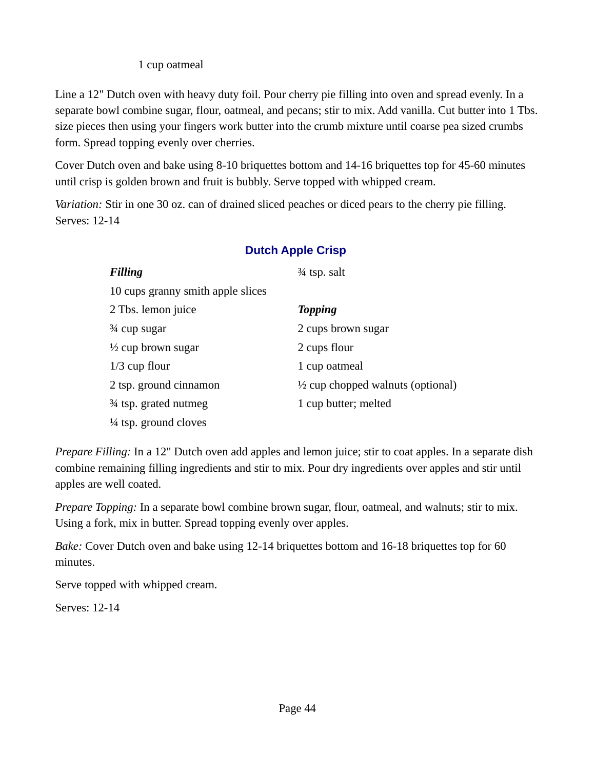### 1 cup oatmeal

Line a 12" Dutch oven with heavy duty foil. Pour cherry pie filling into oven and spread evenly. In a separate bowl combine sugar, flour, oatmeal, and pecans; stir to mix. Add vanilla. Cut butter into 1 Tbs. size pieces then using your fingers work butter into the crumb mixture until coarse pea sized crumbs form. Spread topping evenly over cherries.

Cover Dutch oven and bake using 8-10 briquettes bottom and 14-16 briquettes top for 45-60 minutes until crisp is golden brown and fruit is bubbly. Serve topped with whipped cream.

*Variation:* Stir in one 30 oz. can of drained sliced peaches or diced pears to the cherry pie filling. Serves: 12-14

| <b>Filling</b>                    | 34 tsp. salt                                 |
|-----------------------------------|----------------------------------------------|
| 10 cups granny smith apple slices |                                              |
| 2 Tbs. lemon juice                | <b>Topping</b>                               |
| $\frac{3}{4}$ cup sugar           | 2 cups brown sugar                           |
| $\frac{1}{2}$ cup brown sugar     | 2 cups flour                                 |
| $1/3$ cup flour                   | 1 cup oatmeal                                |
| 2 tsp. ground cinnamon            | $\frac{1}{2}$ cup chopped walnuts (optional) |
| 3⁄4 tsp. grated nutmeg            | 1 cup butter; melted                         |
| $\frac{1}{4}$ tsp. ground cloves  |                                              |

### **Dutch Apple Crisp**

*Prepare Filling:* In a 12" Dutch oven add apples and lemon juice; stir to coat apples. In a separate dish combine remaining filling ingredients and stir to mix. Pour dry ingredients over apples and stir until apples are well coated.

*Prepare Topping:* In a separate bowl combine brown sugar, flour, oatmeal, and walnuts; stir to mix. Using a fork, mix in butter. Spread topping evenly over apples.

*Bake:* Cover Dutch oven and bake using 12-14 briquettes bottom and 16-18 briquettes top for 60 minutes.

Serve topped with whipped cream.

Serves: 12-14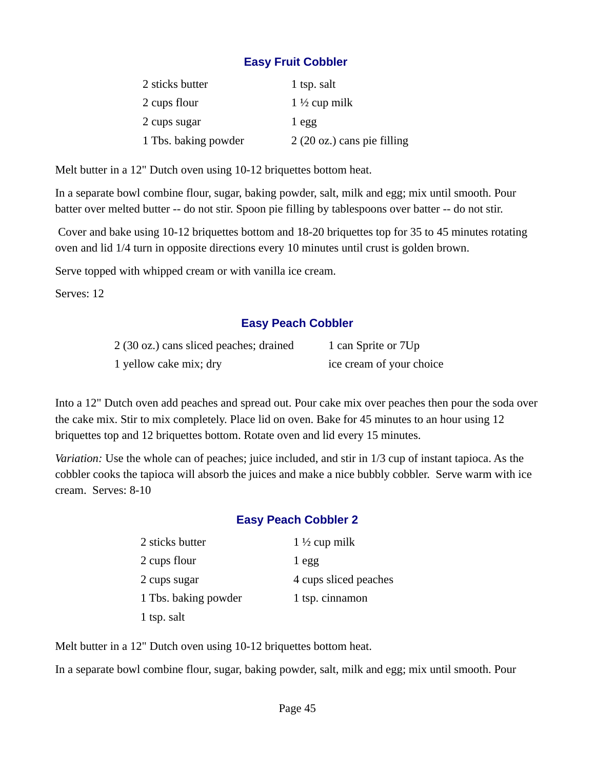### **Easy Fruit Cobbler**

| 2 sticks butter      | 1 tsp. salt                          |
|----------------------|--------------------------------------|
| 2 cups flour         | $1\frac{1}{2}$ cup milk              |
| 2 cups sugar         | $1$ egg                              |
| 1 Tbs. baking powder | $2(20 \text{ oz.})$ cans pie filling |

Melt butter in a 12" Dutch oven using 10-12 briquettes bottom heat.

In a separate bowl combine flour, sugar, baking powder, salt, milk and egg; mix until smooth. Pour batter over melted butter -- do not stir. Spoon pie filling by tablespoons over batter -- do not stir.

 Cover and bake using 10-12 briquettes bottom and 18-20 briquettes top for 35 to 45 minutes rotating oven and lid 1/4 turn in opposite directions every 10 minutes until crust is golden brown.

Serve topped with whipped cream or with vanilla ice cream.

Serves: 12

### **Easy Peach Cobbler**

| 2 (30 oz.) cans sliced peaches; drained | 1 can Sprite or 7Up      |
|-----------------------------------------|--------------------------|
| 1 yellow cake mix; dry                  | ice cream of your choice |

Into a 12" Dutch oven add peaches and spread out. Pour cake mix over peaches then pour the soda over the cake mix. Stir to mix completely. Place lid on oven. Bake for 45 minutes to an hour using 12 briquettes top and 12 briquettes bottom. Rotate oven and lid every 15 minutes.

*Variation:* Use the whole can of peaches; juice included, and stir in 1/3 cup of instant tapioca. As the cobbler cooks the tapioca will absorb the juices and make a nice bubbly cobbler. Serve warm with ice cream. Serves: 8-10

### **Easy Peach Cobbler 2**

| 2 sticks butter      | $1\frac{1}{2}$ cup milk |
|----------------------|-------------------------|
| 2 cups flour         | $1$ egg                 |
| 2 cups sugar         | 4 cups sliced peaches   |
| 1 Tbs. baking powder | 1 tsp. cinnamon         |
| 1 tsp. salt          |                         |

Melt butter in a 12" Dutch oven using 10-12 briquettes bottom heat.

In a separate bowl combine flour, sugar, baking powder, salt, milk and egg; mix until smooth. Pour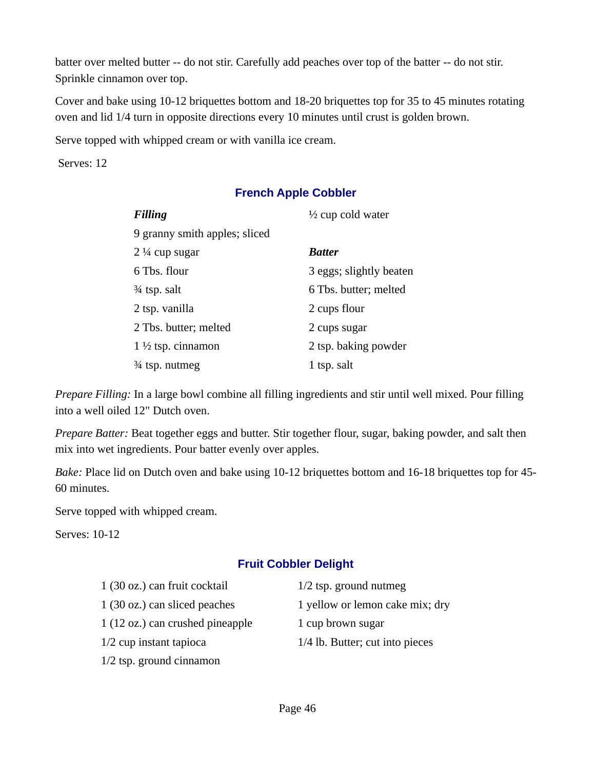batter over melted butter -- do not stir. Carefully add peaches over top of the batter -- do not stir. Sprinkle cinnamon over top.

Cover and bake using 10-12 briquettes bottom and 18-20 briquettes top for 35 to 45 minutes rotating oven and lid 1/4 turn in opposite directions every 10 minutes until crust is golden brown.

Serve topped with whipped cream or with vanilla ice cream.

Serves: 12

### **French Apple Cobbler**

| <b>Filling</b>                | $\frac{1}{2}$ cup cold water |
|-------------------------------|------------------------------|
| 9 granny smith apples; sliced |                              |
| $2\frac{1}{4}$ cup sugar      | <b>Batter</b>                |
| 6 Tbs. flour                  | 3 eggs; slightly beaten      |
| 3⁄4 tsp. salt                 | 6 Tbs. butter; melted        |
| 2 tsp. vanilla                | 2 cups flour                 |
| 2 Tbs. butter; melted         | 2 cups sugar                 |
| $1\frac{1}{2}$ tsp. cinnamon  | 2 tsp. baking powder         |
| $\frac{3}{4}$ tsp. nutmeg     | 1 tsp. salt                  |

*Prepare Filling:* In a large bowl combine all filling ingredients and stir until well mixed. Pour filling into a well oiled 12" Dutch oven.

*Prepare Batter:* Beat together eggs and butter. Stir together flour, sugar, baking powder, and salt then mix into wet ingredients. Pour batter evenly over apples.

*Bake:* Place lid on Dutch oven and bake using 10-12 briquettes bottom and 16-18 briquettes top for 45- 60 minutes.

Serve topped with whipped cream.

Serves: 10-12

### **Fruit Cobbler Delight**

| 1 (30 oz.) can fruit cocktail    | $1/2$ tsp. ground nutmeg        |
|----------------------------------|---------------------------------|
| 1 (30 oz.) can sliced peaches    | 1 yellow or lemon cake mix; dry |
| 1 (12 oz.) can crushed pineapple | 1 cup brown sugar               |
| $1/2$ cup instant tapioca        | 1/4 lb. Butter; cut into pieces |
| $1/2$ tsp. ground cinnamon       |                                 |
|                                  |                                 |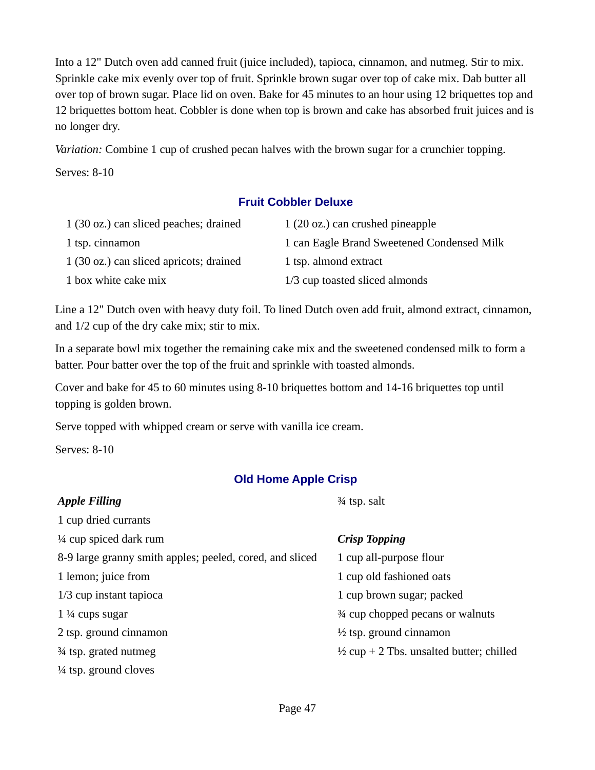Into a 12" Dutch oven add canned fruit (juice included), tapioca, cinnamon, and nutmeg. Stir to mix. Sprinkle cake mix evenly over top of fruit. Sprinkle brown sugar over top of cake mix. Dab butter all over top of brown sugar. Place lid on oven. Bake for 45 minutes to an hour using 12 briquettes top and 12 briquettes bottom heat. Cobbler is done when top is brown and cake has absorbed fruit juices and is no longer dry.

*Variation:* Combine 1 cup of crushed pecan halves with the brown sugar for a crunchier topping.

Serves: 8-10

### **Fruit Cobbler Deluxe**

| 1 (30 oz.) can sliced peaches; drained  | 1 (20 oz.) can crushed pineapple           |
|-----------------------------------------|--------------------------------------------|
| 1 tsp. cinnamon                         | 1 can Eagle Brand Sweetened Condensed Milk |
| 1 (30 oz.) can sliced apricots; drained | 1 tsp. almond extract                      |
| 1 box white cake mix                    | 1/3 cup toasted sliced almonds             |

Line a 12" Dutch oven with heavy duty foil. To lined Dutch oven add fruit, almond extract, cinnamon, and 1/2 cup of the dry cake mix; stir to mix.

In a separate bowl mix together the remaining cake mix and the sweetened condensed milk to form a batter. Pour batter over the top of the fruit and sprinkle with toasted almonds.

Cover and bake for 45 to 60 minutes using 8-10 briquettes bottom and 14-16 briquettes top until topping is golden brown.

Serve topped with whipped cream or serve with vanilla ice cream.

Serves: 8-10

### **Old Home Apple Crisp**

| <b>Apple Filling</b>                                     | $\frac{3}{4}$ tsp. salt                             |
|----------------------------------------------------------|-----------------------------------------------------|
| 1 cup dried currants                                     |                                                     |
| $\frac{1}{4}$ cup spiced dark rum                        | <b>Crisp Topping</b>                                |
| 8-9 large granny smith apples; peeled, cored, and sliced | 1 cup all-purpose flour                             |
| 1 lemon; juice from                                      | 1 cup old fashioned oats                            |
| $1/3$ cup instant tapioca                                | 1 cup brown sugar; packed                           |
| $1\frac{1}{4}$ cups sugar                                | 3⁄4 cup chopped pecans or walnuts                   |
| 2 tsp. ground cinnamon                                   | $\frac{1}{2}$ tsp. ground cinnamon                  |
| 3⁄4 tsp. grated nutmeg                                   | $\frac{1}{2}$ cup + 2 Tbs. unsalted butter; chilled |
| $\frac{1}{4}$ tsp. ground cloves                         |                                                     |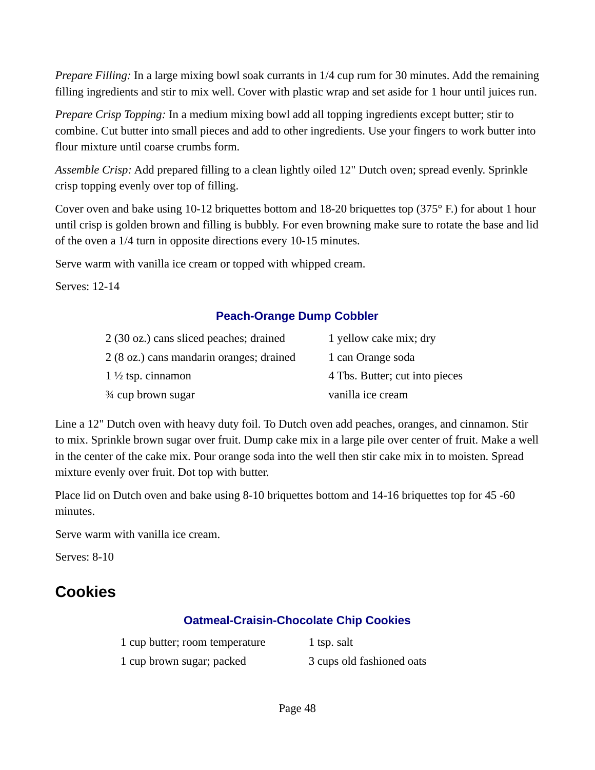*Prepare Filling:* In a large mixing bowl soak currants in 1/4 cup rum for 30 minutes. Add the remaining filling ingredients and stir to mix well. Cover with plastic wrap and set aside for 1 hour until juices run.

*Prepare Crisp Topping:* In a medium mixing bowl add all topping ingredients except butter; stir to combine. Cut butter into small pieces and add to other ingredients. Use your fingers to work butter into flour mixture until coarse crumbs form.

*Assemble Crisp:* Add prepared filling to a clean lightly oiled 12" Dutch oven; spread evenly. Sprinkle crisp topping evenly over top of filling.

Cover oven and bake using 10-12 briquettes bottom and 18-20 briquettes top (375° F.) for about 1 hour until crisp is golden brown and filling is bubbly. For even browning make sure to rotate the base and lid of the oven a 1/4 turn in opposite directions every 10-15 minutes.

Serve warm with vanilla ice cream or topped with whipped cream.

Serves: 12-14

### **Peach-Orange Dump Cobbler**

| 2 (30 oz.) cans sliced peaches; drained  | 1 yellow cake mix; dry         |
|------------------------------------------|--------------------------------|
| 2 (8 oz.) cans mandarin oranges; drained | 1 can Orange soda              |
| $1\frac{1}{2}$ tsp. cinnamon             | 4 Tbs. Butter; cut into pieces |
| 3⁄4 cup brown sugar                      | vanilla ice cream              |

Line a 12" Dutch oven with heavy duty foil. To Dutch oven add peaches, oranges, and cinnamon. Stir to mix. Sprinkle brown sugar over fruit. Dump cake mix in a large pile over center of fruit. Make a well in the center of the cake mix. Pour orange soda into the well then stir cake mix in to moisten. Spread mixture evenly over fruit. Dot top with butter.

Place lid on Dutch oven and bake using 8-10 briquettes bottom and 14-16 briquettes top for 45 -60 minutes.

Serve warm with vanilla ice cream.

Serves: 8-10

# **Cookies**

### **Oatmeal-Craisin-Chocolate Chip Cookies**

| 1 cup butter; room temperature | 1 tsp. salt               |
|--------------------------------|---------------------------|
| 1 cup brown sugar; packed      | 3 cups old fashioned oats |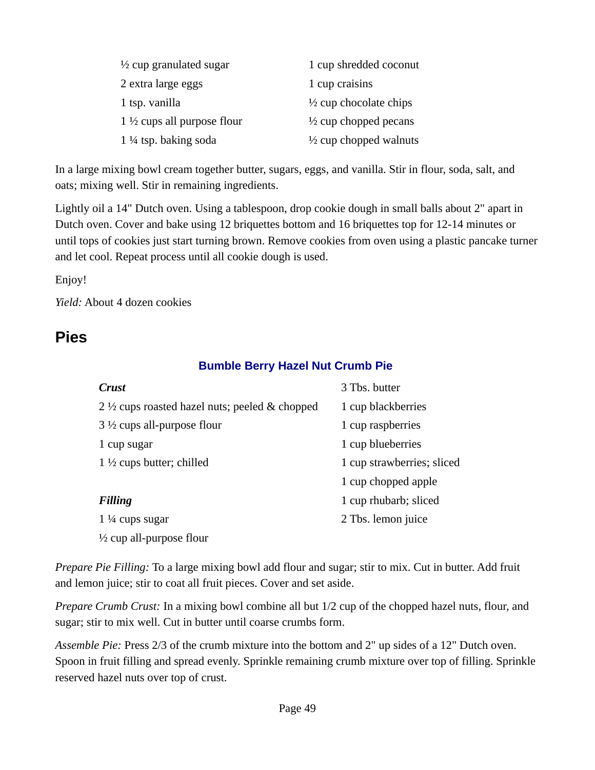| $\frac{1}{2}$ cup granulated sugar     | 1 cup shredded coconut            |
|----------------------------------------|-----------------------------------|
| 2 extra large eggs                     | 1 cup craisins                    |
| 1 tsp. vanilla                         | $\frac{1}{2}$ cup chocolate chips |
| 1 $\frac{1}{2}$ cups all purpose flour | $\frac{1}{2}$ cup chopped pecans  |
| $1\frac{1}{4}$ tsp. baking soda        | $\frac{1}{2}$ cup chopped walnuts |

In a large mixing bowl cream together butter, sugars, eggs, and vanilla. Stir in flour, soda, salt, and oats; mixing well. Stir in remaining ingredients.

Lightly oil a 14" Dutch oven. Using a tablespoon, drop cookie dough in small balls about 2" apart in Dutch oven. Cover and bake using 12 briquettes bottom and 16 briquettes top for 12-14 minutes or until tops of cookies just start turning brown. Remove cookies from oven using a plastic pancake turner and let cool. Repeat process until all cookie dough is used.

Enjoy!

*Yield:* About 4 dozen cookies

# **Pies**

### **Bumble Berry Hazel Nut Crumb Pie**

| <b>Crust</b>                                              | 3 Tbs. butter              |
|-----------------------------------------------------------|----------------------------|
| 2 $\frac{1}{2}$ cups roasted hazel nuts; peeled & chopped | 1 cup blackberries         |
| $3\frac{1}{2}$ cups all-purpose flour                     | 1 cup raspberries          |
| 1 cup sugar                                               | 1 cup blueberries          |
| 1 $\frac{1}{2}$ cups butter; chilled                      | 1 cup strawberries; sliced |
|                                                           | 1 cup chopped apple        |
| <b>Filling</b>                                            | 1 cup rhubarb; sliced      |
| $1\frac{1}{4}$ cups sugar                                 | 2 Tbs. lemon juice         |
| $\frac{1}{2}$ cup all-purpose flour                       |                            |

*Prepare Pie Filling:* To a large mixing bowl add flour and sugar; stir to mix. Cut in butter. Add fruit and lemon juice; stir to coat all fruit pieces. Cover and set aside.

*Prepare Crumb Crust:* In a mixing bowl combine all but 1/2 cup of the chopped hazel nuts, flour, and sugar; stir to mix well. Cut in butter until coarse crumbs form.

*Assemble Pie:* Press 2/3 of the crumb mixture into the bottom and 2" up sides of a 12" Dutch oven. Spoon in fruit filling and spread evenly. Sprinkle remaining crumb mixture over top of filling. Sprinkle reserved hazel nuts over top of crust.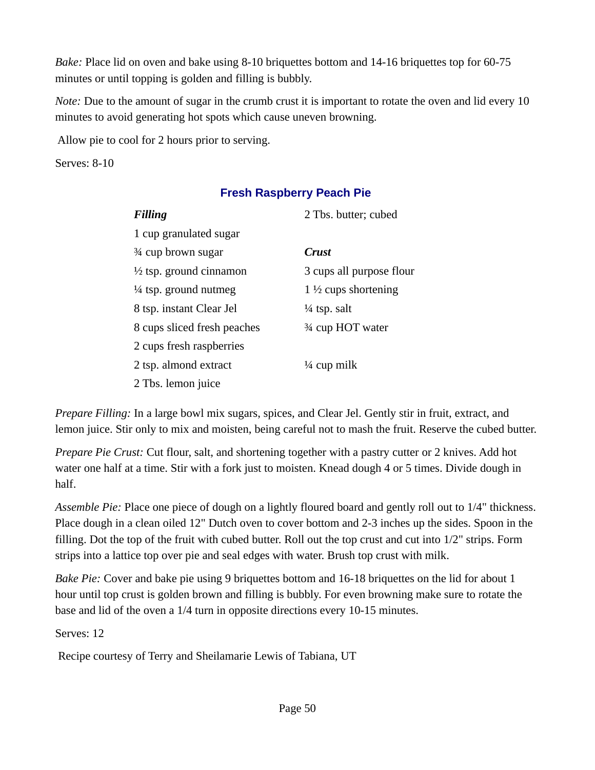*Bake:* Place lid on oven and bake using 8-10 briquettes bottom and 14-16 briquettes top for 60-75 minutes or until topping is golden and filling is bubbly.

*Note:* Due to the amount of sugar in the crumb crust it is important to rotate the oven and lid every 10 minutes to avoid generating hot spots which cause uneven browning.

Allow pie to cool for 2 hours prior to serving.

Serves: 8-10

### **Fresh Raspberry Peach Pie**

| <b>Filling</b>                     | 2 Tbs. butter; cubed           |
|------------------------------------|--------------------------------|
| 1 cup granulated sugar             |                                |
| 3⁄4 cup brown sugar                | <b>Crust</b>                   |
| $\frac{1}{2}$ tsp. ground cinnamon | 3 cups all purpose flour       |
| $\frac{1}{4}$ tsp. ground nutmeg   | $1\frac{1}{2}$ cups shortening |
| 8 tsp. instant Clear Jel           | $\frac{1}{4}$ tsp. salt        |
| 8 cups sliced fresh peaches        | 3⁄4 cup HOT water              |
| 2 cups fresh raspberries           |                                |
| 2 tsp. almond extract              | $\frac{1}{4}$ cup milk         |
| 2 Tbs. lemon juice                 |                                |

*Prepare Filling:* In a large bowl mix sugars, spices, and Clear Jel. Gently stir in fruit, extract, and lemon juice. Stir only to mix and moisten, being careful not to mash the fruit. Reserve the cubed butter.

*Prepare Pie Crust:* Cut flour, salt, and shortening together with a pastry cutter or 2 knives. Add hot water one half at a time. Stir with a fork just to moisten. Knead dough 4 or 5 times. Divide dough in half.

*Assemble Pie:* Place one piece of dough on a lightly floured board and gently roll out to 1/4" thickness. Place dough in a clean oiled 12" Dutch oven to cover bottom and 2-3 inches up the sides. Spoon in the filling. Dot the top of the fruit with cubed butter. Roll out the top crust and cut into 1/2" strips. Form strips into a lattice top over pie and seal edges with water. Brush top crust with milk.

*Bake Pie:* Cover and bake pie using 9 briquettes bottom and 16-18 briquettes on the lid for about 1 hour until top crust is golden brown and filling is bubbly. For even browning make sure to rotate the base and lid of the oven a 1/4 turn in opposite directions every 10-15 minutes.

Serves: 12

Recipe courtesy of Terry and Sheilamarie Lewis of Tabiana, UT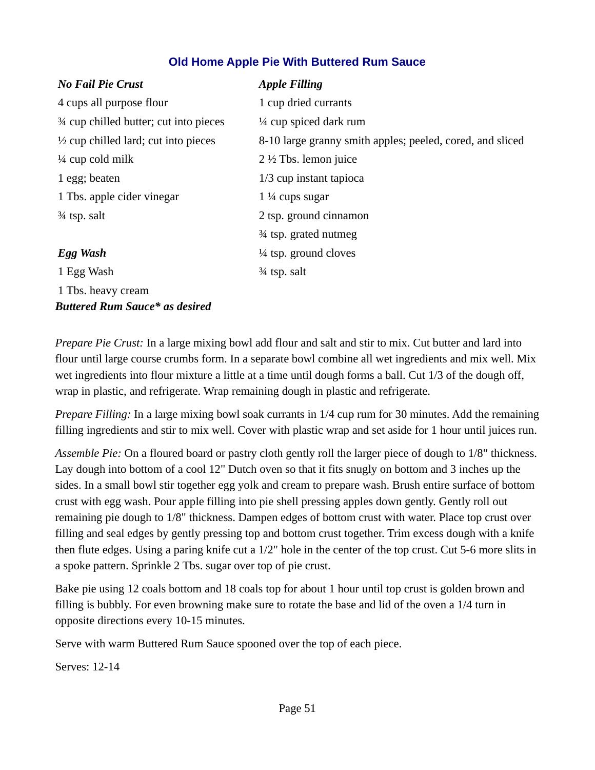### **Old Home Apple Pie With Buttered Rum Sauce**

| <b>No Fail Pie Crust</b>                        | <b>Apple Filling</b>                                      |
|-------------------------------------------------|-----------------------------------------------------------|
| 4 cups all purpose flour                        | 1 cup dried currants                                      |
| 3⁄4 cup chilled butter; cut into pieces         | $\frac{1}{4}$ cup spiced dark rum                         |
| $\frac{1}{2}$ cup chilled lard; cut into pieces | 8-10 large granny smith apples; peeled, cored, and sliced |
| $\frac{1}{4}$ cup cold milk                     | $2\frac{1}{2}$ Tbs. lemon juice                           |
| 1 egg; beaten                                   | 1/3 cup instant tapioca                                   |
| 1 Tbs. apple cider vinegar                      | $1\frac{1}{4}$ cups sugar                                 |
| 34 tsp. salt                                    | 2 tsp. ground cinnamon                                    |
|                                                 | 3⁄4 tsp. grated nutmeg                                    |
| Egg Wash                                        | $\frac{1}{4}$ tsp. ground cloves                          |
| 1 Egg Wash                                      | 3⁄4 tsp. salt                                             |
| 1 Tbs. heavy cream                              |                                                           |

*Prepare Pie Crust:* In a large mixing bowl add flour and salt and stir to mix. Cut butter and lard into flour until large course crumbs form. In a separate bowl combine all wet ingredients and mix well. Mix wet ingredients into flour mixture a little at a time until dough forms a ball. Cut 1/3 of the dough off, wrap in plastic, and refrigerate. Wrap remaining dough in plastic and refrigerate.

*Prepare Filling:* In a large mixing bowl soak currants in 1/4 cup rum for 30 minutes. Add the remaining filling ingredients and stir to mix well. Cover with plastic wrap and set aside for 1 hour until juices run.

*Assemble Pie:* On a floured board or pastry cloth gently roll the larger piece of dough to 1/8" thickness. Lay dough into bottom of a cool 12" Dutch oven so that it fits snugly on bottom and 3 inches up the sides. In a small bowl stir together egg yolk and cream to prepare wash. Brush entire surface of bottom crust with egg wash. Pour apple filling into pie shell pressing apples down gently. Gently roll out remaining pie dough to 1/8" thickness. Dampen edges of bottom crust with water. Place top crust over filling and seal edges by gently pressing top and bottom crust together. Trim excess dough with a knife then flute edges. Using a paring knife cut a 1/2" hole in the center of the top crust. Cut 5-6 more slits in a spoke pattern. Sprinkle 2 Tbs. sugar over top of pie crust.

Bake pie using 12 coals bottom and 18 coals top for about 1 hour until top crust is golden brown and filling is bubbly. For even browning make sure to rotate the base and lid of the oven a 1/4 turn in opposite directions every 10-15 minutes.

Serve with warm Buttered Rum Sauce spooned over the top of each piece.

Serves: 12-14

*Buttered Rum Sauce\* as desired*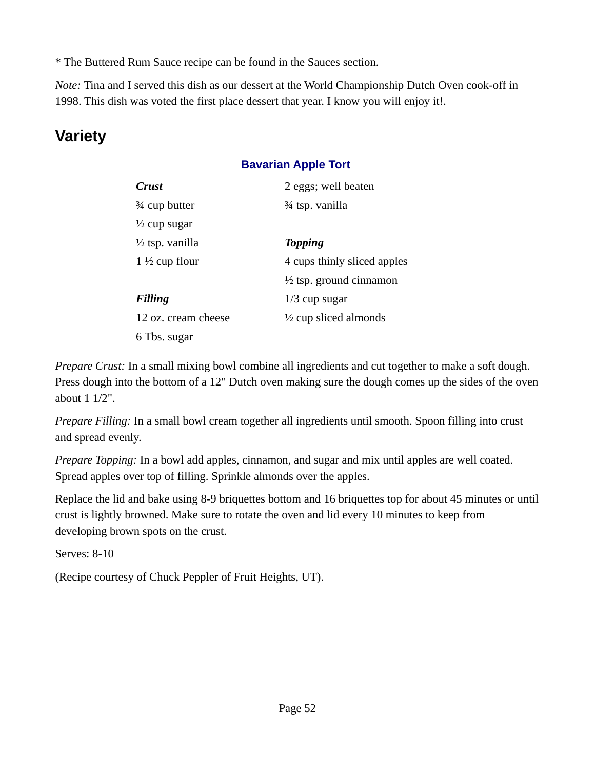\* The Buttered Rum Sauce recipe can be found in the Sauces section.

*Note:* Tina and I served this dish as our dessert at the World Championship Dutch Oven cook-off in 1998. This dish was voted the first place dessert that year. I know you will enjoy it!.

# **Variety**

## **Bavarian Apple Tort**

| <b>Crust</b>               | 2 eggs; well beaten                |
|----------------------------|------------------------------------|
| 3⁄4 cup butter             | <sup>34</sup> tsp. vanilla         |
| $\frac{1}{2}$ cup sugar    |                                    |
| $\frac{1}{2}$ tsp. vanilla | <b>Topping</b>                     |
| 1 $\frac{1}{2}$ cup flour  | 4 cups thinly sliced apples        |
|                            | $\frac{1}{2}$ tsp. ground cinnamon |
| <b>Filling</b>             | $1/3$ cup sugar                    |
| 12 oz. cream cheese        | $\frac{1}{2}$ cup sliced almonds   |
| 6 Tbs. sugar               |                                    |

*Prepare Crust:* In a small mixing bowl combine all ingredients and cut together to make a soft dough. Press dough into the bottom of a 12" Dutch oven making sure the dough comes up the sides of the oven about 1 1/2".

*Prepare Filling:* In a small bowl cream together all ingredients until smooth. Spoon filling into crust and spread evenly.

*Prepare Topping:* In a bowl add apples, cinnamon, and sugar and mix until apples are well coated. Spread apples over top of filling. Sprinkle almonds over the apples.

Replace the lid and bake using 8-9 briquettes bottom and 16 briquettes top for about 45 minutes or until crust is lightly browned. Make sure to rotate the oven and lid every 10 minutes to keep from developing brown spots on the crust.

Serves: 8-10

(Recipe courtesy of Chuck Peppler of Fruit Heights, UT).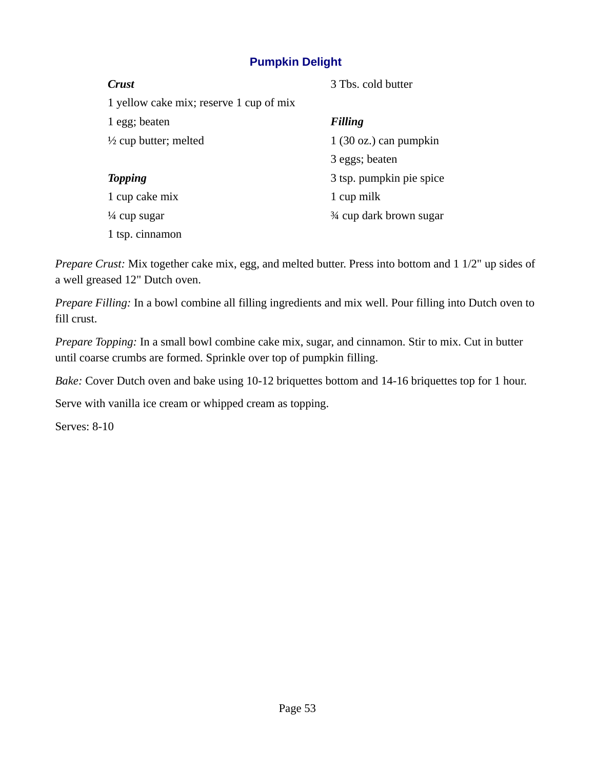### **Pumpkin Delight**

| <b>Crust</b>                            | 3 Tbs. cold butter              |
|-----------------------------------------|---------------------------------|
| 1 yellow cake mix; reserve 1 cup of mix |                                 |
| 1 egg; beaten                           | <b>Filling</b>                  |
| $\frac{1}{2}$ cup butter; melted        | $1(30 \text{ oz.})$ can pumpkin |
|                                         | 3 eggs; beaten                  |
| <b>Topping</b>                          | 3 tsp. pumpkin pie spice        |
| 1 cup cake mix                          | 1 cup milk                      |
| $\frac{1}{4}$ cup sugar                 | 3⁄4 cup dark brown sugar        |
| 1 tsp. cinnamon                         |                                 |
|                                         |                                 |

*Prepare Crust:* Mix together cake mix, egg, and melted butter. Press into bottom and 1 1/2" up sides of a well greased 12" Dutch oven.

*Prepare Filling:* In a bowl combine all filling ingredients and mix well. Pour filling into Dutch oven to fill crust.

*Prepare Topping:* In a small bowl combine cake mix, sugar, and cinnamon. Stir to mix. Cut in butter until coarse crumbs are formed. Sprinkle over top of pumpkin filling.

*Bake:* Cover Dutch oven and bake using 10-12 briquettes bottom and 14-16 briquettes top for 1 hour.

Serve with vanilla ice cream or whipped cream as topping.

Serves: 8-10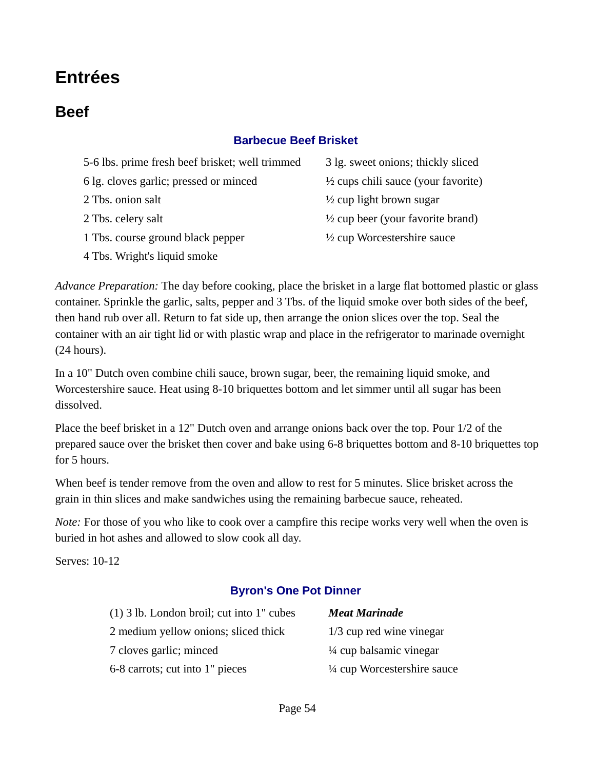# **Entrées**

# **Beef**

### **Barbecue Beef Brisket**

| 5-6 lbs. prime fresh beef brisket; well trimmed | 3 lg. sweet onions; thickly sliced             |
|-------------------------------------------------|------------------------------------------------|
| 6 lg. cloves garlic; pressed or minced          | $\frac{1}{2}$ cups chili sauce (your favorite) |
| 2 Tbs. onion salt                               | $\frac{1}{2}$ cup light brown sugar            |
| 2 Tbs. celery salt                              | $\frac{1}{2}$ cup beer (your favorite brand)   |
| 1 Tbs. course ground black pepper               | $\frac{1}{2}$ cup Worcestershire sauce         |
| 4 Tbs. Wright's liquid smoke                    |                                                |

*Advance Preparation:* The day before cooking, place the brisket in a large flat bottomed plastic or glass container. Sprinkle the garlic, salts, pepper and 3 Tbs. of the liquid smoke over both sides of the beef, then hand rub over all. Return to fat side up, then arrange the onion slices over the top. Seal the container with an air tight lid or with plastic wrap and place in the refrigerator to marinade overnight (24 hours).

In a 10" Dutch oven combine chili sauce, brown sugar, beer, the remaining liquid smoke, and Worcestershire sauce. Heat using 8-10 briquettes bottom and let simmer until all sugar has been dissolved.

Place the beef brisket in a 12" Dutch oven and arrange onions back over the top. Pour 1/2 of the prepared sauce over the brisket then cover and bake using 6-8 briquettes bottom and 8-10 briquettes top for 5 hours.

When beef is tender remove from the oven and allow to rest for 5 minutes. Slice brisket across the grain in thin slices and make sandwiches using the remaining barbecue sauce, reheated.

*Note:* For those of you who like to cook over a campfire this recipe works very well when the oven is buried in hot ashes and allowed to slow cook all day.

Serves: 10-12

### **Byron's One Pot Dinner**

| (1) 3 lb. London broil; cut into 1" cubes | <b>Meat Marinade</b>               |
|-------------------------------------------|------------------------------------|
| 2 medium yellow onions; sliced thick      | $1/3$ cup red wine vinegar         |
| 7 cloves garlic; minced                   | $\frac{1}{4}$ cup balsamic vinegar |
| 6-8 carrots; cut into 1" pieces           | 1/4 cup Worcestershire sauce       |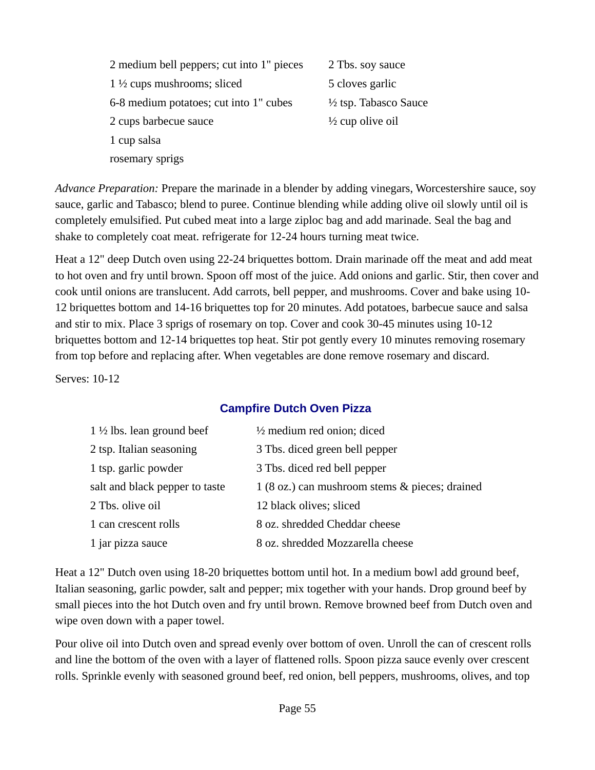| 2 medium bell peppers; cut into 1" pieces | 2 Tbs. soy sauce                 |
|-------------------------------------------|----------------------------------|
| $1\frac{1}{2}$ cups mushrooms; sliced     | 5 cloves garlic                  |
| 6-8 medium potatoes; cut into 1" cubes    | $\frac{1}{2}$ tsp. Tabasco Sauce |
| 2 cups barbecue sauce                     | $\frac{1}{2}$ cup olive oil      |
| 1 cup salsa                               |                                  |
| rosemary sprigs                           |                                  |

*Advance Preparation:* Prepare the marinade in a blender by adding vinegars, Worcestershire sauce, soy sauce, garlic and Tabasco; blend to puree. Continue blending while adding olive oil slowly until oil is completely emulsified. Put cubed meat into a large ziploc bag and add marinade. Seal the bag and shake to completely coat meat. refrigerate for 12-24 hours turning meat twice.

Heat a 12" deep Dutch oven using 22-24 briquettes bottom. Drain marinade off the meat and add meat to hot oven and fry until brown. Spoon off most of the juice. Add onions and garlic. Stir, then cover and cook until onions are translucent. Add carrots, bell pepper, and mushrooms. Cover and bake using 10- 12 briquettes bottom and 14-16 briquettes top for 20 minutes. Add potatoes, barbecue sauce and salsa and stir to mix. Place 3 sprigs of rosemary on top. Cover and cook 30-45 minutes using 10-12 briquettes bottom and 12-14 briquettes top heat. Stir pot gently every 10 minutes removing rosemary from top before and replacing after. When vegetables are done remove rosemary and discard.

Serves: 10-12

### **Campfire Dutch Oven Pizza**

| $1\frac{1}{2}$ lbs. lean ground beef | $\frac{1}{2}$ medium red onion; diced          |
|--------------------------------------|------------------------------------------------|
| 2 tsp. Italian seasoning             | 3 Tbs. diced green bell pepper                 |
| 1 tsp. garlic powder                 | 3 Tbs. diced red bell pepper                   |
| salt and black pepper to taste       | 1 (8 oz.) can mushroom stems & pieces; drained |
| 2 Tbs. olive oil                     | 12 black olives; sliced                        |
| 1 can crescent rolls                 | 8 oz. shredded Cheddar cheese                  |
| 1 jar pizza sauce                    | 8 oz. shredded Mozzarella cheese               |

Heat a 12" Dutch oven using 18-20 briquettes bottom until hot. In a medium bowl add ground beef, Italian seasoning, garlic powder, salt and pepper; mix together with your hands. Drop ground beef by small pieces into the hot Dutch oven and fry until brown. Remove browned beef from Dutch oven and wipe oven down with a paper towel.

Pour olive oil into Dutch oven and spread evenly over bottom of oven. Unroll the can of crescent rolls and line the bottom of the oven with a layer of flattened rolls. Spoon pizza sauce evenly over crescent rolls. Sprinkle evenly with seasoned ground beef, red onion, bell peppers, mushrooms, olives, and top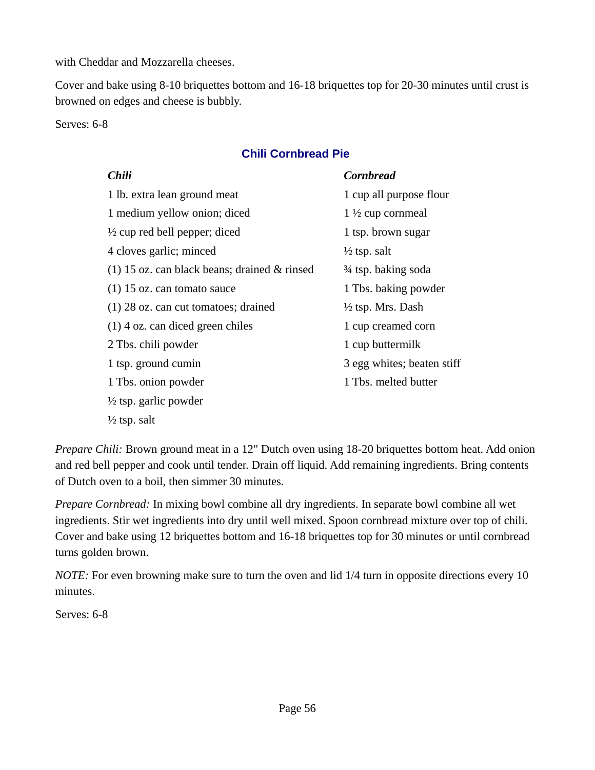with Cheddar and Mozzarella cheeses.

Cover and bake using 8-10 briquettes bottom and 16-18 briquettes top for 20-30 minutes until crust is browned on edges and cheese is bubbly.

Serves: 6-8

### **Chili Cornbread Pie**

| <b>Chili</b>                                   | Cornbread                    |
|------------------------------------------------|------------------------------|
| 1 lb. extra lean ground meat                   | 1 cup all purpose flour      |
| 1 medium yellow onion; diced                   | $1\frac{1}{2}$ cup cornmeal  |
| $\frac{1}{2}$ cup red bell pepper; diced       | 1 tsp. brown sugar           |
| 4 cloves garlic; minced                        | $\frac{1}{2}$ tsp. salt      |
| $(1)$ 15 oz. can black beans; drained & rinsed | 3⁄4 tsp. baking soda         |
| $(1)$ 15 oz. can tomato sauce                  | 1 Tbs. baking powder         |
| $(1)$ 28 oz. can cut tomatoes; drained         | $\frac{1}{2}$ tsp. Mrs. Dash |
| $(1)$ 4 oz. can diced green chiles             | 1 cup creamed corn           |
| 2 Tbs. chili powder                            | 1 cup buttermilk             |
| 1 tsp. ground cumin                            | 3 egg whites; beaten stiff   |
| 1 Tbs. onion powder                            | 1 Tbs. melted butter         |
| $\frac{1}{2}$ tsp. garlic powder               |                              |
| $\frac{1}{2}$ tsp. salt                        |                              |

*Prepare Chili:* Brown ground meat in a 12" Dutch oven using 18-20 briquettes bottom heat. Add onion and red bell pepper and cook until tender. Drain off liquid. Add remaining ingredients. Bring contents of Dutch oven to a boil, then simmer 30 minutes.

*Prepare Cornbread:* In mixing bowl combine all dry ingredients. In separate bowl combine all wet ingredients. Stir wet ingredients into dry until well mixed. Spoon cornbread mixture over top of chili. Cover and bake using 12 briquettes bottom and 16-18 briquettes top for 30 minutes or until cornbread turns golden brown.

*NOTE:* For even browning make sure to turn the oven and lid 1/4 turn in opposite directions every 10 minutes.

Serves: 6-8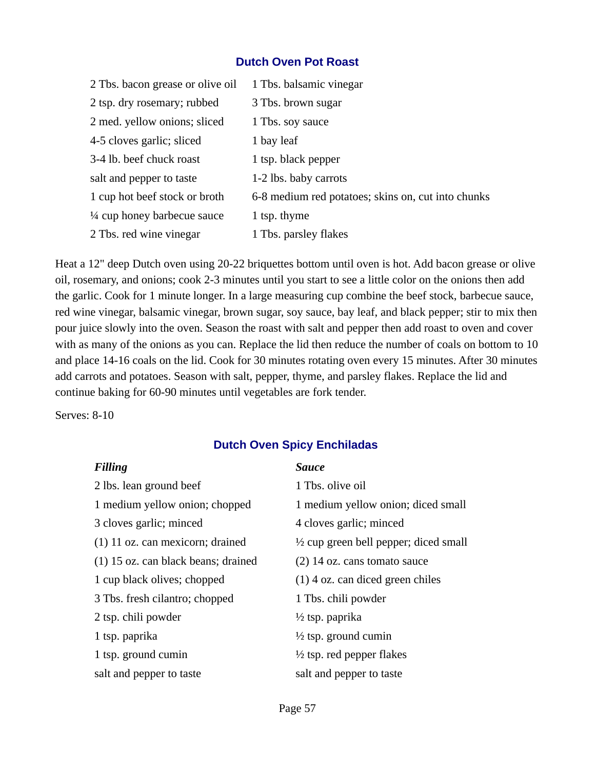#### **Dutch Oven Pot Roast**

| 2 Tbs. bacon grease or olive oil       | 1 Tbs. balsamic vinegar                            |
|----------------------------------------|----------------------------------------------------|
| 2 tsp. dry rosemary; rubbed            | 3 Tbs. brown sugar                                 |
| 2 med. yellow onions; sliced           | 1 Tbs. soy sauce                                   |
| 4-5 cloves garlic; sliced              | 1 bay leaf                                         |
| 3-4 lb. beef chuck roast               | 1 tsp. black pepper                                |
| salt and pepper to taste               | 1-2 lbs. baby carrots                              |
| 1 cup hot beef stock or broth          | 6-8 medium red potatoes; skins on, cut into chunks |
| $\frac{1}{4}$ cup honey barbecue sauce | 1 tsp. thyme                                       |
| 2 Tbs. red wine vinegar                | 1 Tbs. parsley flakes                              |

Heat a 12" deep Dutch oven using 20-22 briquettes bottom until oven is hot. Add bacon grease or olive oil, rosemary, and onions; cook 2-3 minutes until you start to see a little color on the onions then add the garlic. Cook for 1 minute longer. In a large measuring cup combine the beef stock, barbecue sauce, red wine vinegar, balsamic vinegar, brown sugar, soy sauce, bay leaf, and black pepper; stir to mix then pour juice slowly into the oven. Season the roast with salt and pepper then add roast to oven and cover with as many of the onions as you can. Replace the lid then reduce the number of coals on bottom to 10 and place 14-16 coals on the lid. Cook for 30 minutes rotating oven every 15 minutes. After 30 minutes add carrots and potatoes. Season with salt, pepper, thyme, and parsley flakes. Replace the lid and continue baking for 60-90 minutes until vegetables are fork tender.

Serves: 8-10

### **Dutch Oven Spicy Enchiladas**

| <b>Filling</b>                        | <b>Sauce</b>                                     |
|---------------------------------------|--------------------------------------------------|
| 2 lbs. lean ground beef               | 1 Tbs. olive oil                                 |
| 1 medium yellow onion; chopped        | 1 medium yellow onion; diced small               |
| 3 cloves garlic; minced               | 4 cloves garlic; minced                          |
| $(1)$ 11 oz. can mexicorn; drained    | $\frac{1}{2}$ cup green bell pepper; diced small |
| $(1)$ 15 oz. can black beans; drained | $(2)$ 14 oz. cans tomato sauce                   |
| 1 cup black olives; chopped           | $(1)$ 4 oz. can diced green chiles               |
| 3 Tbs. fresh cilantro; chopped        | 1 Tbs. chili powder                              |
| 2 tsp. chili powder                   | $\frac{1}{2}$ tsp. paprika                       |
| 1 tsp. paprika                        | $\frac{1}{2}$ tsp. ground cumin                  |
| 1 tsp. ground cumin                   | $\frac{1}{2}$ tsp. red pepper flakes             |
| salt and pepper to taste              | salt and pepper to taste                         |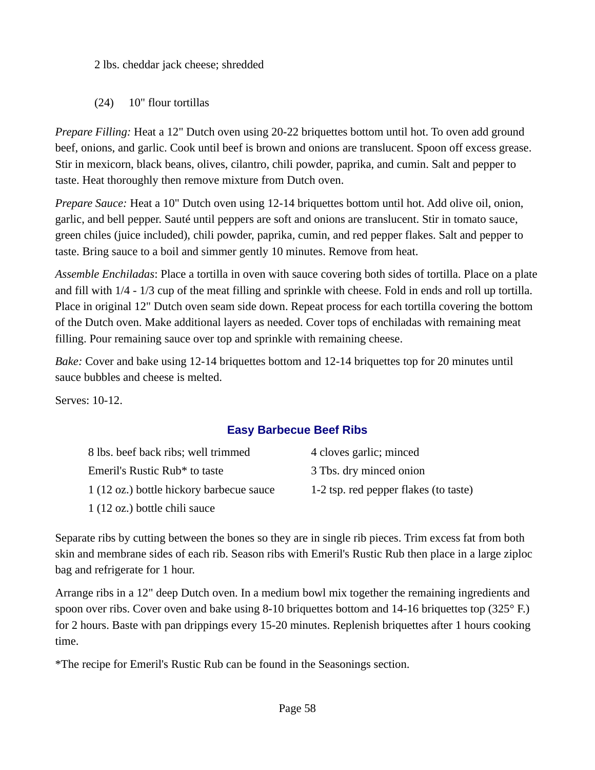2 lbs. cheddar jack cheese; shredded

(24) 10" flour tortillas

*Prepare Filling:* Heat a 12" Dutch oven using 20-22 briquettes bottom until hot. To oven add ground beef, onions, and garlic. Cook until beef is brown and onions are translucent. Spoon off excess grease. Stir in mexicorn, black beans, olives, cilantro, chili powder, paprika, and cumin. Salt and pepper to taste. Heat thoroughly then remove mixture from Dutch oven.

*Prepare Sauce:* Heat a 10" Dutch oven using 12-14 briquettes bottom until hot. Add olive oil, onion, garlic, and bell pepper. Sauté until peppers are soft and onions are translucent. Stir in tomato sauce, green chiles (juice included), chili powder, paprika, cumin, and red pepper flakes. Salt and pepper to taste. Bring sauce to a boil and simmer gently 10 minutes. Remove from heat.

*Assemble Enchiladas*: Place a tortilla in oven with sauce covering both sides of tortilla. Place on a plate and fill with 1/4 - 1/3 cup of the meat filling and sprinkle with cheese. Fold in ends and roll up tortilla. Place in original 12" Dutch oven seam side down. Repeat process for each tortilla covering the bottom of the Dutch oven. Make additional layers as needed. Cover tops of enchiladas with remaining meat filling. Pour remaining sauce over top and sprinkle with remaining cheese.

*Bake:* Cover and bake using 12-14 briquettes bottom and 12-14 briquettes top for 20 minutes until sauce bubbles and cheese is melted.

Serves: 10-12.

### **Easy Barbecue Beef Ribs**

| 8 lbs. beef back ribs; well trimmed      | 4 cloves garlic; minced               |
|------------------------------------------|---------------------------------------|
| Emeril's Rustic Rub* to taste            | 3 Tbs. dry minced onion               |
| 1 (12 oz.) bottle hickory barbecue sauce | 1-2 tsp. red pepper flakes (to taste) |
| 1 (12 oz.) bottle chili sauce            |                                       |

Separate ribs by cutting between the bones so they are in single rib pieces. Trim excess fat from both skin and membrane sides of each rib. Season ribs with Emeril's Rustic Rub then place in a large ziploc bag and refrigerate for 1 hour.

Arrange ribs in a 12" deep Dutch oven. In a medium bowl mix together the remaining ingredients and spoon over ribs. Cover oven and bake using 8-10 briquettes bottom and 14-16 briquettes top (325° F.) for 2 hours. Baste with pan drippings every 15-20 minutes. Replenish briquettes after 1 hours cooking time.

\*The recipe for Emeril's Rustic Rub can be found in the Seasonings section.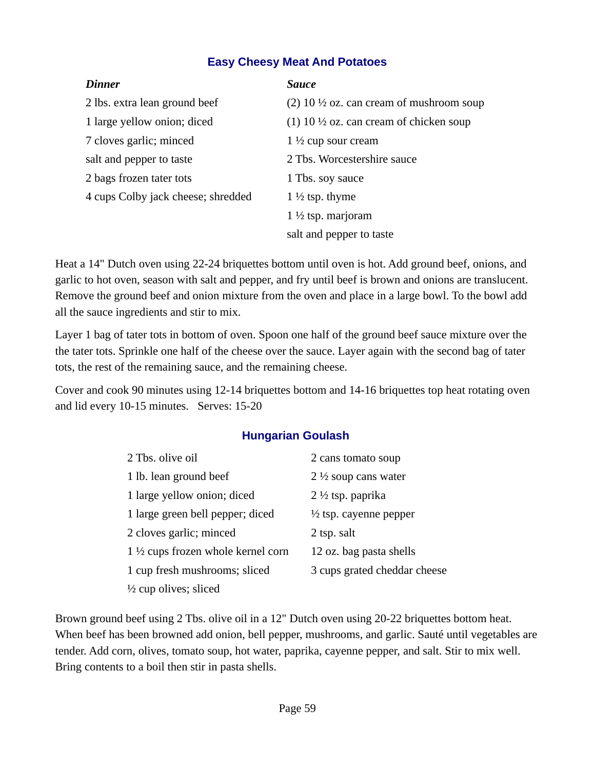### **Easy Cheesy Meat And Potatoes**

| <b>Dinner</b>                      | <b>Sauce</b>                                        |
|------------------------------------|-----------------------------------------------------|
| 2 lbs. extra lean ground beef      | (2) 10 $\frac{1}{2}$ oz. can cream of mushroom soup |
| 1 large yellow onion; diced        | (1) 10 $\frac{1}{2}$ oz. can cream of chicken soup  |
| 7 cloves garlic; minced            | $1\frac{1}{2}$ cup sour cream                       |
| salt and pepper to taste           | 2 Tbs. Worcestershire sauce                         |
| 2 bags frozen tater tots           | 1 Tbs. soy sauce                                    |
| 4 cups Colby jack cheese; shredded | 1 $\frac{1}{2}$ tsp. thyme                          |
|                                    | $1\frac{1}{2}$ tsp. marjoram                        |
|                                    | salt and pepper to taste                            |

Heat a 14" Dutch oven using 22-24 briquettes bottom until oven is hot. Add ground beef, onions, and garlic to hot oven, season with salt and pepper, and fry until beef is brown and onions are translucent. Remove the ground beef and onion mixture from the oven and place in a large bowl. To the bowl add all the sauce ingredients and stir to mix.

Layer 1 bag of tater tots in bottom of oven. Spoon one half of the ground beef sauce mixture over the the tater tots. Sprinkle one half of the cheese over the sauce. Layer again with the second bag of tater tots, the rest of the remaining sauce, and the remaining cheese.

Cover and cook 90 minutes using 12-14 briquettes bottom and 14-16 briquettes top heat rotating oven and lid every 10-15 minutes. Serves: 15-20

### **Hungarian Goulash**

| 2 Tbs. olive oil                             | 2 cans tomato soup                |
|----------------------------------------------|-----------------------------------|
| 1 lb. lean ground beef                       | 2 $\frac{1}{2}$ soup cans water   |
| 1 large yellow onion; diced                  | $2\frac{1}{2}$ tsp. paprika       |
| 1 large green bell pepper; diced             | $\frac{1}{2}$ tsp. cayenne pepper |
| 2 cloves garlic; minced                      | 2 tsp. salt                       |
| $1\frac{1}{2}$ cups frozen whole kernel corn | 12 oz. bag pasta shells           |
| 1 cup fresh mushrooms; sliced                | 3 cups grated cheddar cheese      |
| $\frac{1}{2}$ cup olives; sliced             |                                   |

Brown ground beef using 2 Tbs. olive oil in a 12" Dutch oven using 20-22 briquettes bottom heat. When beef has been browned add onion, bell pepper, mushrooms, and garlic. Sauté until vegetables are tender. Add corn, olives, tomato soup, hot water, paprika, cayenne pepper, and salt. Stir to mix well. Bring contents to a boil then stir in pasta shells.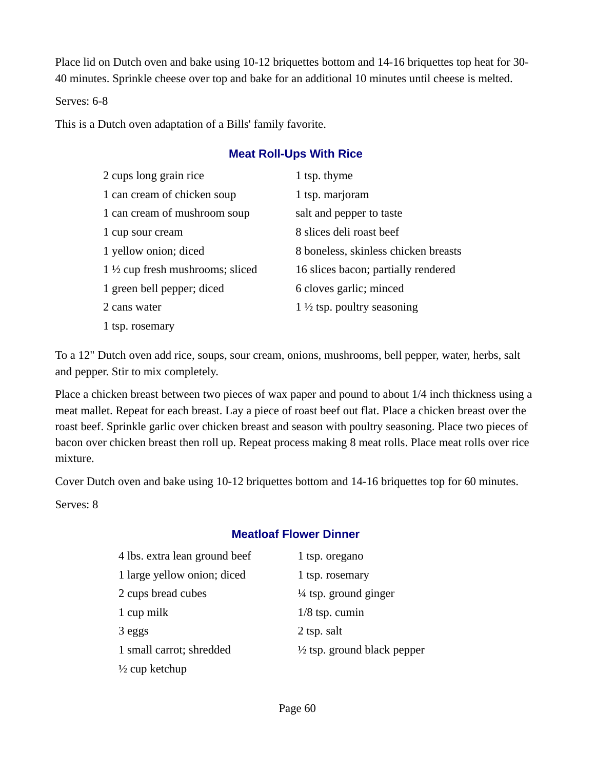Place lid on Dutch oven and bake using 10-12 briquettes bottom and 14-16 briquettes top heat for 30- 40 minutes. Sprinkle cheese over top and bake for an additional 10 minutes until cheese is melted.

Serves: 6-8

This is a Dutch oven adaptation of a Bills' family favorite.

### **Meat Roll-Ups With Rice**

| 2 cups long grain rice                     | 1 tsp. thyme                          |
|--------------------------------------------|---------------------------------------|
| 1 can cream of chicken soup                | 1 tsp. marjoram                       |
| 1 can cream of mushroom soup               | salt and pepper to taste              |
| 1 cup sour cream                           | 8 slices deli roast beef              |
| 1 yellow onion; diced                      | 8 boneless, skinless chicken breasts  |
| $1\frac{1}{2}$ cup fresh mushrooms; sliced | 16 slices bacon; partially rendered   |
| 1 green bell pepper; diced                 | 6 cloves garlic; minced               |
| 2 cans water                               | $1\frac{1}{2}$ tsp. poultry seasoning |
| 1 tsp. rosemary                            |                                       |

To a 12" Dutch oven add rice, soups, sour cream, onions, mushrooms, bell pepper, water, herbs, salt and pepper. Stir to mix completely.

Place a chicken breast between two pieces of wax paper and pound to about 1/4 inch thickness using a meat mallet. Repeat for each breast. Lay a piece of roast beef out flat. Place a chicken breast over the roast beef. Sprinkle garlic over chicken breast and season with poultry seasoning. Place two pieces of bacon over chicken breast then roll up. Repeat process making 8 meat rolls. Place meat rolls over rice mixture.

Cover Dutch oven and bake using 10-12 briquettes bottom and 14-16 briquettes top for 60 minutes.

Serves: 8

### **Meatloaf Flower Dinner**

| 4 lbs. extra lean ground beef | 1 tsp. oregano                         |
|-------------------------------|----------------------------------------|
|                               |                                        |
| 1 large yellow onion; diced   | 1 tsp. rosemary                        |
| 2 cups bread cubes            | $\frac{1}{4}$ tsp. ground ginger       |
| 1 cup milk                    | $1/8$ tsp. cumin                       |
| 3 eggs                        | 2 tsp. salt                            |
| 1 small carrot; shredded      | $\frac{1}{2}$ tsp. ground black pepper |
| $\frac{1}{2}$ cup ketchup     |                                        |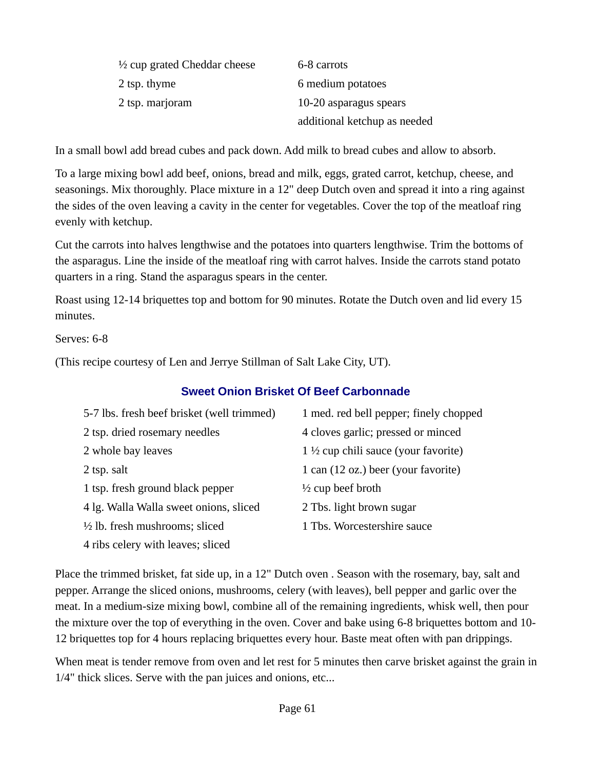| $\frac{1}{2}$ cup grated Cheddar cheese | 6-8 carrots                  |
|-----------------------------------------|------------------------------|
| 2 tsp. thyme                            | 6 medium potatoes            |
| 2 tsp. marjoram                         | 10-20 asparagus spears       |
|                                         | additional ketchup as needed |

In a small bowl add bread cubes and pack down. Add milk to bread cubes and allow to absorb.

To a large mixing bowl add beef, onions, bread and milk, eggs, grated carrot, ketchup, cheese, and seasonings. Mix thoroughly. Place mixture in a 12" deep Dutch oven and spread it into a ring against the sides of the oven leaving a cavity in the center for vegetables. Cover the top of the meatloaf ring evenly with ketchup.

Cut the carrots into halves lengthwise and the potatoes into quarters lengthwise. Trim the bottoms of the asparagus. Line the inside of the meatloaf ring with carrot halves. Inside the carrots stand potato quarters in a ring. Stand the asparagus spears in the center.

Roast using 12-14 briquettes top and bottom for 90 minutes. Rotate the Dutch oven and lid every 15 minutes.

Serves: 6-8

(This recipe courtesy of Len and Jerrye Stillman of Salt Lake City, UT).

### **Sweet Onion Brisket Of Beef Carbonnade**

| 5-7 lbs. fresh beef brisket (well trimmed) | 1 med. red bell pepper; finely chopped         |
|--------------------------------------------|------------------------------------------------|
| 2 tsp. dried rosemary needles              | 4 cloves garlic; pressed or minced             |
| 2 whole bay leaves                         | $1\frac{1}{2}$ cup chili sauce (your favorite) |
| 2 tsp. salt                                | 1 can (12 oz.) beer (your favorite)            |
| 1 tsp. fresh ground black pepper           | $\frac{1}{2}$ cup beef broth                   |
| 4 lg. Walla Walla sweet onions, sliced     | 2 Tbs. light brown sugar                       |
| $\frac{1}{2}$ lb. fresh mushrooms; sliced  | 1 Tbs. Worcestershire sauce                    |
| 4 ribs celery with leaves; sliced          |                                                |

Place the trimmed brisket, fat side up, in a 12" Dutch oven . Season with the rosemary, bay, salt and pepper. Arrange the sliced onions, mushrooms, celery (with leaves), bell pepper and garlic over the meat. In a medium-size mixing bowl, combine all of the remaining ingredients, whisk well, then pour the mixture over the top of everything in the oven. Cover and bake using 6-8 briquettes bottom and 10- 12 briquettes top for 4 hours replacing briquettes every hour. Baste meat often with pan drippings.

When meat is tender remove from oven and let rest for 5 minutes then carve brisket against the grain in 1/4" thick slices. Serve with the pan juices and onions, etc...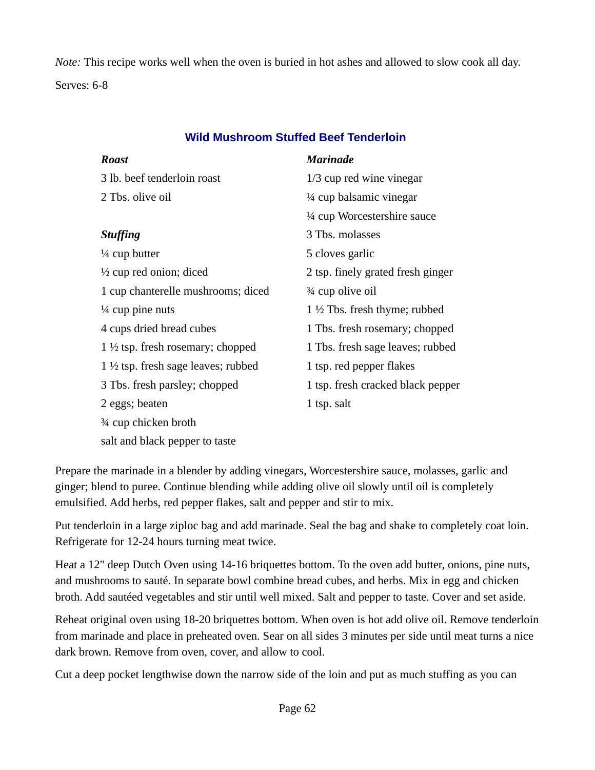*Note:* This recipe works well when the oven is buried in hot ashes and allowed to slow cook all day. Serves: 6-8

| <b>Roast</b>                                  | <b>Marinade</b>                         |
|-----------------------------------------------|-----------------------------------------|
| 3 lb. beef tenderloin roast                   | $1/3$ cup red wine vinegar              |
| 2 Tbs. olive oil                              | $\frac{1}{4}$ cup balsamic vinegar      |
|                                               | $\frac{1}{4}$ cup Worcestershire sauce  |
| <b>Stuffing</b>                               | 3 Tbs. molasses                         |
| $\frac{1}{4}$ cup butter                      | 5 cloves garlic                         |
| $\frac{1}{2}$ cup red onion; diced            | 2 tsp. finely grated fresh ginger       |
| 1 cup chanterelle mushrooms; diced            | 3⁄4 cup olive oil                       |
| $\frac{1}{4}$ cup pine nuts                   | $1\frac{1}{2}$ Tbs. fresh thyme; rubbed |
| 4 cups dried bread cubes                      | 1 Tbs. fresh rosemary; chopped          |
| 1 $\frac{1}{2}$ tsp. fresh rosemary; chopped  | 1 Tbs. fresh sage leaves; rubbed        |
| $1\frac{1}{2}$ tsp. fresh sage leaves; rubbed | 1 tsp. red pepper flakes                |
| 3 Tbs. fresh parsley; chopped                 | 1 tsp. fresh cracked black pepper       |
| 2 eggs; beaten                                | 1 tsp. salt                             |
| 3⁄4 cup chicken broth                         |                                         |

### **Wild Mushroom Stuffed Beef Tenderloin**

Prepare the marinade in a blender by adding vinegars, Worcestershire sauce, molasses, garlic and ginger; blend to puree. Continue blending while adding olive oil slowly until oil is completely emulsified. Add herbs, red pepper flakes, salt and pepper and stir to mix.

salt and black pepper to taste

Put tenderloin in a large ziploc bag and add marinade. Seal the bag and shake to completely coat loin. Refrigerate for 12-24 hours turning meat twice.

Heat a 12" deep Dutch Oven using 14-16 briquettes bottom. To the oven add butter, onions, pine nuts, and mushrooms to sauté. In separate bowl combine bread cubes, and herbs. Mix in egg and chicken broth. Add sautéed vegetables and stir until well mixed. Salt and pepper to taste. Cover and set aside.

Reheat original oven using 18-20 briquettes bottom. When oven is hot add olive oil. Remove tenderloin from marinade and place in preheated oven. Sear on all sides 3 minutes per side until meat turns a nice dark brown. Remove from oven, cover, and allow to cool.

Cut a deep pocket lengthwise down the narrow side of the loin and put as much stuffing as you can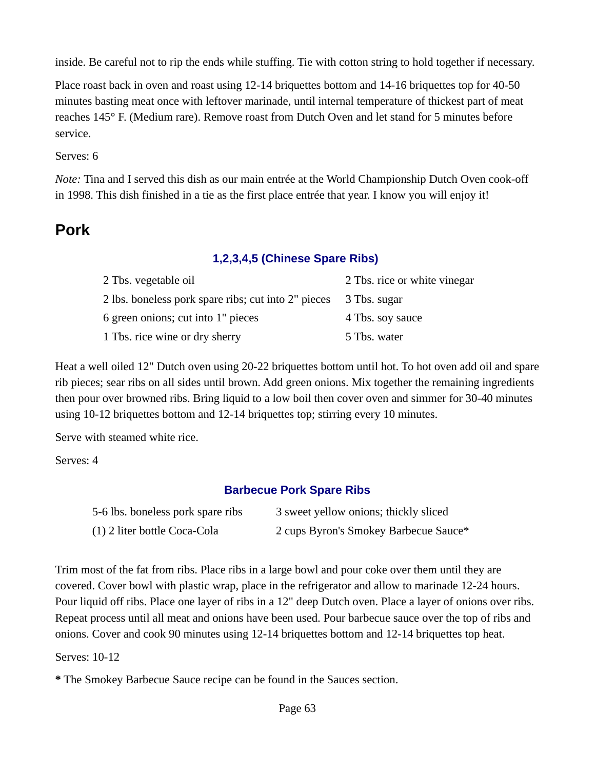inside. Be careful not to rip the ends while stuffing. Tie with cotton string to hold together if necessary.

Place roast back in oven and roast using 12-14 briquettes bottom and 14-16 briquettes top for 40-50 minutes basting meat once with leftover marinade, until internal temperature of thickest part of meat reaches 145° F. (Medium rare). Remove roast from Dutch Oven and let stand for 5 minutes before service.

### Serves: 6

*Note:* Tina and I served this dish as our main entrée at the World Championship Dutch Oven cook-off in 1998. This dish finished in a tie as the first place entrée that year. I know you will enjoy it!

# **Pork**

### **1,2,3,4,5 (Chinese Spare Ribs)**

| 2 Tbs. vegetable oil                                             | 2 Tbs. rice or white vinegar |
|------------------------------------------------------------------|------------------------------|
| 2 lbs. boneless pork spare ribs; cut into 2" pieces 3 Tbs. sugar |                              |
| 6 green onions; cut into 1" pieces                               | 4 Tbs. soy sauce             |
| 1 Tbs. rice wine or dry sherry                                   | 5 Tbs. water                 |

Heat a well oiled 12" Dutch oven using 20-22 briquettes bottom until hot. To hot oven add oil and spare rib pieces; sear ribs on all sides until brown. Add green onions. Mix together the remaining ingredients then pour over browned ribs. Bring liquid to a low boil then cover oven and simmer for 30-40 minutes using 10-12 briquettes bottom and 12-14 briquettes top; stirring every 10 minutes.

Serve with steamed white rice.

Serves: 4

### **Barbecue Pork Spare Ribs**

| 5-6 lbs. boneless pork spare ribs | 3 sweet yellow onions; thickly sliced |
|-----------------------------------|---------------------------------------|
| (1) 2 liter bottle Coca-Cola      | 2 cups Byron's Smokey Barbecue Sauce* |

Trim most of the fat from ribs. Place ribs in a large bowl and pour coke over them until they are covered. Cover bowl with plastic wrap, place in the refrigerator and allow to marinade 12-24 hours. Pour liquid off ribs. Place one layer of ribs in a 12" deep Dutch oven. Place a layer of onions over ribs. Repeat process until all meat and onions have been used. Pour barbecue sauce over the top of ribs and onions. Cover and cook 90 minutes using 12-14 briquettes bottom and 12-14 briquettes top heat.

Serves: 10-12

**\*** The Smokey Barbecue Sauce recipe can be found in the Sauces section.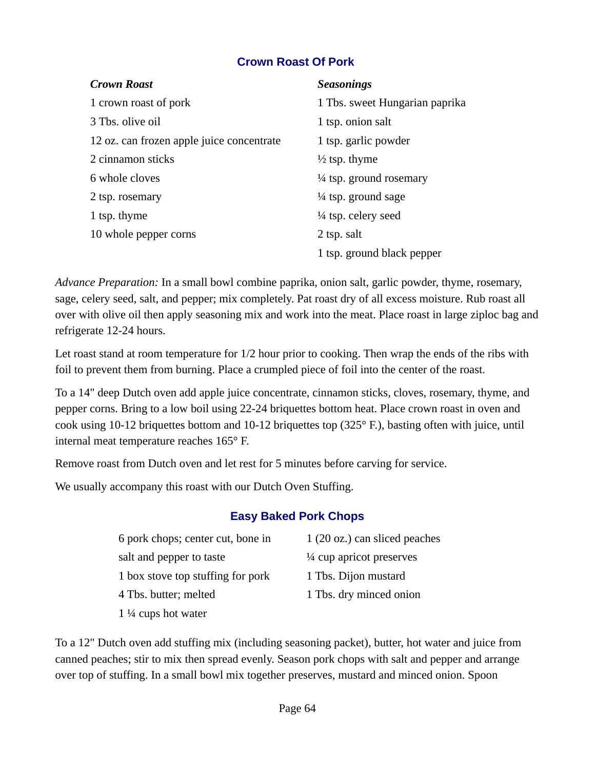### **Crown Roast Of Pork**

| <b>Crown Roast</b>                        | <b>Seasonings</b>                  |
|-------------------------------------------|------------------------------------|
| 1 crown roast of pork                     | 1 Tbs. sweet Hungarian paprika     |
| 3 Tbs. olive oil                          | 1 tsp. onion salt                  |
| 12 oz. can frozen apple juice concentrate | 1 tsp. garlic powder               |
| 2 cinnamon sticks                         | $\frac{1}{2}$ tsp. thyme           |
| 6 whole cloves                            | $\frac{1}{4}$ tsp. ground rosemary |
| 2 tsp. rosemary                           | $\frac{1}{4}$ tsp. ground sage     |
| 1 tsp. thyme                              | $\frac{1}{4}$ tsp. celery seed     |
| 10 whole pepper corns                     | 2 tsp. salt                        |
|                                           | 1 tsp. ground black pepper         |

*Advance Preparation:* In a small bowl combine paprika, onion salt, garlic powder, thyme, rosemary, sage, celery seed, salt, and pepper; mix completely. Pat roast dry of all excess moisture. Rub roast all over with olive oil then apply seasoning mix and work into the meat. Place roast in large ziploc bag and refrigerate 12-24 hours.

Let roast stand at room temperature for 1/2 hour prior to cooking. Then wrap the ends of the ribs with foil to prevent them from burning. Place a crumpled piece of foil into the center of the roast.

To a 14" deep Dutch oven add apple juice concentrate, cinnamon sticks, cloves, rosemary, thyme, and pepper corns. Bring to a low boil using 22-24 briquettes bottom heat. Place crown roast in oven and cook using 10-12 briquettes bottom and 10-12 briquettes top (325° F.), basting often with juice, until internal meat temperature reaches 165° F.

Remove roast from Dutch oven and let rest for 5 minutes before carving for service.

We usually accompany this roast with our Dutch Oven Stuffing.

### **Easy Baked Pork Chops**

| 6 pork chops; center cut, bone in | 1 (20 oz.) can sliced peaches |
|-----------------------------------|-------------------------------|
| salt and pepper to taste          | 1/4 cup apricot preserves     |
| 1 box stove top stuffing for pork | 1 Tbs. Dijon mustard          |
| 4 Tbs. butter; melted             | 1 Tbs. dry minced onion       |
| $1\frac{1}{4}$ cups hot water     |                               |

To a 12" Dutch oven add stuffing mix (including seasoning packet), butter, hot water and juice from canned peaches; stir to mix then spread evenly. Season pork chops with salt and pepper and arrange over top of stuffing. In a small bowl mix together preserves, mustard and minced onion. Spoon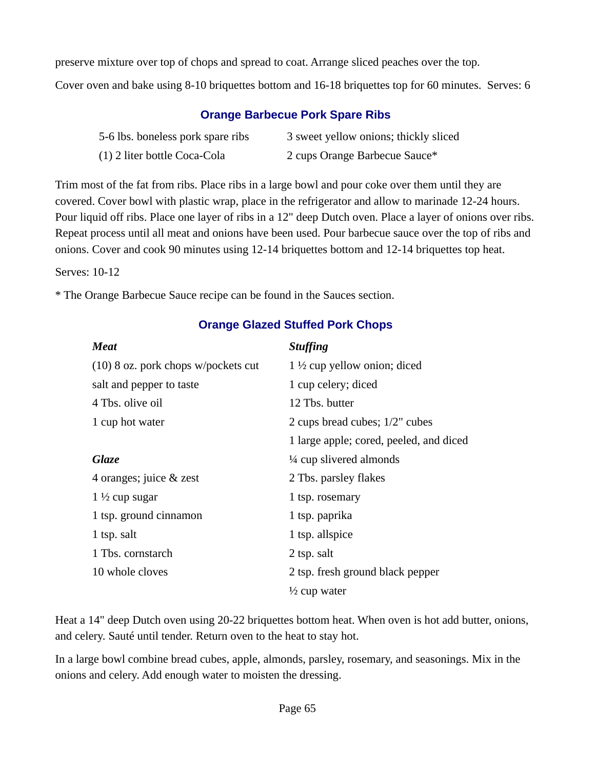preserve mixture over top of chops and spread to coat. Arrange sliced peaches over the top. Cover oven and bake using 8-10 briquettes bottom and 16-18 briquettes top for 60 minutes. Serves: 6

### **Orange Barbecue Pork Spare Ribs**

| 5-6 lbs. boneless pork spare ribs | 3 sweet yellow onions; thickly sliced |
|-----------------------------------|---------------------------------------|
| (1) 2 liter bottle Coca-Cola      | 2 cups Orange Barbecue Sauce*         |

Trim most of the fat from ribs. Place ribs in a large bowl and pour coke over them until they are covered. Cover bowl with plastic wrap, place in the refrigerator and allow to marinade 12-24 hours. Pour liquid off ribs. Place one layer of ribs in a 12" deep Dutch oven. Place a layer of onions over ribs. Repeat process until all meat and onions have been used. Pour barbecue sauce over the top of ribs and onions. Cover and cook 90 minutes using 12-14 briquettes bottom and 12-14 briquettes top heat.

Serves: 10-12

\* The Orange Barbecue Sauce recipe can be found in the Sauces section.

| <b>Meat</b>                           | <b>Stuffing</b>                         |
|---------------------------------------|-----------------------------------------|
| $(10)$ 8 oz. pork chops w/pockets cut | $1\frac{1}{2}$ cup yellow onion; diced  |
| salt and pepper to taste              | 1 cup celery; diced                     |
| 4 Tbs. olive oil                      | 12 Tbs. butter                          |
| 1 cup hot water                       | 2 cups bread cubes; 1/2" cubes          |
|                                       | 1 large apple; cored, peeled, and diced |
| <b>Glaze</b>                          | $\frac{1}{4}$ cup slivered almonds      |
| 4 oranges; juice & zest               | 2 Tbs. parsley flakes                   |
| $1\frac{1}{2}$ cup sugar              | 1 tsp. rosemary                         |
| 1 tsp. ground cinnamon                | 1 tsp. paprika                          |
| 1 tsp. salt                           | 1 tsp. allspice                         |
| 1 Tbs. cornstarch                     | 2 tsp. salt                             |
| 10 whole cloves                       | 2 tsp. fresh ground black pepper        |
|                                       | $\frac{1}{2}$ cup water                 |

### **Orange Glazed Stuffed Pork Chops**

Heat a 14" deep Dutch oven using 20-22 briquettes bottom heat. When oven is hot add butter, onions, and celery. Sauté until tender. Return oven to the heat to stay hot.

In a large bowl combine bread cubes, apple, almonds, parsley, rosemary, and seasonings. Mix in the onions and celery. Add enough water to moisten the dressing.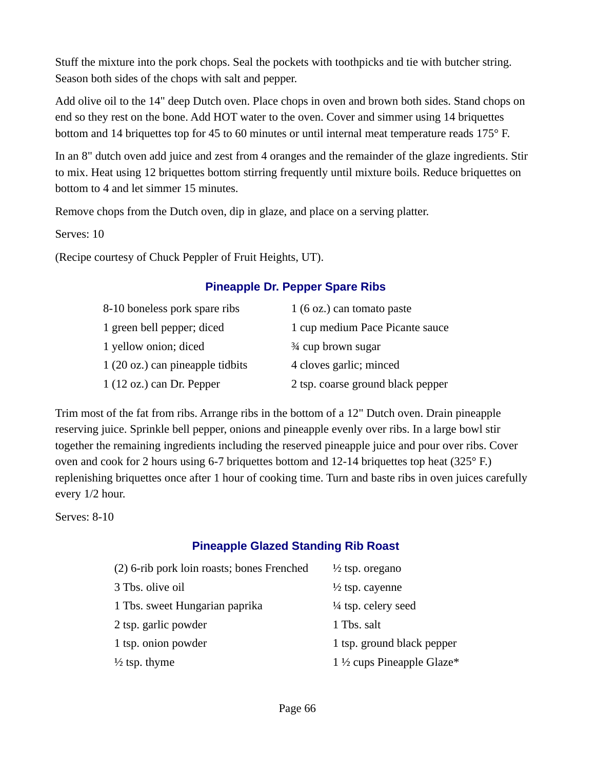Stuff the mixture into the pork chops. Seal the pockets with toothpicks and tie with butcher string. Season both sides of the chops with salt and pepper.

Add olive oil to the 14" deep Dutch oven. Place chops in oven and brown both sides. Stand chops on end so they rest on the bone. Add HOT water to the oven. Cover and simmer using 14 briquettes bottom and 14 briquettes top for 45 to 60 minutes or until internal meat temperature reads 175° F.

In an 8" dutch oven add juice and zest from 4 oranges and the remainder of the glaze ingredients. Stir to mix. Heat using 12 briquettes bottom stirring frequently until mixture boils. Reduce briquettes on bottom to 4 and let simmer 15 minutes.

Remove chops from the Dutch oven, dip in glaze, and place on a serving platter.

Serves: 10

(Recipe courtesy of Chuck Peppler of Fruit Heights, UT).

### **Pineapple Dr. Pepper Spare Ribs**

| 8-10 boneless pork spare ribs      | $1(6 \text{ oz.})$ can tomato paste |
|------------------------------------|-------------------------------------|
| 1 green bell pepper; diced         | 1 cup medium Pace Picante sauce     |
| 1 yellow onion; diced              | 3⁄4 cup brown sugar                 |
| 1 (20 oz.) can pineapple tidbits   | 4 cloves garlic; minced             |
| $1(12 \text{ oz.})$ can Dr. Pepper | 2 tsp. coarse ground black pepper   |

Trim most of the fat from ribs. Arrange ribs in the bottom of a 12" Dutch oven. Drain pineapple reserving juice. Sprinkle bell pepper, onions and pineapple evenly over ribs. In a large bowl stir together the remaining ingredients including the reserved pineapple juice and pour over ribs. Cover oven and cook for 2 hours using 6-7 briquettes bottom and 12-14 briquettes top heat (325° F.) replenishing briquettes once after 1 hour of cooking time. Turn and baste ribs in oven juices carefully every 1/2 hour.

Serves: 8-10

### **Pineapple Glazed Standing Rib Roast**

| (2) 6-rib pork loin roasts; bones Frenched | $\frac{1}{2}$ tsp. oregano            |
|--------------------------------------------|---------------------------------------|
| 3 Tbs. olive oil                           | $\frac{1}{2}$ tsp. cayenne            |
| 1 Tbs. sweet Hungarian paprika             | $\frac{1}{4}$ tsp. celery seed        |
| 2 tsp. garlic powder                       | 1 Tbs. salt                           |
| 1 tsp. onion powder                        | 1 tsp. ground black pepper            |
| $\frac{1}{2}$ tsp. thyme                   | 1 $\frac{1}{2}$ cups Pineapple Glaze* |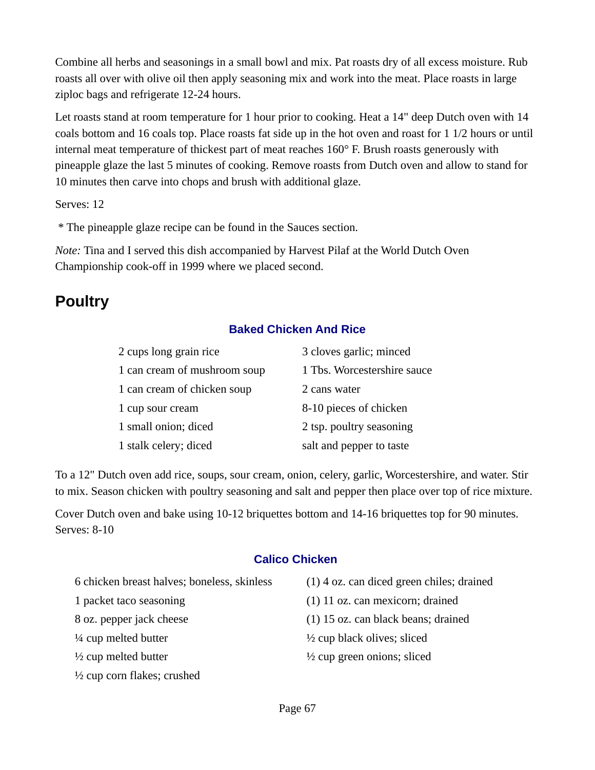Combine all herbs and seasonings in a small bowl and mix. Pat roasts dry of all excess moisture. Rub roasts all over with olive oil then apply seasoning mix and work into the meat. Place roasts in large ziploc bags and refrigerate 12-24 hours.

Let roasts stand at room temperature for 1 hour prior to cooking. Heat a 14" deep Dutch oven with 14 coals bottom and 16 coals top. Place roasts fat side up in the hot oven and roast for 1 1/2 hours or until internal meat temperature of thickest part of meat reaches 160° F. Brush roasts generously with pineapple glaze the last 5 minutes of cooking. Remove roasts from Dutch oven and allow to stand for 10 minutes then carve into chops and brush with additional glaze.

Serves: 12

\* The pineapple glaze recipe can be found in the Sauces section.

*Note:* Tina and I served this dish accompanied by Harvest Pilaf at the World Dutch Oven Championship cook-off in 1999 where we placed second.

# **Poultry**

### **Baked Chicken And Rice**

| 2 cups long grain rice       | 3 cloves garlic; minced     |
|------------------------------|-----------------------------|
| 1 can cream of mushroom soup | 1 Tbs. Worcestershire sauce |
| 1 can cream of chicken soup  | 2 cans water                |
| 1 cup sour cream             | 8-10 pieces of chicken      |
| 1 small onion; diced         | 2 tsp. poultry seasoning    |
| 1 stalk celery; diced        | salt and pepper to taste    |

To a 12" Dutch oven add rice, soups, sour cream, onion, celery, garlic, Worcestershire, and water. Stir to mix. Season chicken with poultry seasoning and salt and pepper then place over top of rice mixture.

Cover Dutch oven and bake using 10-12 briquettes bottom and 14-16 briquettes top for 90 minutes. Serves: 8-10

### **Calico Chicken**

| 6 chicken breast halves; boneless, skinless | $(1)$ 4 oz. can diced green chiles; drained |
|---------------------------------------------|---------------------------------------------|
| 1 packet taco seasoning                     | $(1)$ 11 oz. can mexicorn; drained          |
| 8 oz. pepper jack cheese                    | (1) 15 oz. can black beans; drained         |
| $\frac{1}{4}$ cup melted butter             | $\frac{1}{2}$ cup black olives; sliced      |
| $\frac{1}{2}$ cup melted butter             | $\frac{1}{2}$ cup green onions; sliced      |
| $\frac{1}{2}$ cup corn flakes; crushed      |                                             |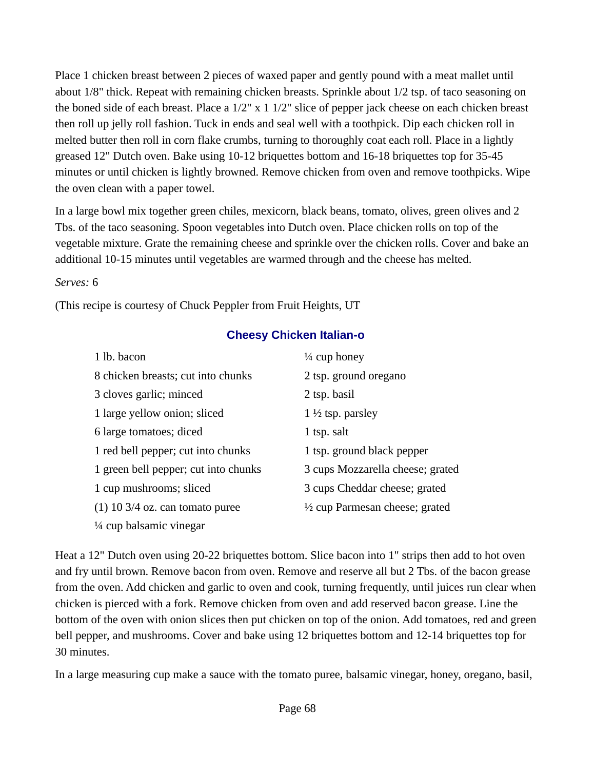Place 1 chicken breast between 2 pieces of waxed paper and gently pound with a meat mallet until about 1/8" thick. Repeat with remaining chicken breasts. Sprinkle about 1/2 tsp. of taco seasoning on the boned side of each breast. Place a  $1/2$ " x  $1\ 1/2$ " slice of pepper jack cheese on each chicken breast then roll up jelly roll fashion. Tuck in ends and seal well with a toothpick. Dip each chicken roll in melted butter then roll in corn flake crumbs, turning to thoroughly coat each roll. Place in a lightly greased 12" Dutch oven. Bake using 10-12 briquettes bottom and 16-18 briquettes top for 35-45 minutes or until chicken is lightly browned. Remove chicken from oven and remove toothpicks. Wipe the oven clean with a paper towel.

In a large bowl mix together green chiles, mexicorn, black beans, tomato, olives, green olives and 2 Tbs. of the taco seasoning. Spoon vegetables into Dutch oven. Place chicken rolls on top of the vegetable mixture. Grate the remaining cheese and sprinkle over the chicken rolls. Cover and bake an additional 10-15 minutes until vegetables are warmed through and the cheese has melted.

#### *Serves:* 6

(This recipe is courtesy of Chuck Peppler from Fruit Heights, UT

### **Cheesy Chicken Italian-o**

| 1 lb. bacon                          | $\frac{1}{4}$ cup honey                   |
|--------------------------------------|-------------------------------------------|
| 8 chicken breasts; cut into chunks   | 2 tsp. ground oregano                     |
| 3 cloves garlic; minced              | 2 tsp. basil                              |
| 1 large yellow onion; sliced         | 1 $\frac{1}{2}$ tsp. parsley              |
| 6 large tomatoes; diced              | 1 tsp. salt                               |
| 1 red bell pepper; cut into chunks   | 1 tsp. ground black pepper                |
| 1 green bell pepper; cut into chunks | 3 cups Mozzarella cheese; grated          |
| 1 cup mushrooms; sliced              | 3 cups Cheddar cheese; grated             |
| $(1)$ 10 3/4 oz. can tomato puree    | $\frac{1}{2}$ cup Parmesan cheese; grated |
| $\frac{1}{4}$ cup balsamic vinegar   |                                           |

Heat a 12" Dutch oven using 20-22 briquettes bottom. Slice bacon into 1" strips then add to hot oven and fry until brown. Remove bacon from oven. Remove and reserve all but 2 Tbs. of the bacon grease from the oven. Add chicken and garlic to oven and cook, turning frequently, until juices run clear when chicken is pierced with a fork. Remove chicken from oven and add reserved bacon grease. Line the bottom of the oven with onion slices then put chicken on top of the onion. Add tomatoes, red and green bell pepper, and mushrooms. Cover and bake using 12 briquettes bottom and 12-14 briquettes top for 30 minutes.

In a large measuring cup make a sauce with the tomato puree, balsamic vinegar, honey, oregano, basil,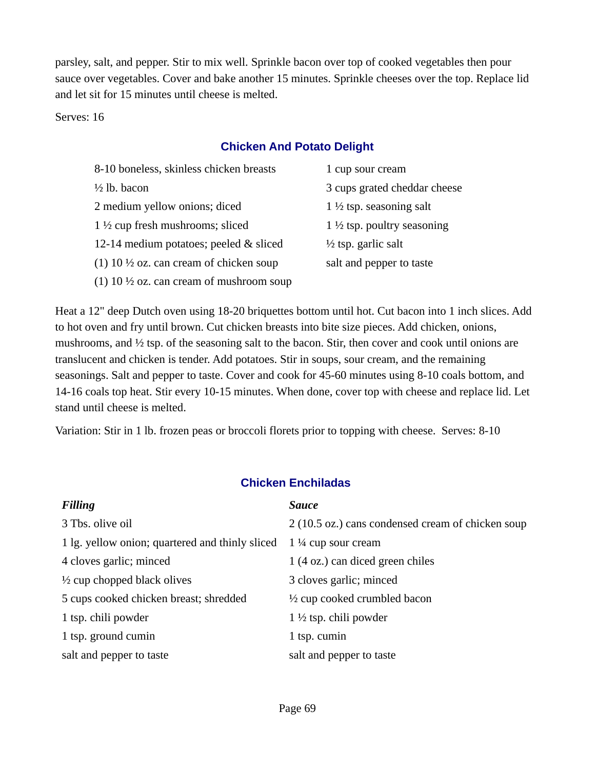parsley, salt, and pepper. Stir to mix well. Sprinkle bacon over top of cooked vegetables then pour sauce over vegetables. Cover and bake another 15 minutes. Sprinkle cheeses over the top. Replace lid and let sit for 15 minutes until cheese is melted.

Serves: 16

### **Chicken And Potato Delight**

| 1 cup sour cream                       |
|----------------------------------------|
| 3 cups grated cheddar cheese           |
| $1\frac{1}{2}$ tsp. seasoning salt     |
| 1 $\frac{1}{2}$ tsp. poultry seasoning |
| $\frac{1}{2}$ tsp. garlic salt         |
| salt and pepper to taste               |
|                                        |
|                                        |

Heat a 12" deep Dutch oven using 18-20 briquettes bottom until hot. Cut bacon into 1 inch slices. Add to hot oven and fry until brown. Cut chicken breasts into bite size pieces. Add chicken, onions, mushrooms, and ½ tsp. of the seasoning salt to the bacon. Stir, then cover and cook until onions are translucent and chicken is tender. Add potatoes. Stir in soups, sour cream, and the remaining seasonings. Salt and pepper to taste. Cover and cook for 45-60 minutes using 8-10 coals bottom, and 14-16 coals top heat. Stir every 10-15 minutes. When done, cover top with cheese and replace lid. Let stand until cheese is melted.

Variation: Stir in 1 lb. frozen peas or broccoli florets prior to topping with cheese. Serves: 8-10

| <b>Filling</b>                                  | <b>Sauce</b>                                      |
|-------------------------------------------------|---------------------------------------------------|
| 3 Tbs. olive oil                                | 2 (10.5 oz.) cans condensed cream of chicken soup |
| 1 lg. yellow onion; quartered and thinly sliced | $1\frac{1}{4}$ cup sour cream                     |
| 4 cloves garlic; minced                         | 1 (4 oz.) can diced green chiles                  |
| $\frac{1}{2}$ cup chopped black olives          | 3 cloves garlic; minced                           |
| 5 cups cooked chicken breast; shredded          | $\frac{1}{2}$ cup cooked crumbled bacon           |
| 1 tsp. chili powder                             | $1\frac{1}{2}$ tsp. chili powder                  |
| 1 tsp. ground cumin                             | 1 tsp. cumin                                      |
| salt and pepper to taste                        | salt and pepper to taste                          |

### **Chicken Enchiladas**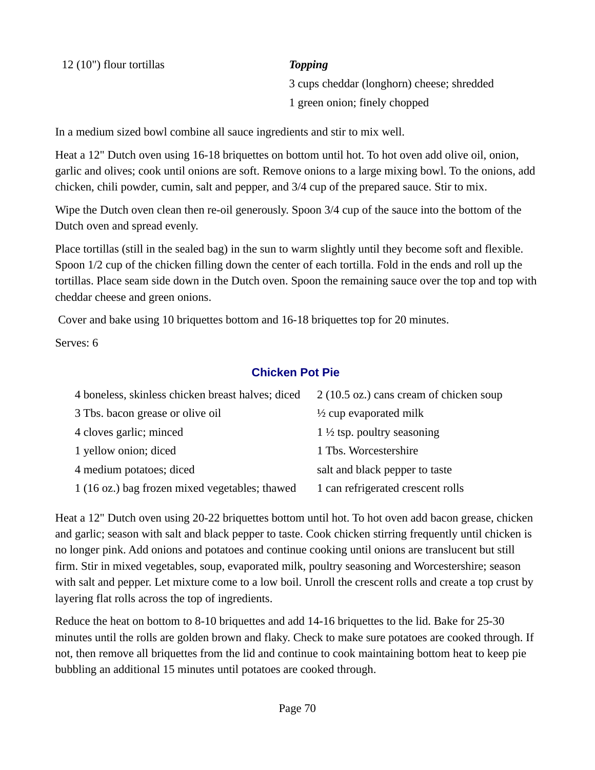3 cups cheddar (longhorn) cheese; shredded 1 green onion; finely chopped

In a medium sized bowl combine all sauce ingredients and stir to mix well.

Heat a 12" Dutch oven using 16-18 briquettes on bottom until hot. To hot oven add olive oil, onion, garlic and olives; cook until onions are soft. Remove onions to a large mixing bowl. To the onions, add chicken, chili powder, cumin, salt and pepper, and 3/4 cup of the prepared sauce. Stir to mix.

Wipe the Dutch oven clean then re-oil generously. Spoon 3/4 cup of the sauce into the bottom of the Dutch oven and spread evenly.

Place tortillas (still in the sealed bag) in the sun to warm slightly until they become soft and flexible. Spoon 1/2 cup of the chicken filling down the center of each tortilla. Fold in the ends and roll up the tortillas. Place seam side down in the Dutch oven. Spoon the remaining sauce over the top and top with cheddar cheese and green onions.

Cover and bake using 10 briquettes bottom and 16-18 briquettes top for 20 minutes.

Serves: 6

### **Chicken Pot Pie**

| 4 boneless, skinless chicken breast halves; diced | 2 (10.5 oz.) cans cream of chicken soup |
|---------------------------------------------------|-----------------------------------------|
| 3 Tbs. bacon grease or olive oil                  | $\frac{1}{2}$ cup evaporated milk       |
| 4 cloves garlic; minced                           | 1 $\frac{1}{2}$ tsp. poultry seasoning  |
| 1 yellow onion; diced                             | 1 Tbs. Worcestershire                   |
| 4 medium potatoes; diced                          | salt and black pepper to taste          |
| 1 (16 oz.) bag frozen mixed vegetables; thawed    | 1 can refrigerated crescent rolls       |

Heat a 12" Dutch oven using 20-22 briquettes bottom until hot. To hot oven add bacon grease, chicken and garlic; season with salt and black pepper to taste. Cook chicken stirring frequently until chicken is no longer pink. Add onions and potatoes and continue cooking until onions are translucent but still firm. Stir in mixed vegetables, soup, evaporated milk, poultry seasoning and Worcestershire; season with salt and pepper. Let mixture come to a low boil. Unroll the crescent rolls and create a top crust by layering flat rolls across the top of ingredients.

Reduce the heat on bottom to 8-10 briquettes and add 14-16 briquettes to the lid. Bake for 25-30 minutes until the rolls are golden brown and flaky. Check to make sure potatoes are cooked through. If not, then remove all briquettes from the lid and continue to cook maintaining bottom heat to keep pie bubbling an additional 15 minutes until potatoes are cooked through.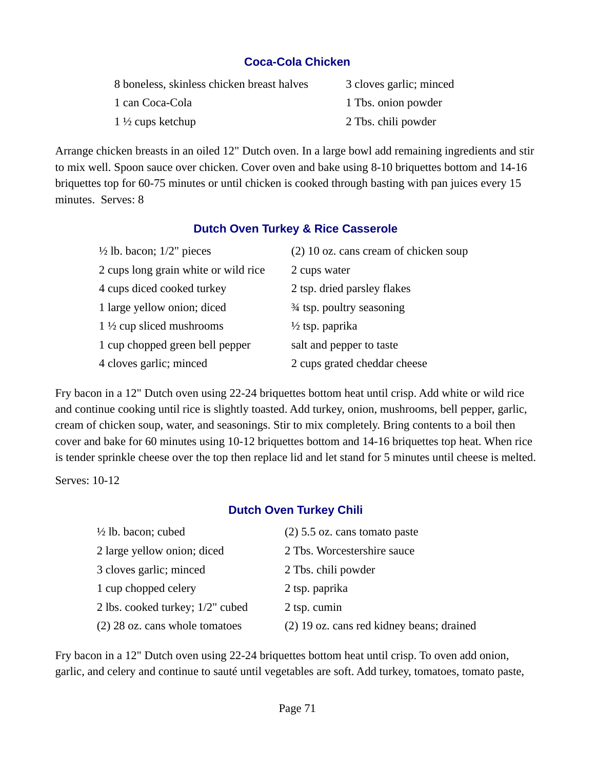### **Coca-Cola Chicken**

| 8 boneless, skinless chicken breast halves | 3 cloves garlic; minced |
|--------------------------------------------|-------------------------|
| 1 can Coca-Cola                            | 1 Tbs. onion powder     |
| $1\frac{1}{2}$ cups ketchup                | 2 Tbs. chili powder     |

Arrange chicken breasts in an oiled 12" Dutch oven. In a large bowl add remaining ingredients and stir to mix well. Spoon sauce over chicken. Cover oven and bake using 8-10 briquettes bottom and 14-16 briquettes top for 60-75 minutes or until chicken is cooked through basting with pan juices every 15 minutes. Serves: 8

#### **Dutch Oven Turkey & Rice Casserole**

| $\frac{1}{2}$ lb. bacon; $1/2$ " pieces | (2) 10 oz. cans cream of chicken soup |
|-----------------------------------------|---------------------------------------|
| 2 cups long grain white or wild rice    | 2 cups water                          |
| 4 cups diced cooked turkey              | 2 tsp. dried parsley flakes           |
| 1 large yellow onion; diced             | 3⁄4 tsp. poultry seasoning            |
| $1\frac{1}{2}$ cup sliced mushrooms     | $\frac{1}{2}$ tsp. paprika            |
| 1 cup chopped green bell pepper         | salt and pepper to taste              |
| 4 cloves garlic; minced                 | 2 cups grated cheddar cheese          |

Fry bacon in a 12" Dutch oven using 22-24 briquettes bottom heat until crisp. Add white or wild rice and continue cooking until rice is slightly toasted. Add turkey, onion, mushrooms, bell pepper, garlic, cream of chicken soup, water, and seasonings. Stir to mix completely. Bring contents to a boil then cover and bake for 60 minutes using 10-12 briquettes bottom and 14-16 briquettes top heat. When rice is tender sprinkle cheese over the top then replace lid and let stand for 5 minutes until cheese is melted.

Serves: 10-12

### **Dutch Oven Turkey Chili**

| $\frac{1}{2}$ lb. bacon; cubed   | $(2)$ 5.5 oz. cans tomato paste           |
|----------------------------------|-------------------------------------------|
| 2 large yellow onion; diced      | 2 Tbs. Worcestershire sauce               |
| 3 cloves garlic; minced          | 2 Tbs. chili powder                       |
| 1 cup chopped celery             | 2 tsp. paprika                            |
| 2 lbs. cooked turkey; 1/2" cubed | 2 tsp. cumin                              |
| (2) 28 oz. cans whole tomatoes   | (2) 19 oz. cans red kidney beans; drained |

Fry bacon in a 12" Dutch oven using 22-24 briquettes bottom heat until crisp. To oven add onion, garlic, and celery and continue to sauté until vegetables are soft. Add turkey, tomatoes, tomato paste,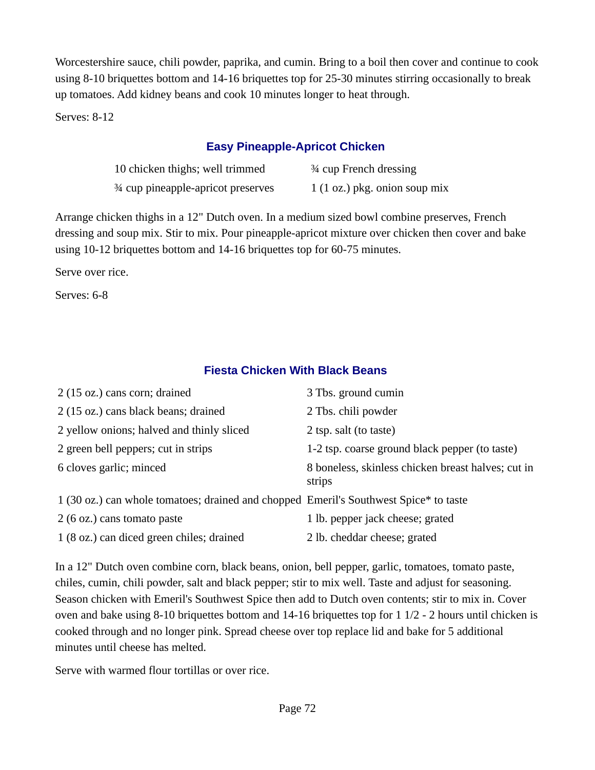Worcestershire sauce, chili powder, paprika, and cumin. Bring to a boil then cover and continue to cook using 8-10 briquettes bottom and 14-16 briquettes top for 25-30 minutes stirring occasionally to break up tomatoes. Add kidney beans and cook 10 minutes longer to heat through.

Serves: 8-12

### **Easy Pineapple-Apricot Chicken**

| 10 chicken thighs; well trimmed     | <sup>3</sup> ⁄4 cup French dressing    |
|-------------------------------------|----------------------------------------|
| 3⁄4 cup pineapple-apricot preserves | $1(1 \text{ oz.})$ pkg. onion soup mix |

Arrange chicken thighs in a 12" Dutch oven. In a medium sized bowl combine preserves, French dressing and soup mix. Stir to mix. Pour pineapple-apricot mixture over chicken then cover and bake using 10-12 briquettes bottom and 14-16 briquettes top for 60-75 minutes.

Serve over rice.

Serves: 6-8

### **Fiesta Chicken With Black Beans**

| 2 (15 oz.) cans corn; drained                                                         | 3 Tbs. ground cumin                                          |
|---------------------------------------------------------------------------------------|--------------------------------------------------------------|
| 2 (15 oz.) cans black beans; drained                                                  | 2 Tbs. chili powder                                          |
| 2 yellow onions; halved and thinly sliced                                             | 2 tsp. salt (to taste)                                       |
| 2 green bell peppers; cut in strips                                                   | 1-2 tsp. coarse ground black pepper (to taste)               |
| 6 cloves garlic; minced                                                               | 8 boneless, skinless chicken breast halves; cut in<br>strips |
| 1 (30 oz.) can whole tomatoes; drained and chopped Emeril's Southwest Spice* to taste |                                                              |
| 2 (6 oz.) cans tomato paste                                                           | 1 lb. pepper jack cheese; grated                             |
| 1 (8 oz.) can diced green chiles; drained                                             | 2 lb. cheddar cheese; grated                                 |

In a 12" Dutch oven combine corn, black beans, onion, bell pepper, garlic, tomatoes, tomato paste, chiles, cumin, chili powder, salt and black pepper; stir to mix well. Taste and adjust for seasoning. Season chicken with Emeril's Southwest Spice then add to Dutch oven contents; stir to mix in. Cover oven and bake using 8-10 briquettes bottom and 14-16 briquettes top for 1 1/2 - 2 hours until chicken is cooked through and no longer pink. Spread cheese over top replace lid and bake for 5 additional minutes until cheese has melted.

Serve with warmed flour tortillas or over rice.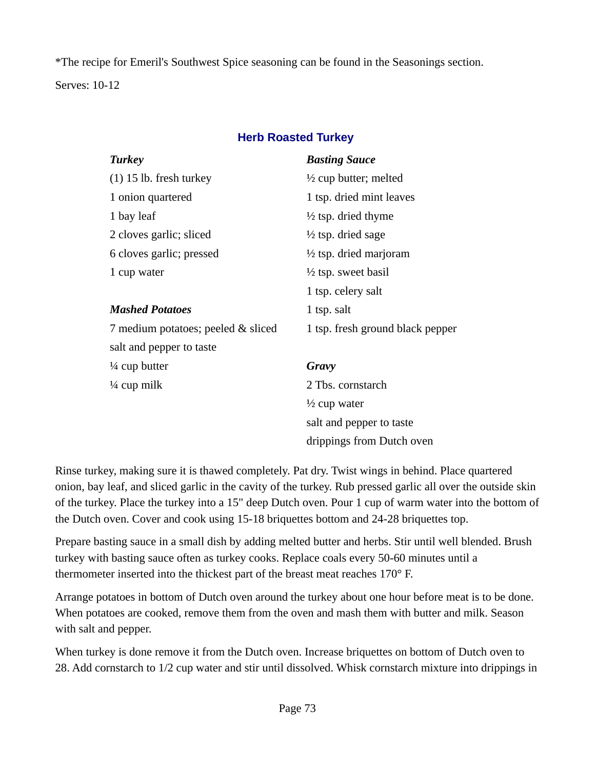\*The recipe for Emeril's Southwest Spice seasoning can be found in the Seasonings section. Serves: 10-12

## **Herb Roasted Turkey**

| <b>Turkey</b>                      | <b>Basting Sauce</b>              |
|------------------------------------|-----------------------------------|
| $(1)$ 15 lb. fresh turkey          | $\frac{1}{2}$ cup butter; melted  |
| 1 onion quartered                  | 1 tsp. dried mint leaves          |
| 1 bay leaf                         | $\frac{1}{2}$ tsp. dried thyme    |
| 2 cloves garlic; sliced            | $\frac{1}{2}$ tsp. dried sage     |
| 6 cloves garlic; pressed           | $\frac{1}{2}$ tsp. dried marjoram |
| 1 cup water                        | $\frac{1}{2}$ tsp. sweet basil    |
|                                    | 1 tsp. celery salt                |
| <b>Mashed Potatoes</b>             | 1 tsp. salt                       |
| 7 medium potatoes; peeled & sliced | 1 tsp. fresh ground black pepper  |
| salt and pepper to taste           |                                   |
| $\frac{1}{4}$ cup butter           | Gravy                             |
| $\frac{1}{4}$ cup milk             | 2 Tbs. cornstarch                 |
|                                    | $\frac{1}{2}$ cup water           |
|                                    | salt and pepper to taste          |
|                                    | drippings from Dutch oven         |

Rinse turkey, making sure it is thawed completely. Pat dry. Twist wings in behind. Place quartered onion, bay leaf, and sliced garlic in the cavity of the turkey. Rub pressed garlic all over the outside skin of the turkey. Place the turkey into a 15" deep Dutch oven. Pour 1 cup of warm water into the bottom of the Dutch oven. Cover and cook using 15-18 briquettes bottom and 24-28 briquettes top.

Prepare basting sauce in a small dish by adding melted butter and herbs. Stir until well blended. Brush turkey with basting sauce often as turkey cooks. Replace coals every 50-60 minutes until a thermometer inserted into the thickest part of the breast meat reaches 170° F.

Arrange potatoes in bottom of Dutch oven around the turkey about one hour before meat is to be done. When potatoes are cooked, remove them from the oven and mash them with butter and milk. Season with salt and pepper.

When turkey is done remove it from the Dutch oven. Increase briquettes on bottom of Dutch oven to 28. Add cornstarch to 1/2 cup water and stir until dissolved. Whisk cornstarch mixture into drippings in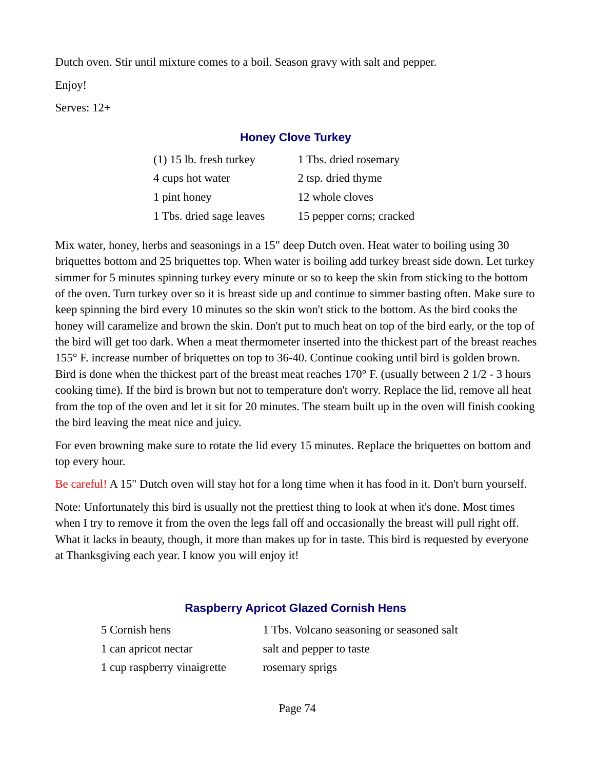Dutch oven. Stir until mixture comes to a boil. Season gravy with salt and pepper.

Enjoy!

Serves: 12+

## **Honey Clove Turkey**

| $(1)$ 15 lb. fresh turkey | 1 Tbs. dried rosemary    |
|---------------------------|--------------------------|
| 4 cups hot water          | 2 tsp. dried thyme       |
| 1 pint honey              | 12 whole cloves          |
| 1 Tbs. dried sage leaves  | 15 pepper corns; cracked |

Mix water, honey, herbs and seasonings in a 15" deep Dutch oven. Heat water to boiling using 30 briquettes bottom and 25 briquettes top. When water is boiling add turkey breast side down. Let turkey simmer for 5 minutes spinning turkey every minute or so to keep the skin from sticking to the bottom of the oven. Turn turkey over so it is breast side up and continue to simmer basting often. Make sure to keep spinning the bird every 10 minutes so the skin won't stick to the bottom. As the bird cooks the honey will caramelize and brown the skin. Don't put to much heat on top of the bird early, or the top of the bird will get too dark. When a meat thermometer inserted into the thickest part of the breast reaches 155° F. increase number of briquettes on top to 36-40. Continue cooking until bird is golden brown. Bird is done when the thickest part of the breast meat reaches 170° F. (usually between 2 1/2 - 3 hours cooking time). If the bird is brown but not to temperature don't worry. Replace the lid, remove all heat from the top of the oven and let it sit for 20 minutes. The steam built up in the oven will finish cooking the bird leaving the meat nice and juicy.

For even browning make sure to rotate the lid every 15 minutes. Replace the briquettes on bottom and top every hour.

Be careful! A 15" Dutch oven will stay hot for a long time when it has food in it. Don't burn yourself.

Note: Unfortunately this bird is usually not the prettiest thing to look at when it's done. Most times when I try to remove it from the oven the legs fall off and occasionally the breast will pull right off. What it lacks in beauty, though, it more than makes up for in taste. This bird is requested by everyone at Thanksgiving each year. I know you will enjoy it!

## **Raspberry Apricot Glazed Cornish Hens**

| 5 Cornish hens              | 1 Tbs. Volcano seasoning or seasoned salt |
|-----------------------------|-------------------------------------------|
| 1 can apricot nectar        | salt and pepper to taste                  |
| 1 cup raspberry vinaigrette | rosemary sprigs                           |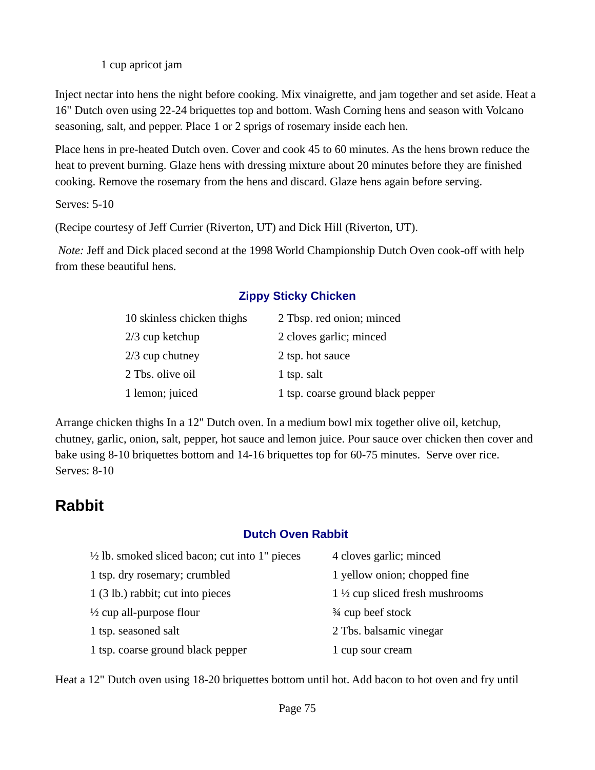1 cup apricot jam

Inject nectar into hens the night before cooking. Mix vinaigrette, and jam together and set aside. Heat a 16" Dutch oven using 22-24 briquettes top and bottom. Wash Corning hens and season with Volcano seasoning, salt, and pepper. Place 1 or 2 sprigs of rosemary inside each hen.

Place hens in pre-heated Dutch oven. Cover and cook 45 to 60 minutes. As the hens brown reduce the heat to prevent burning. Glaze hens with dressing mixture about 20 minutes before they are finished cooking. Remove the rosemary from the hens and discard. Glaze hens again before serving.

Serves: 5-10

(Recipe courtesy of Jeff Currier (Riverton, UT) and Dick Hill (Riverton, UT).

*Note:* Jeff and Dick placed second at the 1998 World Championship Dutch Oven cook-off with help from these beautiful hens.

## **Zippy Sticky Chicken**

| 10 skinless chicken thighs | 2 Tbsp. red onion; minced         |
|----------------------------|-----------------------------------|
| 2/3 cup ketchup            | 2 cloves garlic; minced           |
| 2/3 cup chutney            | 2 tsp. hot sauce                  |
| 2 Tbs. olive oil           | 1 tsp. salt                       |
| 1 lemon; juiced            | 1 tsp. coarse ground black pepper |

Arrange chicken thighs In a 12" Dutch oven. In a medium bowl mix together olive oil, ketchup, chutney, garlic, onion, salt, pepper, hot sauce and lemon juice. Pour sauce over chicken then cover and bake using 8-10 briquettes bottom and 14-16 briquettes top for 60-75 minutes. Serve over rice. Serves: 8-10

# **Rabbit**

## **Dutch Oven Rabbit**

| $\frac{1}{2}$ lb. smoked sliced bacon; cut into 1" pieces | 4 cloves garlic; minced                   |
|-----------------------------------------------------------|-------------------------------------------|
| 1 tsp. dry rosemary; crumbled                             | 1 yellow onion; chopped fine              |
| 1 (3 lb.) rabbit; cut into pieces                         | $1\frac{1}{2}$ cup sliced fresh mushrooms |
| $\frac{1}{2}$ cup all-purpose flour                       | 3⁄4 cup beef stock                        |
| 1 tsp. seasoned salt                                      | 2 Tbs. balsamic vinegar                   |
| 1 tsp. coarse ground black pepper                         | 1 cup sour cream                          |

Heat a 12" Dutch oven using 18-20 briquettes bottom until hot. Add bacon to hot oven and fry until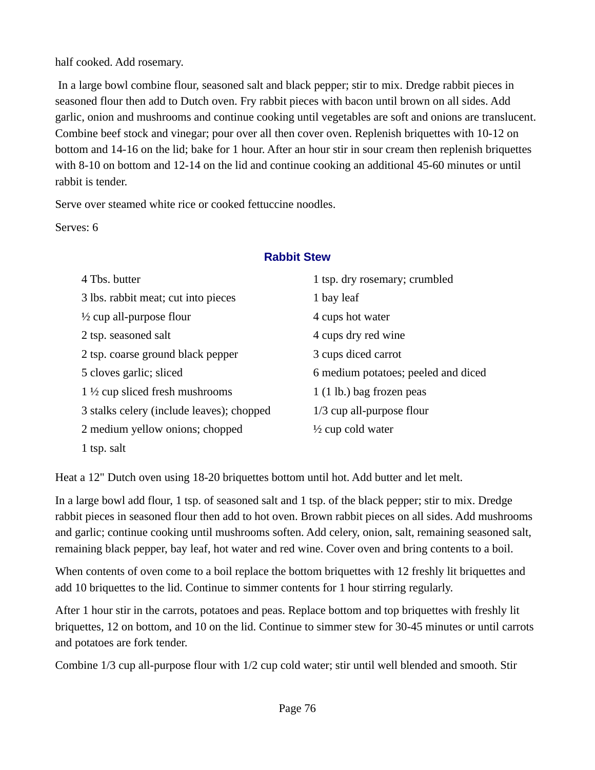half cooked. Add rosemary.

 In a large bowl combine flour, seasoned salt and black pepper; stir to mix. Dredge rabbit pieces in seasoned flour then add to Dutch oven. Fry rabbit pieces with bacon until brown on all sides. Add garlic, onion and mushrooms and continue cooking until vegetables are soft and onions are translucent. Combine beef stock and vinegar; pour over all then cover oven. Replenish briquettes with 10-12 on bottom and 14-16 on the lid; bake for 1 hour. After an hour stir in sour cream then replenish briquettes with 8-10 on bottom and 12-14 on the lid and continue cooking an additional 45-60 minutes or until rabbit is tender.

Serve over steamed white rice or cooked fettuccine noodles.

Serves: 6

## **Rabbit Stew**

| 4 Tbs. butter                             | 1 tsp. dry rosemary; crumbled       |
|-------------------------------------------|-------------------------------------|
| 3 lbs. rabbit meat; cut into pieces       | 1 bay leaf                          |
| $\frac{1}{2}$ cup all-purpose flour       | 4 cups hot water                    |
| 2 tsp. seasoned salt                      | 4 cups dry red wine                 |
| 2 tsp. coarse ground black pepper         | 3 cups diced carrot                 |
| 5 cloves garlic; sliced                   | 6 medium potatoes; peeled and diced |
| $1\frac{1}{2}$ cup sliced fresh mushrooms | $1(1 lb.)$ bag frozen peas          |
| 3 stalks celery (include leaves); chopped | 1/3 cup all-purpose flour           |
| 2 medium yellow onions; chopped           | $\frac{1}{2}$ cup cold water        |
| 1 tsp. salt                               |                                     |

Heat a 12" Dutch oven using 18-20 briquettes bottom until hot. Add butter and let melt.

In a large bowl add flour, 1 tsp. of seasoned salt and 1 tsp. of the black pepper; stir to mix. Dredge rabbit pieces in seasoned flour then add to hot oven. Brown rabbit pieces on all sides. Add mushrooms and garlic; continue cooking until mushrooms soften. Add celery, onion, salt, remaining seasoned salt, remaining black pepper, bay leaf, hot water and red wine. Cover oven and bring contents to a boil.

When contents of oven come to a boil replace the bottom briquettes with 12 freshly lit briquettes and add 10 briquettes to the lid. Continue to simmer contents for 1 hour stirring regularly.

After 1 hour stir in the carrots, potatoes and peas. Replace bottom and top briquettes with freshly lit briquettes, 12 on bottom, and 10 on the lid. Continue to simmer stew for 30-45 minutes or until carrots and potatoes are fork tender.

Combine 1/3 cup all-purpose flour with 1/2 cup cold water; stir until well blended and smooth. Stir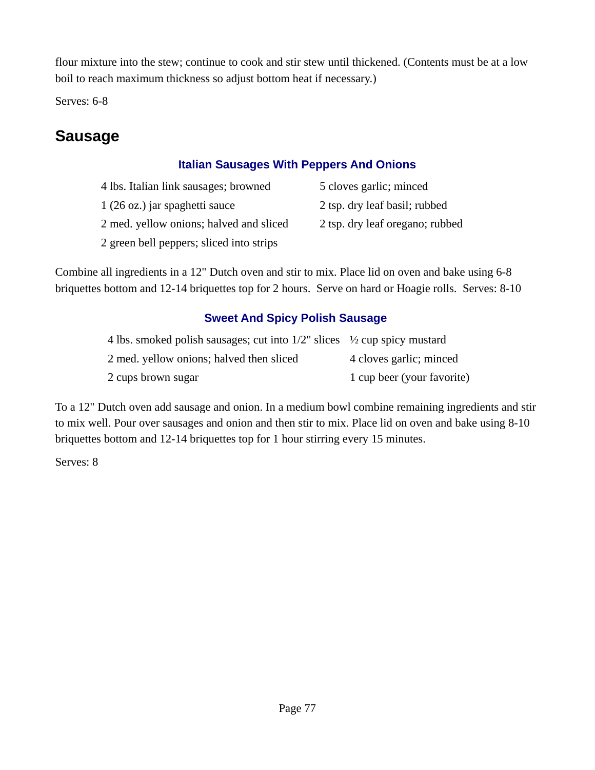flour mixture into the stew; continue to cook and stir stew until thickened. (Contents must be at a low boil to reach maximum thickness so adjust bottom heat if necessary.)

Serves: 6-8

# **Sausage**

# **Italian Sausages With Peppers And Onions**

- 4 lbs. Italian link sausages; browned 5 cloves garlic; minced 1 (26 oz.) jar spaghetti sauce 2 tsp. dry leaf basil; rubbed
- 
- 
- 2 med. yellow onions; halved and sliced 2 tsp. dry leaf oregano; rubbed
- 2 green bell peppers; sliced into strips

Combine all ingredients in a 12" Dutch oven and stir to mix. Place lid on oven and bake using 6-8 briquettes bottom and 12-14 briquettes top for 2 hours. Serve on hard or Hoagie rolls. Serves: 8-10

# **Sweet And Spicy Polish Sausage**

| 4 lbs. smoked polish sausages; cut into $1/2$ " slices $\frac{1}{2}$ cup spicy mustard |                            |
|----------------------------------------------------------------------------------------|----------------------------|
| 2 med. yellow onions; halved then sliced                                               | 4 cloves garlic; minced    |
| 2 cups brown sugar                                                                     | 1 cup beer (your favorite) |

To a 12" Dutch oven add sausage and onion. In a medium bowl combine remaining ingredients and stir to mix well. Pour over sausages and onion and then stir to mix. Place lid on oven and bake using 8-10 briquettes bottom and 12-14 briquettes top for 1 hour stirring every 15 minutes.

Serves: 8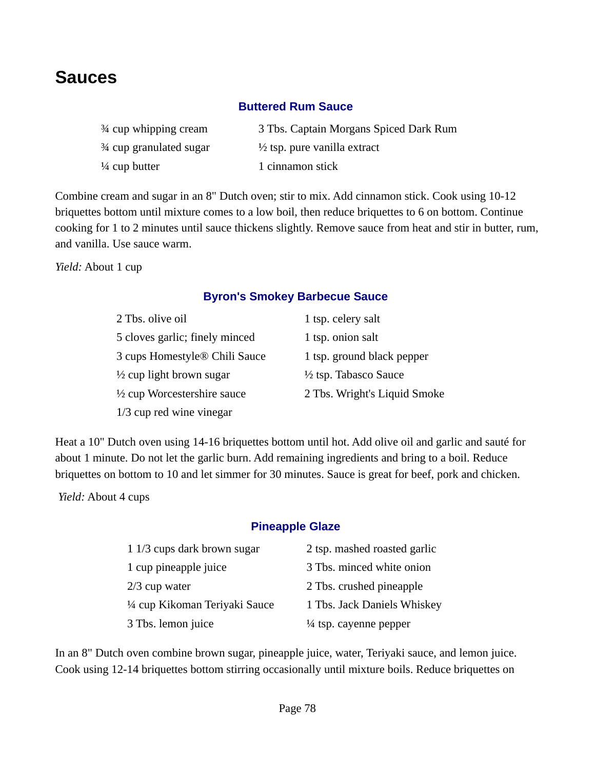# **Sauces**

## **Buttered Rum Sauce**

| 3⁄4 cup whipping cream   | 3 Tbs. Captain Morgans Spiced Dark Rum  |
|--------------------------|-----------------------------------------|
| 3⁄4 cup granulated sugar | $\frac{1}{2}$ tsp. pure vanilla extract |
| $\frac{1}{4}$ cup butter | 1 cinnamon stick                        |

Combine cream and sugar in an 8" Dutch oven; stir to mix. Add cinnamon stick. Cook using 10-12 briquettes bottom until mixture comes to a low boil, then reduce briquettes to 6 on bottom. Continue cooking for 1 to 2 minutes until sauce thickens slightly. Remove sauce from heat and stir in butter, rum, and vanilla. Use sauce warm.

*Yield:* About 1 cup

## **Byron's Smokey Barbecue Sauce**

| 2 Tbs. olive oil                       | 1 tsp. celery salt               |
|----------------------------------------|----------------------------------|
| 5 cloves garlic; finely minced         | 1 tsp. onion salt                |
| 3 cups Homestyle® Chili Sauce          | 1 tsp. ground black pepper       |
| $\frac{1}{2}$ cup light brown sugar    | $\frac{1}{2}$ tsp. Tabasco Sauce |
| $\frac{1}{2}$ cup Worcestershire sauce | 2 Tbs. Wright's Liquid Smoke     |
| 1/3 cup red wine vinegar               |                                  |

Heat a 10" Dutch oven using 14-16 briquettes bottom until hot. Add olive oil and garlic and sauté for about 1 minute. Do not let the garlic burn. Add remaining ingredients and bring to a boil. Reduce briquettes on bottom to 10 and let simmer for 30 minutes. Sauce is great for beef, pork and chicken.

 *Yield:* About 4 cups

## **Pineapple Glaze**

| 1 1/3 cups dark brown sugar  | 2 tsp. mashed roasted garlic      |
|------------------------------|-----------------------------------|
| 1 cup pineapple juice        | 3 Tbs. minced white onion         |
| $2/3$ cup water              | 2 Tbs. crushed pineapple          |
| ¼ cup Kikoman Teriyaki Sauce | 1 Tbs. Jack Daniels Whiskey       |
| 3 Tbs. lemon juice           | $\frac{1}{4}$ tsp. cayenne pepper |

In an 8" Dutch oven combine brown sugar, pineapple juice, water, Teriyaki sauce, and lemon juice. Cook using 12-14 briquettes bottom stirring occasionally until mixture boils. Reduce briquettes on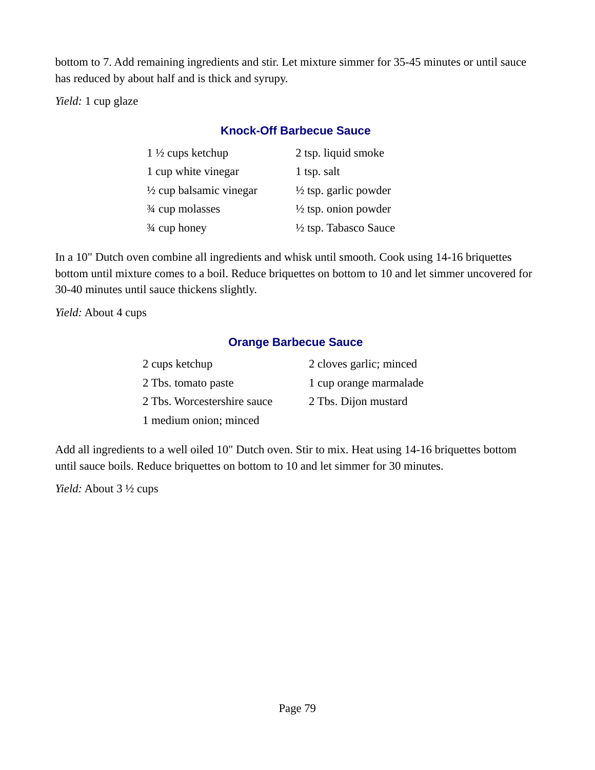bottom to 7. Add remaining ingredients and stir. Let mixture simmer for 35-45 minutes or until sauce has reduced by about half and is thick and syrupy.

*Yield:* 1 cup glaze

## **Knock-Off Barbecue Sauce**

| $1\frac{1}{2}$ cups ketchup        | 2 tsp. liquid smoke              |
|------------------------------------|----------------------------------|
| 1 cup white vinegar                | 1 tsp. salt                      |
| $\frac{1}{2}$ cup balsamic vinegar | $\frac{1}{2}$ tsp. garlic powder |
| 3⁄4 cup molasses                   | $\frac{1}{2}$ tsp. onion powder  |
| 3⁄4 cup honey                      | $\frac{1}{2}$ tsp. Tabasco Sauce |

In a 10" Dutch oven combine all ingredients and whisk until smooth. Cook using 14-16 briquettes bottom until mixture comes to a boil. Reduce briquettes on bottom to 10 and let simmer uncovered for 30-40 minutes until sauce thickens slightly.

*Yield:* About 4 cups

## **Orange Barbecue Sauce**

| 2 cups ketchup              | 2 cloves garlic; minced |
|-----------------------------|-------------------------|
| 2 Tbs. tomato paste         | 1 cup orange marmalade  |
| 2 Tbs. Worcestershire sauce | 2 Tbs. Dijon mustard    |
| 1 medium onion; minced      |                         |

Add all ingredients to a well oiled 10" Dutch oven. Stir to mix. Heat using 14-16 briquettes bottom until sauce boils. Reduce briquettes on bottom to 10 and let simmer for 30 minutes.

*Yield:* About 3 ½ cups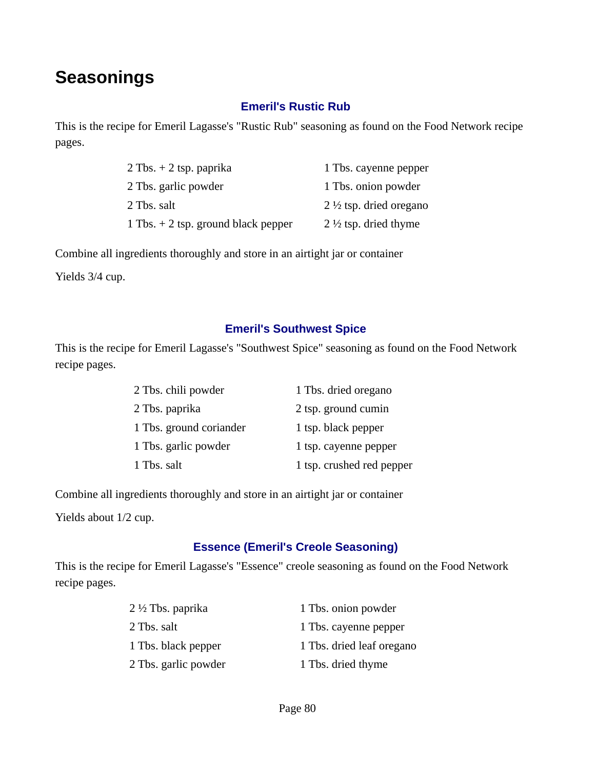# **Seasonings**

## **Emeril's Rustic Rub**

This is the recipe for Emeril Lagasse's "Rustic Rub" seasoning as found on the Food Network recipe pages.

| $2$ Tbs. $+$ 2 tsp. paprika           | 1 Tbs. cayenne pepper              |
|---------------------------------------|------------------------------------|
| 2 Tbs. garlic powder                  | 1 Tbs. onion powder                |
| 2 Tbs. salt                           | 2 $\frac{1}{2}$ tsp. dried oregano |
| 1 Tbs. $+$ 2 tsp. ground black pepper | 2 $\frac{1}{2}$ tsp. dried thyme   |

Combine all ingredients thoroughly and store in an airtight jar or container

Yields 3/4 cup.

#### **Emeril's Southwest Spice**

This is the recipe for Emeril Lagasse's "Southwest Spice" seasoning as found on the Food Network recipe pages.

| 2 Tbs. chili powder     | 1 Tbs. dried oregano      |
|-------------------------|---------------------------|
| 2 Tbs. paprika          | 2 tsp. ground cumin       |
| 1 Tbs. ground coriander | 1 tsp. black pepper       |
| 1 Tbs. garlic powder    | 1 tsp. cayenne pepper     |
| 1 Tbs. salt             | 1 tsp. crushed red pepper |

Combine all ingredients thoroughly and store in an airtight jar or container

Yields about 1/2 cup.

## **Essence (Emeril's Creole Seasoning)**

This is the recipe for Emeril Lagasse's "Essence" creole seasoning as found on the Food Network recipe pages.

| 2 ½ Tbs. paprika     | 1 Tbs. onion powder       |
|----------------------|---------------------------|
| 2 Tbs. salt          | 1 Tbs. cayenne pepper     |
| 1 Tbs. black pepper  | 1 Tbs. dried leaf oregano |
| 2 Tbs. garlic powder | 1 Tbs. dried thyme        |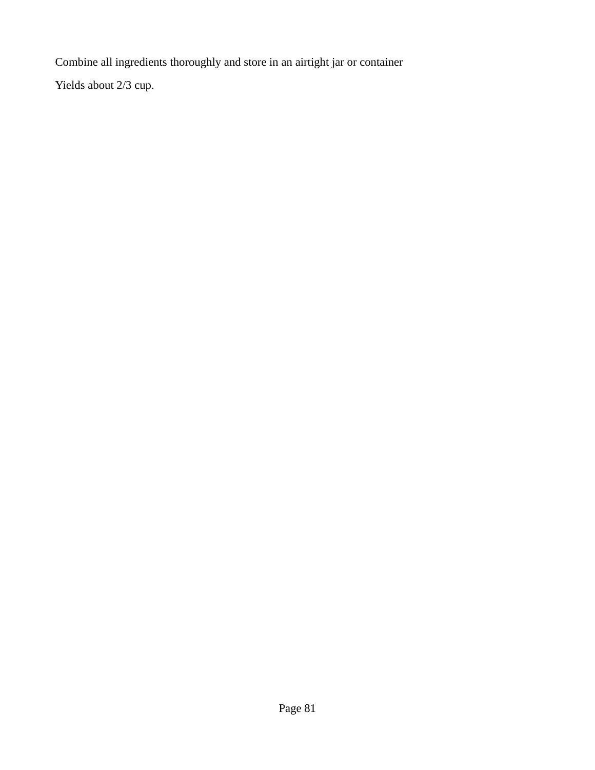Combine all ingredients thoroughly and store in an airtight jar or container

Yields about 2/3 cup.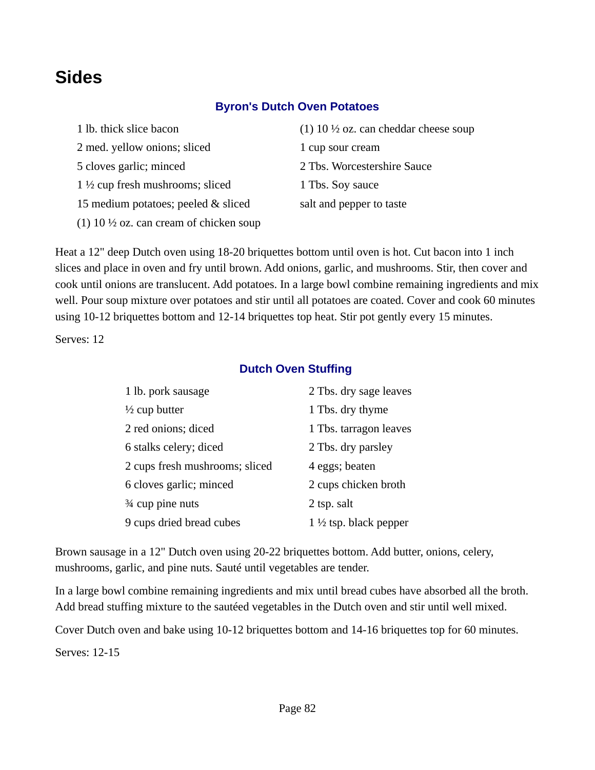# **Sides**

## **Byron's Dutch Oven Potatoes**

| 1 lb. thick slice bacon                            | (1) 10 $\frac{1}{2}$ oz. can cheddar cheese soup |
|----------------------------------------------------|--------------------------------------------------|
| 2 med. yellow onions; sliced                       | 1 cup sour cream                                 |
| 5 cloves garlic; minced                            | 2 Tbs. Worcestershire Sauce                      |
| $1\frac{1}{2}$ cup fresh mushrooms; sliced         | 1 Tbs. Soy sauce                                 |
| 15 medium potatoes; peeled & sliced                | salt and pepper to taste                         |
| (1) 10 $\frac{1}{2}$ oz. can cream of chicken soup |                                                  |

Heat a 12" deep Dutch oven using 18-20 briquettes bottom until oven is hot. Cut bacon into 1 inch slices and place in oven and fry until brown. Add onions, garlic, and mushrooms. Stir, then cover and cook until onions are translucent. Add potatoes. In a large bowl combine remaining ingredients and mix well. Pour soup mixture over potatoes and stir until all potatoes are coated. Cover and cook 60 minutes using 10-12 briquettes bottom and 12-14 briquettes top heat. Stir pot gently every 15 minutes.

Serves: 12

#### **Dutch Oven Stuffing**

| 1 lb. pork sausage             | 2 Tbs. dry sage leaves           |
|--------------------------------|----------------------------------|
| $\frac{1}{2}$ cup butter       | 1 Tbs. dry thyme                 |
| 2 red onions; diced            | 1 Tbs. tarragon leaves           |
| 6 stalks celery; diced         | 2 Tbs. dry parsley               |
| 2 cups fresh mushrooms; sliced | 4 eggs; beaten                   |
| 6 cloves garlic; minced        | 2 cups chicken broth             |
| 3⁄4 cup pine nuts              | 2 tsp. salt                      |
| 9 cups dried bread cubes       | $1\frac{1}{2}$ tsp. black pepper |

Brown sausage in a 12" Dutch oven using 20-22 briquettes bottom. Add butter, onions, celery, mushrooms, garlic, and pine nuts. Sauté until vegetables are tender.

In a large bowl combine remaining ingredients and mix until bread cubes have absorbed all the broth. Add bread stuffing mixture to the sautéed vegetables in the Dutch oven and stir until well mixed.

Cover Dutch oven and bake using 10-12 briquettes bottom and 14-16 briquettes top for 60 minutes.

Serves: 12-15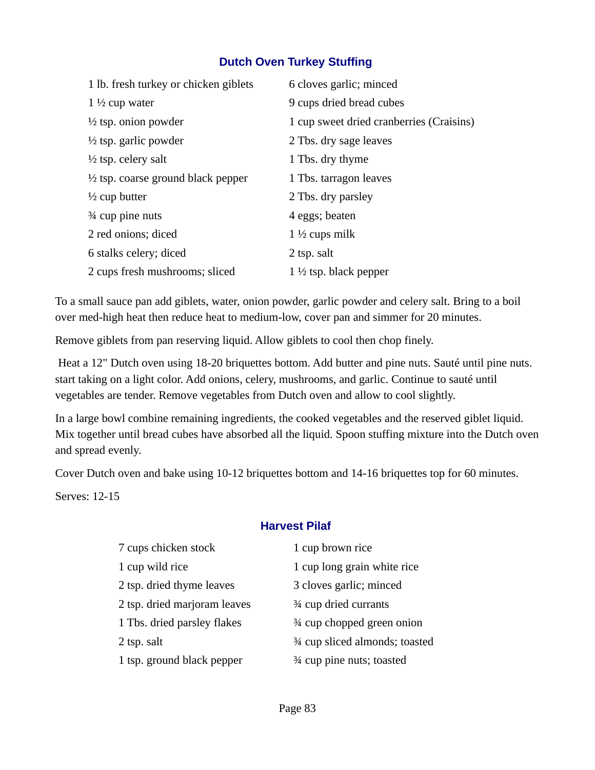## **Dutch Oven Turkey Stuffing**

| 1 lb. fresh turkey or chicken giblets         | 6 cloves garlic; minced                  |
|-----------------------------------------------|------------------------------------------|
| $1\frac{1}{2}$ cup water                      | 9 cups dried bread cubes                 |
| $\frac{1}{2}$ tsp. onion powder               | 1 cup sweet dried cranberries (Craisins) |
| $\frac{1}{2}$ tsp. garlic powder              | 2 Tbs. dry sage leaves                   |
| $\frac{1}{2}$ tsp. celery salt                | 1 Tbs. dry thyme                         |
| $\frac{1}{2}$ tsp. coarse ground black pepper | 1 Tbs. tarragon leaves                   |
| $\frac{1}{2}$ cup butter                      | 2 Tbs. dry parsley                       |
| $\frac{3}{4}$ cup pine nuts                   | 4 eggs; beaten                           |
| 2 red onions; diced                           | 1 $\frac{1}{2}$ cups milk                |
| 6 stalks celery; diced                        | 2 tsp. salt                              |
| 2 cups fresh mushrooms; sliced                | $1\frac{1}{2}$ tsp. black pepper         |

To a small sauce pan add giblets, water, onion powder, garlic powder and celery salt. Bring to a boil over med-high heat then reduce heat to medium-low, cover pan and simmer for 20 minutes.

Remove giblets from pan reserving liquid. Allow giblets to cool then chop finely.

 Heat a 12" Dutch oven using 18-20 briquettes bottom. Add butter and pine nuts. Sauté until pine nuts. start taking on a light color. Add onions, celery, mushrooms, and garlic. Continue to sauté until vegetables are tender. Remove vegetables from Dutch oven and allow to cool slightly.

In a large bowl combine remaining ingredients, the cooked vegetables and the reserved giblet liquid. Mix together until bread cubes have absorbed all the liquid. Spoon stuffing mixture into the Dutch oven and spread evenly.

Cover Dutch oven and bake using 10-12 briquettes bottom and 14-16 briquettes top for 60 minutes.

Serves: 12-15

## **Harvest Pilaf**

| 7 cups chicken stock         | 1 cup brown rice                |
|------------------------------|---------------------------------|
| 1 cup wild rice              | 1 cup long grain white rice     |
| 2 tsp. dried thyme leaves    | 3 cloves garlic; minced         |
| 2 tsp. dried marjoram leaves | 3⁄4 cup dried currants          |
| 1 Tbs. dried parsley flakes  | 3⁄4 cup chopped green onion     |
| 2 tsp. salt                  | 3⁄4 cup sliced almonds; toasted |
| 1 tsp. ground black pepper   | 3⁄4 cup pine nuts; toasted      |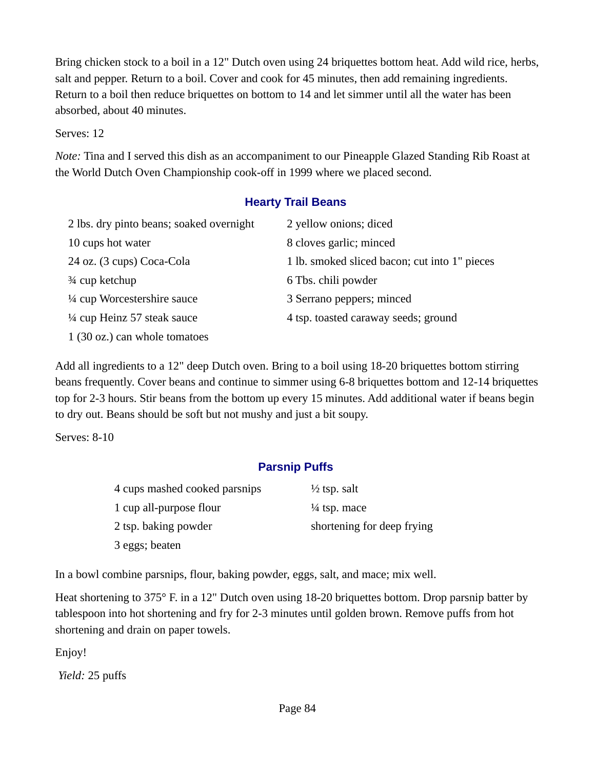Bring chicken stock to a boil in a 12" Dutch oven using 24 briquettes bottom heat. Add wild rice, herbs, salt and pepper. Return to a boil. Cover and cook for 45 minutes, then add remaining ingredients. Return to a boil then reduce briquettes on bottom to 14 and let simmer until all the water has been absorbed, about 40 minutes.

#### Serves: 12

*Note:* Tina and I served this dish as an accompaniment to our Pineapple Glazed Standing Rib Roast at the World Dutch Oven Championship cook-off in 1999 where we placed second.

#### **Hearty Trail Beans**

| 2 lbs. dry pinto beans; soaked overnight | 2 yellow onions; diced                        |
|------------------------------------------|-----------------------------------------------|
| 10 cups hot water                        | 8 cloves garlic; minced                       |
| 24 oz. (3 cups) Coca-Cola                | 1 lb. smoked sliced bacon; cut into 1" pieces |
| 3⁄4 cup ketchup                          | 6 Tbs. chili powder                           |
| 1/4 cup Worcestershire sauce             | 3 Serrano peppers; minced                     |
| 1/4 cup Heinz 57 steak sauce             | 4 tsp. toasted caraway seeds; ground          |
| 1 (30 oz.) can whole tomatoes            |                                               |

Add all ingredients to a 12" deep Dutch oven. Bring to a boil using 18-20 briquettes bottom stirring beans frequently. Cover beans and continue to simmer using 6-8 briquettes bottom and 12-14 briquettes top for 2-3 hours. Stir beans from the bottom up every 15 minutes. Add additional water if beans begin to dry out. Beans should be soft but not mushy and just a bit soupy.

Serves: 8-10

## **Parsnip Puffs**

| 4 cups mashed cooked parsnips | $\frac{1}{2}$ tsp. salt    |
|-------------------------------|----------------------------|
| 1 cup all-purpose flour       | $\frac{1}{4}$ tsp. mace    |
| 2 tsp. baking powder          | shortening for deep frying |
| 3 eggs; beaten                |                            |

In a bowl combine parsnips, flour, baking powder, eggs, salt, and mace; mix well.

Heat shortening to 375° F. in a 12" Dutch oven using 18-20 briquettes bottom. Drop parsnip batter by tablespoon into hot shortening and fry for 2-3 minutes until golden brown. Remove puffs from hot shortening and drain on paper towels.

Enjoy!

*Yield:* 25 puffs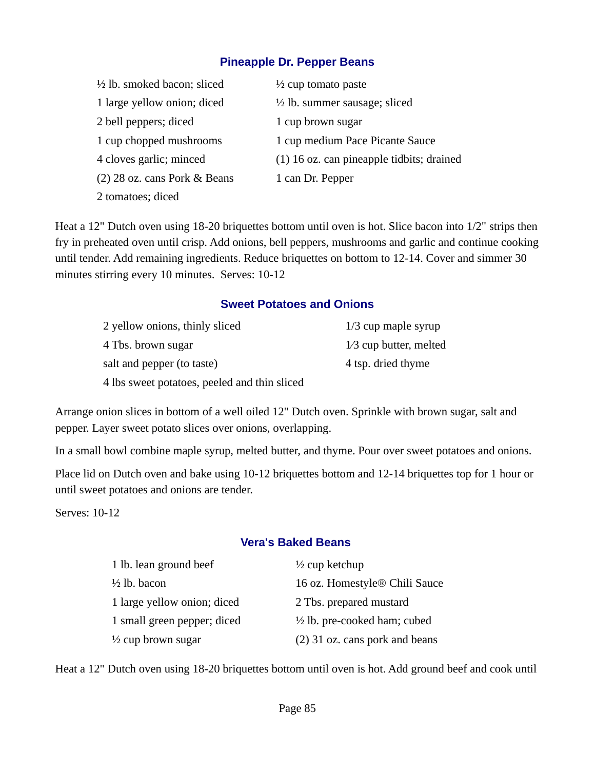#### **Pineapple Dr. Pepper Beans**

| $\frac{1}{2}$ lb. smoked bacon; sliced | $\frac{1}{2}$ cup tomato paste              |
|----------------------------------------|---------------------------------------------|
| 1 large yellow onion; diced            | $\frac{1}{2}$ lb. summer sausage; sliced    |
| 2 bell peppers; diced                  | 1 cup brown sugar                           |
| 1 cup chopped mushrooms                | 1 cup medium Pace Picante Sauce             |
| 4 cloves garlic; minced                | $(1)$ 16 oz. can pineapple tidbits; drained |
| $(2)$ 28 oz. cans Pork & Beans         | 1 can Dr. Pepper                            |
| 2 tomatoes; diced                      |                                             |

Heat a 12" Dutch oven using 18-20 briquettes bottom until oven is hot. Slice bacon into 1/2" strips then fry in preheated oven until crisp. Add onions, bell peppers, mushrooms and garlic and continue cooking until tender. Add remaining ingredients. Reduce briquettes on bottom to 12-14. Cover and simmer 30 minutes stirring every 10 minutes. Serves: 10-12

## **Sweet Potatoes and Onions**

| 2 yellow onions, thinly sliced               | $1/3$ cup maple syrup    |
|----------------------------------------------|--------------------------|
| 4 Tbs. brown sugar                           | $1/3$ cup butter, melted |
| salt and pepper (to taste)                   | 4 tsp. dried thyme       |
| 4 lbs sweet potatoes, peeled and thin sliced |                          |

Arrange onion slices in bottom of a well oiled 12" Dutch oven. Sprinkle with brown sugar, salt and pepper. Layer sweet potato slices over onions, overlapping.

In a small bowl combine maple syrup, melted butter, and thyme. Pour over sweet potatoes and onions.

Place lid on Dutch oven and bake using 10-12 briquettes bottom and 12-14 briquettes top for 1 hour or until sweet potatoes and onions are tender.

Serves: 10-12

## **Vera's Baked Beans**

| 1 lb. lean ground beef        | $\frac{1}{2}$ cup ketchup               |
|-------------------------------|-----------------------------------------|
| $\frac{1}{2}$ lb. bacon       | 16 oz. Homestyle® Chili Sauce           |
| 1 large yellow onion; diced   | 2 Tbs. prepared mustard                 |
| 1 small green pepper; diced   | $\frac{1}{2}$ lb. pre-cooked ham; cubed |
| $\frac{1}{2}$ cup brown sugar | (2) 31 oz. cans pork and beans          |

Heat a 12" Dutch oven using 18-20 briquettes bottom until oven is hot. Add ground beef and cook until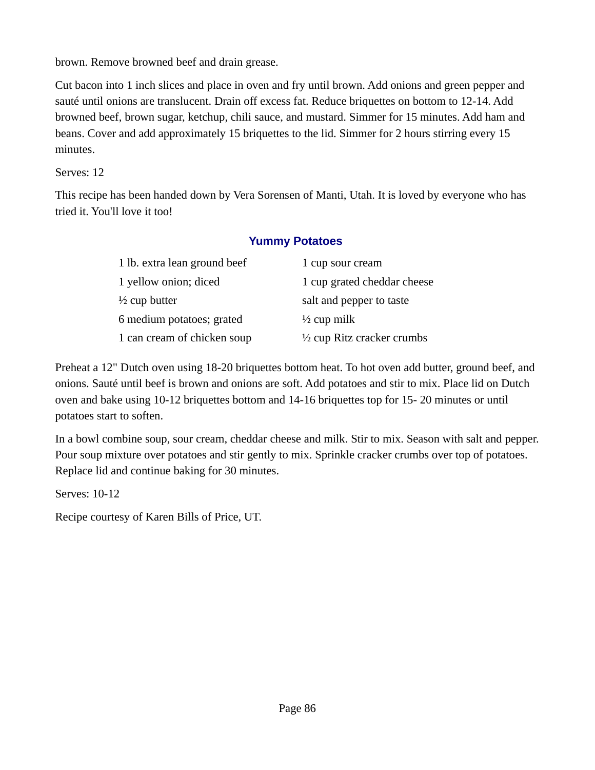brown. Remove browned beef and drain grease.

Cut bacon into 1 inch slices and place in oven and fry until brown. Add onions and green pepper and sauté until onions are translucent. Drain off excess fat. Reduce briquettes on bottom to 12-14. Add browned beef, brown sugar, ketchup, chili sauce, and mustard. Simmer for 15 minutes. Add ham and beans. Cover and add approximately 15 briquettes to the lid. Simmer for 2 hours stirring every 15 minutes.

Serves: 12

This recipe has been handed down by Vera Sorensen of Manti, Utah. It is loved by everyone who has tried it. You'll love it too!

## **Yummy Potatoes**

| 1 lb. extra lean ground beef | 1 cup sour cream                      |
|------------------------------|---------------------------------------|
| 1 yellow onion; diced        | 1 cup grated cheddar cheese           |
| $\frac{1}{2}$ cup butter     | salt and pepper to taste              |
| 6 medium potatoes; grated    | $\frac{1}{2}$ cup milk                |
| 1 can cream of chicken soup  | $\frac{1}{2}$ cup Ritz cracker crumbs |

Preheat a 12" Dutch oven using 18-20 briquettes bottom heat. To hot oven add butter, ground beef, and onions. Sauté until beef is brown and onions are soft. Add potatoes and stir to mix. Place lid on Dutch oven and bake using 10-12 briquettes bottom and 14-16 briquettes top for 15- 20 minutes or until potatoes start to soften.

In a bowl combine soup, sour cream, cheddar cheese and milk. Stir to mix. Season with salt and pepper. Pour soup mixture over potatoes and stir gently to mix. Sprinkle cracker crumbs over top of potatoes. Replace lid and continue baking for 30 minutes.

Serves: 10-12

Recipe courtesy of Karen Bills of Price, UT.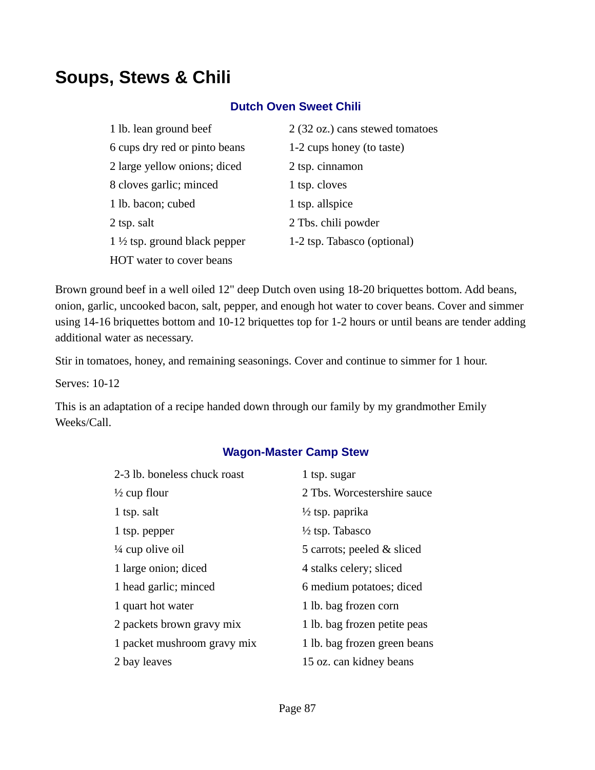# **Soups, Stews & Chili**

#### **Dutch Oven Sweet Chili**

| 1 lb. lean ground beef                   | 2 (32 oz.) cans stewed tomatoes |
|------------------------------------------|---------------------------------|
| 6 cups dry red or pinto beans            | 1-2 cups honey (to taste)       |
| 2 large yellow onions; diced             | 2 tsp. cinnamon                 |
| 8 cloves garlic; minced                  | 1 tsp. cloves                   |
| 1 lb. bacon; cubed                       | 1 tsp. allspice                 |
| 2 tsp. salt                              | 2 Tbs. chili powder             |
| 1 $\frac{1}{2}$ tsp. ground black pepper | 1-2 tsp. Tabasco (optional)     |
| HOT water to cover beans                 |                                 |

Brown ground beef in a well oiled 12" deep Dutch oven using 18-20 briquettes bottom. Add beans, onion, garlic, uncooked bacon, salt, pepper, and enough hot water to cover beans. Cover and simmer using 14-16 briquettes bottom and 10-12 briquettes top for 1-2 hours or until beans are tender adding additional water as necessary.

Stir in tomatoes, honey, and remaining seasonings. Cover and continue to simmer for 1 hour.

Serves: 10-12

This is an adaptation of a recipe handed down through our family by my grandmother Emily Weeks/Call.

## **Wagon-Master Camp Stew**

| 2-3 lb. boneless chuck roast | 1 tsp. sugar                 |
|------------------------------|------------------------------|
| $\frac{1}{2}$ cup flour      | 2 Tbs. Worcestershire sauce  |
| 1 tsp. salt                  | $\frac{1}{2}$ tsp. paprika   |
| 1 tsp. pepper                | $\frac{1}{2}$ tsp. Tabasco   |
| ¼ cup olive oil              | 5 carrots; peeled & sliced   |
| 1 large onion; diced         | 4 stalks celery; sliced      |
| 1 head garlic; minced        | 6 medium potatoes; diced     |
| 1 quart hot water            | 1 lb. bag frozen corn        |
| 2 packets brown gravy mix    | 1 lb. bag frozen petite peas |
| 1 packet mushroom gravy mix  | 1 lb. bag frozen green beans |
| 2 bay leaves                 | 15 oz. can kidney beans      |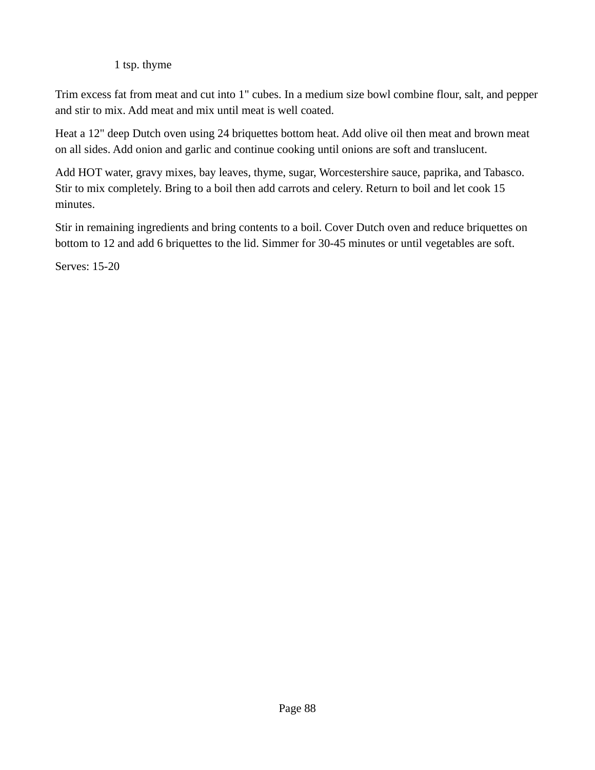## 1 tsp. thyme

Trim excess fat from meat and cut into 1" cubes. In a medium size bowl combine flour, salt, and pepper and stir to mix. Add meat and mix until meat is well coated.

Heat a 12" deep Dutch oven using 24 briquettes bottom heat. Add olive oil then meat and brown meat on all sides. Add onion and garlic and continue cooking until onions are soft and translucent.

Add HOT water, gravy mixes, bay leaves, thyme, sugar, Worcestershire sauce, paprika, and Tabasco. Stir to mix completely. Bring to a boil then add carrots and celery. Return to boil and let cook 15 minutes.

Stir in remaining ingredients and bring contents to a boil. Cover Dutch oven and reduce briquettes on bottom to 12 and add 6 briquettes to the lid. Simmer for 30-45 minutes or until vegetables are soft.

Serves: 15-20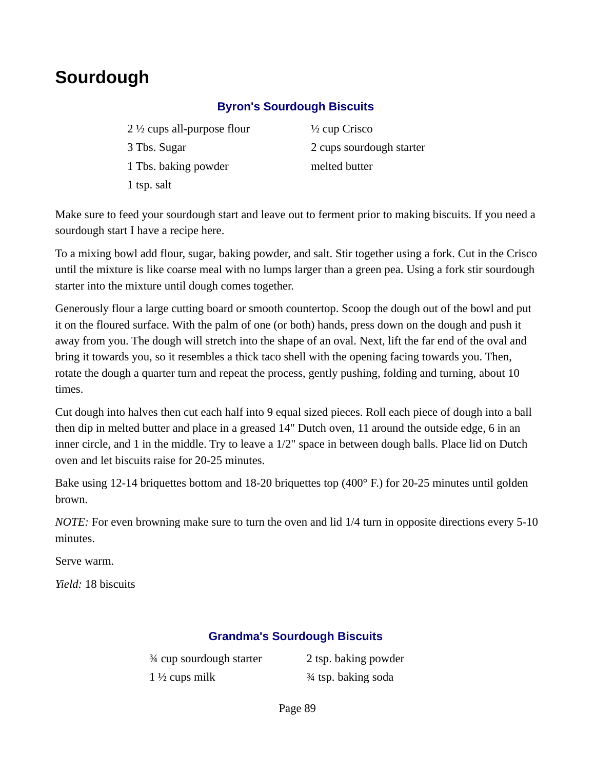# **Sourdough**

## **Byron's Sourdough Biscuits**

2  $\frac{1}{2}$  cups all-purpose flour  $\frac{1}{2}$  cup Crisco 3 Tbs. Sugar 2 cups sourdough starter 1 Tbs. baking powder melted butter 1 tsp. salt

Make sure to feed your sourdough start and leave out to ferment prior to making biscuits. If you need a sourdough start I have a recipe here.

To a mixing bowl add flour, sugar, baking powder, and salt. Stir together using a fork. Cut in the Crisco until the mixture is like coarse meal with no lumps larger than a green pea. Using a fork stir sourdough starter into the mixture until dough comes together.

Generously flour a large cutting board or smooth countertop. Scoop the dough out of the bowl and put it on the floured surface. With the palm of one (or both) hands, press down on the dough and push it away from you. The dough will stretch into the shape of an oval. Next, lift the far end of the oval and bring it towards you, so it resembles a thick taco shell with the opening facing towards you. Then, rotate the dough a quarter turn and repeat the process, gently pushing, folding and turning, about 10 times.

Cut dough into halves then cut each half into 9 equal sized pieces. Roll each piece of dough into a ball then dip in melted butter and place in a greased 14" Dutch oven, 11 around the outside edge, 6 in an inner circle, and 1 in the middle. Try to leave a 1/2" space in between dough balls. Place lid on Dutch oven and let biscuits raise for 20-25 minutes.

Bake using 12-14 briquettes bottom and 18-20 briquettes top (400° F.) for 20-25 minutes until golden brown.

*NOTE:* For even browning make sure to turn the oven and lid 1/4 turn in opposite directions every 5-10 minutes.

Serve warm.

*Yield:* 18 biscuits

## **Grandma's Sourdough Biscuits**

| 3⁄4 cup sourdough starter | 2 tsp. baking powder |
|---------------------------|----------------------|
| 1 $\frac{1}{2}$ cups milk | 3⁄4 tsp. baking soda |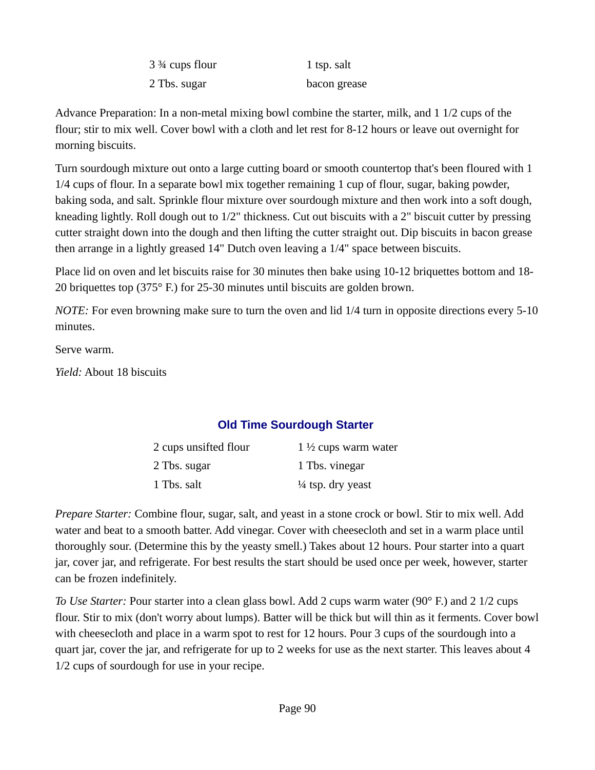| 3 <sup>3</sup> 4 cups flour | 1 tsp. salt  |
|-----------------------------|--------------|
| 2 Tbs. sugar                | bacon grease |

Advance Preparation: In a non-metal mixing bowl combine the starter, milk, and 1 1/2 cups of the flour; stir to mix well. Cover bowl with a cloth and let rest for 8-12 hours or leave out overnight for morning biscuits.

Turn sourdough mixture out onto a large cutting board or smooth countertop that's been floured with 1 1/4 cups of flour. In a separate bowl mix together remaining 1 cup of flour, sugar, baking powder, baking soda, and salt. Sprinkle flour mixture over sourdough mixture and then work into a soft dough, kneading lightly. Roll dough out to 1/2" thickness. Cut out biscuits with a 2" biscuit cutter by pressing cutter straight down into the dough and then lifting the cutter straight out. Dip biscuits in bacon grease then arrange in a lightly greased 14" Dutch oven leaving a 1/4" space between biscuits.

Place lid on oven and let biscuits raise for 30 minutes then bake using 10-12 briquettes bottom and 18- 20 briquettes top (375° F.) for 25-30 minutes until biscuits are golden brown.

*NOTE:* For even browning make sure to turn the oven and lid 1/4 turn in opposite directions every 5-10 minutes.

Serve warm.

*Yield:* About 18 biscuits

# **Old Time Sourdough Starter**

| 2 cups unsifted flour | 1 $\frac{1}{2}$ cups warm water |
|-----------------------|---------------------------------|
| 2 Tbs. sugar          | 1 Tbs. vinegar                  |
| 1 Tbs. salt           | $\frac{1}{4}$ tsp. dry yeast    |

*Prepare Starter:* Combine flour, sugar, salt, and yeast in a stone crock or bowl. Stir to mix well. Add water and beat to a smooth batter. Add vinegar. Cover with cheesecloth and set in a warm place until thoroughly sour. (Determine this by the yeasty smell.) Takes about 12 hours. Pour starter into a quart jar, cover jar, and refrigerate. For best results the start should be used once per week, however, starter can be frozen indefinitely.

*To Use Starter:* Pour starter into a clean glass bowl. Add 2 cups warm water (90° F.) and 2 1/2 cups flour. Stir to mix (don't worry about lumps). Batter will be thick but will thin as it ferments. Cover bowl with cheesecloth and place in a warm spot to rest for 12 hours. Pour 3 cups of the sourdough into a quart jar, cover the jar, and refrigerate for up to 2 weeks for use as the next starter. This leaves about 4 1/2 cups of sourdough for use in your recipe.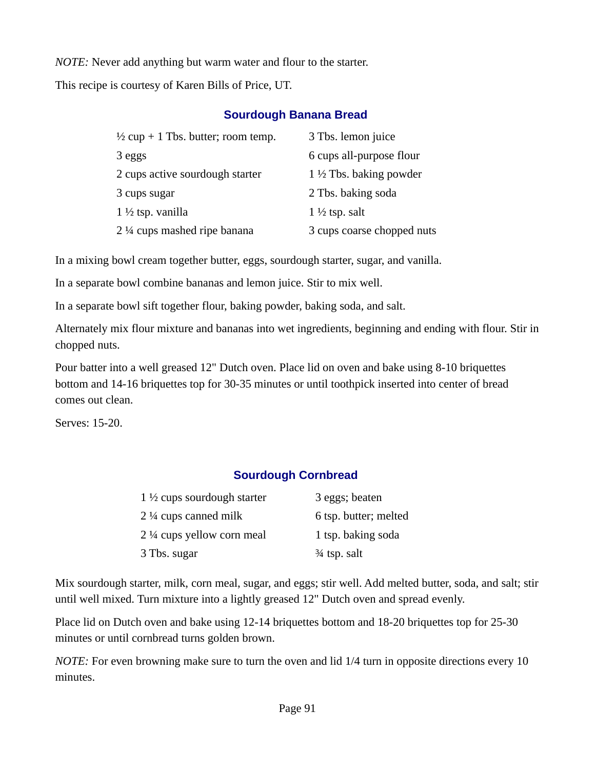*NOTE:* Never add anything but warm water and flour to the starter.

This recipe is courtesy of Karen Bills of Price, UT.

## **Sourdough Banana Bread**

| $\frac{1}{2}$ cup + 1 Tbs. butter; room temp. | 3 Tbs. lemon juice                 |
|-----------------------------------------------|------------------------------------|
| 3 eggs                                        | 6 cups all-purpose flour           |
| 2 cups active sourdough starter               | 1 $\frac{1}{2}$ Tbs. baking powder |
| 3 cups sugar                                  | 2 Tbs. baking soda                 |
| $1\frac{1}{2}$ tsp. vanilla                   | $1\frac{1}{2}$ tsp. salt           |
| 2 1/4 cups mashed ripe banana                 | 3 cups coarse chopped nuts         |

In a mixing bowl cream together butter, eggs, sourdough starter, sugar, and vanilla.

In a separate bowl combine bananas and lemon juice. Stir to mix well.

In a separate bowl sift together flour, baking powder, baking soda, and salt.

Alternately mix flour mixture and bananas into wet ingredients, beginning and ending with flour. Stir in chopped nuts.

Pour batter into a well greased 12" Dutch oven. Place lid on oven and bake using 8-10 briquettes bottom and 14-16 briquettes top for 30-35 minutes or until toothpick inserted into center of bread comes out clean.

Serves: 15-20.

# **Sourdough Cornbread**

| 1 $\frac{1}{2}$ cups sourdough starter | 3 eggs; beaten        |
|----------------------------------------|-----------------------|
| 2 $\frac{1}{4}$ cups canned milk       | 6 tsp. butter; melted |
| 2 ¼ cups yellow corn meal              | 1 tsp. baking soda    |
| 3 Tbs. sugar                           | 34 tsp. salt          |

Mix sourdough starter, milk, corn meal, sugar, and eggs; stir well. Add melted butter, soda, and salt; stir until well mixed. Turn mixture into a lightly greased 12" Dutch oven and spread evenly.

Place lid on Dutch oven and bake using 12-14 briquettes bottom and 18-20 briquettes top for 25-30 minutes or until cornbread turns golden brown.

*NOTE:* For even browning make sure to turn the oven and lid 1/4 turn in opposite directions every 10 minutes.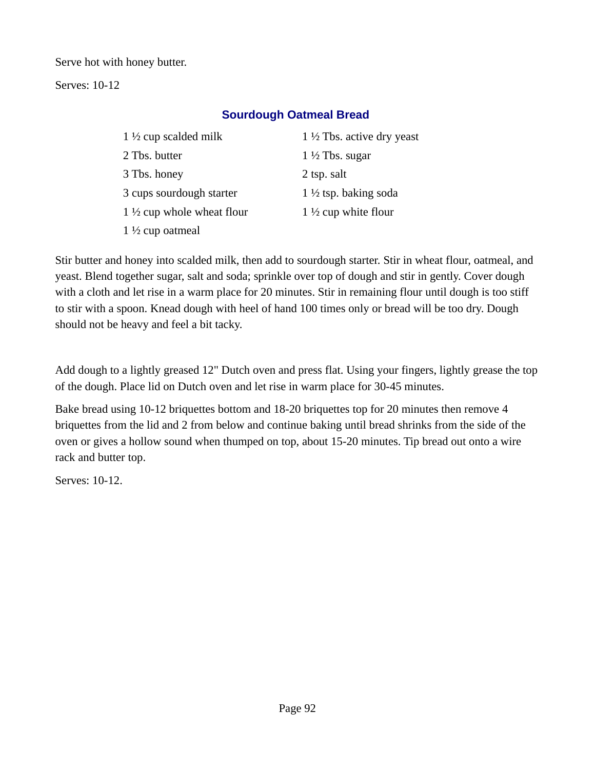Serve hot with honey butter.

Serves: 10-12

## **Sourdough Oatmeal Bread**

| 1 $\frac{1}{2}$ cup scalded milk      | 1 $\frac{1}{2}$ Tbs. active dry yeast |
|---------------------------------------|---------------------------------------|
| 2 Tbs. butter                         | $1\frac{1}{2}$ Tbs. sugar             |
| 3 Tbs. honey                          | 2 tsp. salt                           |
| 3 cups sourdough starter              | $1\frac{1}{2}$ tsp. baking soda       |
| 1 $\frac{1}{2}$ cup whole wheat flour | 1 $\frac{1}{2}$ cup white flour       |
| $1\frac{1}{2}$ cup oatmeal            |                                       |

Stir butter and honey into scalded milk, then add to sourdough starter. Stir in wheat flour, oatmeal, and yeast. Blend together sugar, salt and soda; sprinkle over top of dough and stir in gently. Cover dough with a cloth and let rise in a warm place for 20 minutes. Stir in remaining flour until dough is too stiff to stir with a spoon. Knead dough with heel of hand 100 times only or bread will be too dry. Dough should not be heavy and feel a bit tacky.

Add dough to a lightly greased 12" Dutch oven and press flat. Using your fingers, lightly grease the top of the dough. Place lid on Dutch oven and let rise in warm place for 30-45 minutes.

Bake bread using 10-12 briquettes bottom and 18-20 briquettes top for 20 minutes then remove 4 briquettes from the lid and 2 from below and continue baking until bread shrinks from the side of the oven or gives a hollow sound when thumped on top, about 15-20 minutes. Tip bread out onto a wire rack and butter top.

Serves: 10-12.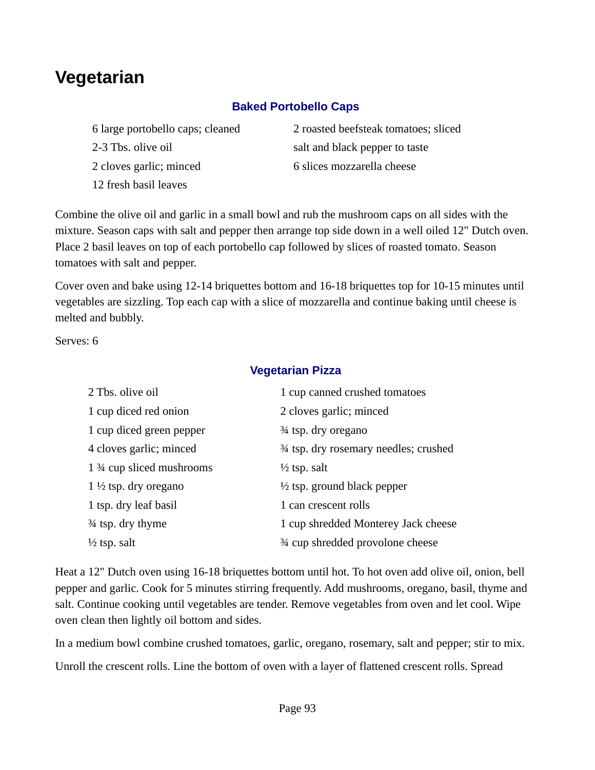# **Vegetarian**

## **Baked Portobello Caps**

2-3 Tbs. olive oil salt and black pepper to taste 2 cloves garlic; minced 6 slices mozzarella cheese 12 fresh basil leaves

6 large portobello caps; cleaned 2 roasted beefsteak tomatoes; sliced

Combine the olive oil and garlic in a small bowl and rub the mushroom caps on all sides with the mixture. Season caps with salt and pepper then arrange top side down in a well oiled 12" Dutch oven. Place 2 basil leaves on top of each portobello cap followed by slices of roasted tomato. Season tomatoes with salt and pepper.

Cover oven and bake using 12-14 briquettes bottom and 16-18 briquettes top for 10-15 minutes until vegetables are sizzling. Top each cap with a slice of mozzarella and continue baking until cheese is melted and bubbly.

**Vegetarian Pizza** 

Serves: 6

| 2 Tbs. olive oil                       | 1 cup canned crushed tomatoes          |
|----------------------------------------|----------------------------------------|
| 1 cup diced red onion                  | 2 cloves garlic; minced                |
| 1 cup diced green pepper               | 3⁄4 tsp. dry oregano                   |
| 4 cloves garlic; minced                | 3⁄4 tsp. dry rosemary needles; crushed |
| 1 <sup>3</sup> ⁄4 cup sliced mushrooms | $\frac{1}{2}$ tsp. salt                |
| $1\frac{1}{2}$ tsp. dry oregano        | $\frac{1}{2}$ tsp. ground black pepper |
| 1 tsp. dry leaf basil                  | 1 can crescent rolls                   |
| <sup>3⁄4</sup> tsp. dry thyme          | 1 cup shredded Monterey Jack cheese    |
| $\frac{1}{2}$ tsp. salt                | 3⁄4 cup shredded provolone cheese      |

Heat a 12" Dutch oven using 16-18 briquettes bottom until hot. To hot oven add olive oil, onion, bell pepper and garlic. Cook for 5 minutes stirring frequently. Add mushrooms, oregano, basil, thyme and salt. Continue cooking until vegetables are tender. Remove vegetables from oven and let cool. Wipe oven clean then lightly oil bottom and sides.

In a medium bowl combine crushed tomatoes, garlic, oregano, rosemary, salt and pepper; stir to mix. Unroll the crescent rolls. Line the bottom of oven with a layer of flattened crescent rolls. Spread